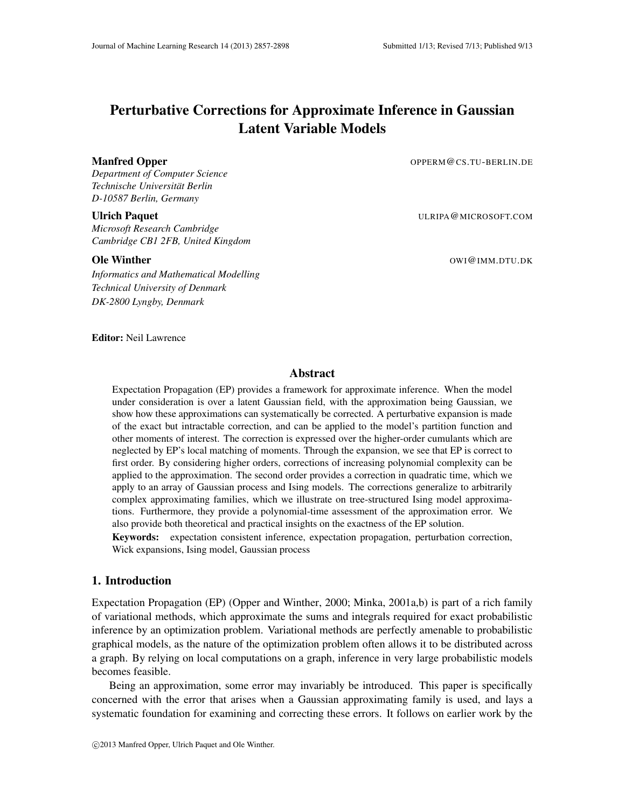# Perturbative Corrections for Approximate Inference in Gaussian Latent Variable Models

*Department of Computer Science Technische Universitat Berlin ¨ D-10587 Berlin, Germany*

*Microsoft Research Cambridge Cambridge CB1 2FB, United Kingdom*

*Informatics and Mathematical Modelling Technical University of Denmark DK-2800 Lyngby, Denmark*

Manfred Opper **Contains a Company of the Container Contains A** OPPERM @CS.TU-BERLIN.DE

Ulrich Paquet **Ulrich Paquet ULRIPA COMICROSOFT.COM** 

**Ole Winther Community Community Community Community Community Community Community Community Community Community Community Community Community Community Community Community Community Community Community Community Community** 

Editor: Neil Lawrence

## Abstract

Expectation Propagation (EP) provides a framework for approximate inference. When the model under consideration is over a latent Gaussian field, with the approximation being Gaussian, we show how these approximations can systematically be corrected. A perturbative expansion is made of the exact but intractable correction, and can be applied to the model's partition function and other moments of interest. The correction is expressed over the higher-order cumulants which are neglected by EP's local matching of moments. Through the expansion, we see that EP is correct to first order. By considering higher orders, corrections of increasing polynomial complexity can be applied to the approximation. The second order provides a correction in quadratic time, which we apply to an array of Gaussian process and Ising models. The corrections generalize to arbitrarily complex approximating families, which we illustrate on tree-structured Ising model approximations. Furthermore, they provide a polynomial-time assessment of the approximation error. We also provide both theoretical and practical insights on the exactness of the EP solution.

Keywords: expectation consistent inference, expectation propagation, perturbation correction, Wick expansions, Ising model, Gaussian process

### 1. Introduction

Expectation Propagation (EP) (Opper and Winther, 2000; Minka, 2001a,b) is part of a rich family of variational methods, which approximate the sums and integrals required for exact probabilistic inference by an optimization problem. Variational methods are perfectly amenable to probabilistic graphical models, as the nature of the optimization problem often allows it to be distributed across a graph. By relying on local computations on a graph, inference in very large probabilistic models becomes feasible.

Being an approximation, some error may invariably be introduced. This paper is specifically concerned with the error that arises when a Gaussian approximating family is used, and lays a systematic foundation for examining and correcting these errors. It follows on earlier work by the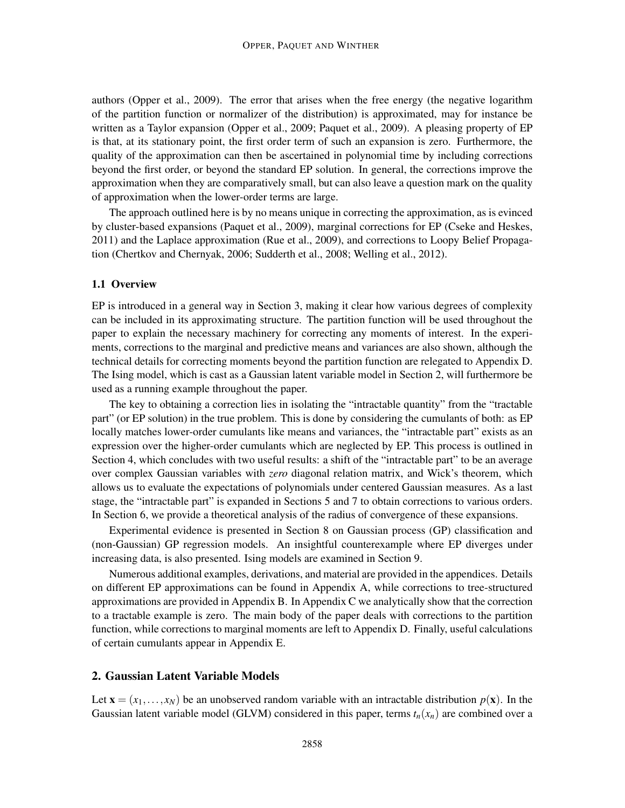authors (Opper et al., 2009). The error that arises when the free energy (the negative logarithm of the partition function or normalizer of the distribution) is approximated, may for instance be written as a Taylor expansion (Opper et al., 2009; Paquet et al., 2009). A pleasing property of EP is that, at its stationary point, the first order term of such an expansion is zero. Furthermore, the quality of the approximation can then be ascertained in polynomial time by including corrections beyond the first order, or beyond the standard EP solution. In general, the corrections improve the approximation when they are comparatively small, but can also leave a question mark on the quality of approximation when the lower-order terms are large.

The approach outlined here is by no means unique in correcting the approximation, as is evinced by cluster-based expansions (Paquet et al., 2009), marginal corrections for EP (Cseke and Heskes, 2011) and the Laplace approximation (Rue et al., 2009), and corrections to Loopy Belief Propagation (Chertkov and Chernyak, 2006; Sudderth et al., 2008; Welling et al., 2012).

#### 1.1 Overview

EP is introduced in a general way in Section 3, making it clear how various degrees of complexity can be included in its approximating structure. The partition function will be used throughout the paper to explain the necessary machinery for correcting any moments of interest. In the experiments, corrections to the marginal and predictive means and variances are also shown, although the technical details for correcting moments beyond the partition function are relegated to Appendix D. The Ising model, which is cast as a Gaussian latent variable model in Section 2, will furthermore be used as a running example throughout the paper.

The key to obtaining a correction lies in isolating the "intractable quantity" from the "tractable part" (or EP solution) in the true problem. This is done by considering the cumulants of both: as EP locally matches lower-order cumulants like means and variances, the "intractable part" exists as an expression over the higher-order cumulants which are neglected by EP. This process is outlined in Section 4, which concludes with two useful results: a shift of the "intractable part" to be an average over complex Gaussian variables with *zero* diagonal relation matrix, and Wick's theorem, which allows us to evaluate the expectations of polynomials under centered Gaussian measures. As a last stage, the "intractable part" is expanded in Sections 5 and 7 to obtain corrections to various orders. In Section 6, we provide a theoretical analysis of the radius of convergence of these expansions.

Experimental evidence is presented in Section 8 on Gaussian process (GP) classification and (non-Gaussian) GP regression models. An insightful counterexample where EP diverges under increasing data, is also presented. Ising models are examined in Section 9.

Numerous additional examples, derivations, and material are provided in the appendices. Details on different EP approximations can be found in Appendix A, while corrections to tree-structured approximations are provided in Appendix B. In Appendix C we analytically show that the correction to a tractable example is zero. The main body of the paper deals with corrections to the partition function, while corrections to marginal moments are left to Appendix D. Finally, useful calculations of certain cumulants appear in Appendix E.

## 2. Gaussian Latent Variable Models

Let  $\mathbf{x} = (x_1, \ldots, x_N)$  be an unobserved random variable with an intractable distribution  $p(\mathbf{x})$ . In the Gaussian latent variable model (GLVM) considered in this paper, terms  $t_n(x_n)$  are combined over a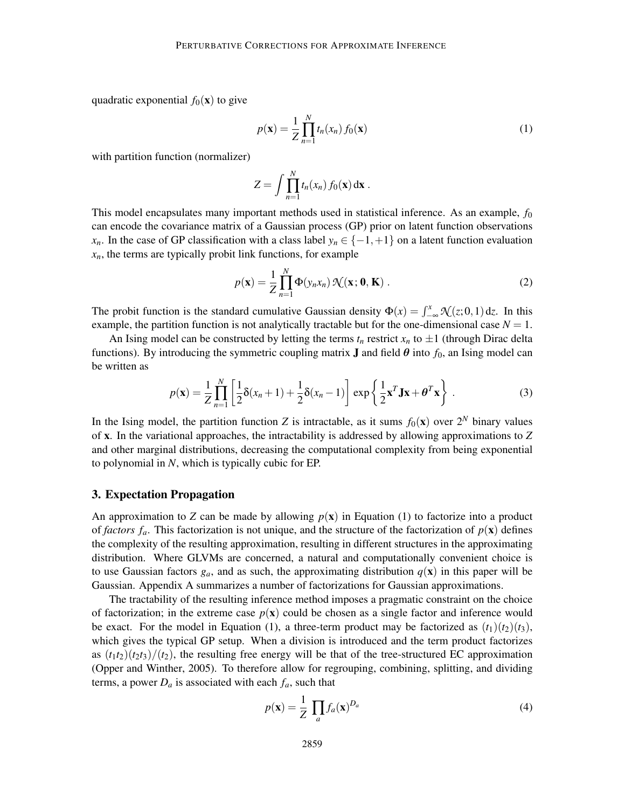quadratic exponential  $f_0(\mathbf{x})$  to give

$$
p(\mathbf{x}) = \frac{1}{Z} \prod_{n=1}^{N} t_n(x_n) f_0(\mathbf{x})
$$
\n(1)

with partition function (normalizer)

$$
Z = \int \prod_{n=1}^N t_n(x_n) f_0(\mathbf{x}) d\mathbf{x} .
$$

This model encapsulates many important methods used in statistical inference. As an example, *f*<sup>0</sup> can encode the covariance matrix of a Gaussian process (GP) prior on latent function observations *x<sub>n</sub>*. In the case of GP classification with a class label *y<sub>n</sub>* ∈ { $-1$ , +1} on a latent function evaluation  $x_n$ , the terms are typically probit link functions, for example

$$
p(\mathbf{x}) = \frac{1}{Z} \prod_{n=1}^{N} \Phi(y_n x_n) \mathcal{N}(\mathbf{x}; \mathbf{0}, \mathbf{K})
$$
 (2)

The probit function is the standard cumulative Gaussian density  $\Phi(x) = \int_{-\infty}^{x} \mathcal{N}(z; 0, 1) dz$ . In this example, the partition function is not analytically tractable but for the one-dimensional case  $N = 1$ .

An Ising model can be constructed by letting the terms  $t_n$  restrict  $x_n$  to  $\pm 1$  (through Dirac delta functions). By introducing the symmetric coupling matrix **J** and field  $\theta$  into  $f_0$ , an Ising model can be written as

$$
p(\mathbf{x}) = \frac{1}{Z} \prod_{n=1}^{N} \left[ \frac{1}{2} \delta(x_n + 1) + \frac{1}{2} \delta(x_n - 1) \right] \exp\left\{ \frac{1}{2} \mathbf{x}^T \mathbf{J} \mathbf{x} + \boldsymbol{\theta}^T \mathbf{x} \right\}.
$$
 (3)

In the Ising model, the partition function *Z* is intractable, as it sums  $f_0(\mathbf{x})$  over  $2^N$  binary values of x. In the variational approaches, the intractability is addressed by allowing approximations to *Z* and other marginal distributions, decreasing the computational complexity from being exponential to polynomial in *N*, which is typically cubic for EP.

#### 3. Expectation Propagation

An approximation to *Z* can be made by allowing  $p(x)$  in Equation (1) to factorize into a product of *factors f<sub>a</sub>*. This factorization is not unique, and the structure of the factorization of  $p(x)$  defines the complexity of the resulting approximation, resulting in different structures in the approximating distribution. Where GLVMs are concerned, a natural and computationally convenient choice is to use Gaussian factors  $g_a$ , and as such, the approximating distribution  $q(x)$  in this paper will be Gaussian. Appendix A summarizes a number of factorizations for Gaussian approximations.

The tractability of the resulting inference method imposes a pragmatic constraint on the choice of factorization; in the extreme case  $p(x)$  could be chosen as a single factor and inference would be exact. For the model in Equation (1), a three-term product may be factorized as  $(t_1)(t_2)(t_3)$ , which gives the typical GP setup. When a division is introduced and the term product factorizes as  $(t_1t_2)(t_2t_3)/(t_2)$ , the resulting free energy will be that of the tree-structured EC approximation (Opper and Winther, 2005). To therefore allow for regrouping, combining, splitting, and dividing terms, a power  $D_a$  is associated with each  $f_a$ , such that

$$
p(\mathbf{x}) = \frac{1}{Z} \prod_{a} f_a(\mathbf{x})^{D_a} \tag{4}
$$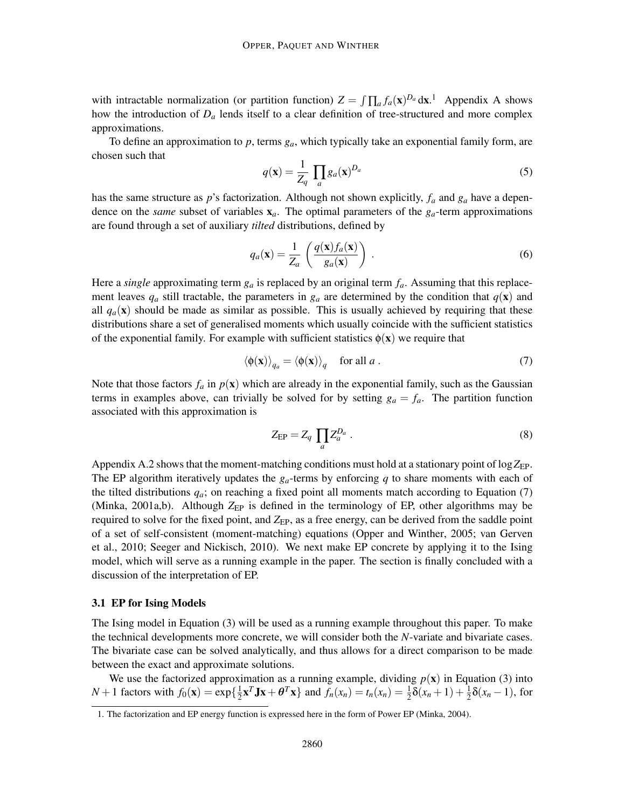with intractable normalization (or partition function)  $Z = \int \prod_a f_a(x)^{D_a} dx$ .<sup>1</sup> Appendix A shows how the introduction of  $D_a$  lends itself to a clear definition of tree-structured and more complex approximations.

To define an approximation to *p*, terms *ga*, which typically take an exponential family form, are chosen such that

$$
q(\mathbf{x}) = \frac{1}{Z_q} \prod_a g_a(\mathbf{x})^{D_a} \tag{5}
$$

has the same structure as *p*'s factorization. Although not shown explicitly, *f<sup>a</sup>* and *g<sup>a</sup>* have a dependence on the *same* subset of variables  $\mathbf{x}_a$ . The optimal parameters of the  $g_a$ -term approximations are found through a set of auxiliary *tilted* distributions, defined by

$$
q_a(\mathbf{x}) = \frac{1}{Z_a} \left( \frac{q(\mathbf{x}) f_a(\mathbf{x})}{g_a(\mathbf{x})} \right) . \tag{6}
$$

Here a *single* approximating term *g<sup>a</sup>* is replaced by an original term *fa*. Assuming that this replacement leaves  $q_a$  still tractable, the parameters in  $g_a$  are determined by the condition that  $q(\mathbf{x})$  and all  $q_a(\mathbf{x})$  should be made as similar as possible. This is usually achieved by requiring that these distributions share a set of generalised moments which usually coincide with the sufficient statistics of the exponential family. For example with sufficient statistics  $\phi(\mathbf{x})$  we require that

$$
\langle \phi(\mathbf{x}) \rangle_{q_a} = \langle \phi(\mathbf{x}) \rangle_q \quad \text{for all } a \,. \tag{7}
$$

Note that those factors  $f_a$  in  $p(x)$  which are already in the exponential family, such as the Gaussian terms in examples above, can trivially be solved for by setting  $g_a = f_a$ . The partition function associated with this approximation is

$$
Z_{\rm EP} = Z_q \prod_a Z_a^{D_a} \,. \tag{8}
$$

Appendix A.2 shows that the moment-matching conditions must hold at a stationary point of  $\log Z_{EP}$ . The EP algorithm iteratively updates the  $g_a$ -terms by enforcing  $q$  to share moments with each of the tilted distributions  $q_a$ ; on reaching a fixed point all moments match according to Equation (7) (Minka, 2001a,b). Although  $Z_{EP}$  is defined in the terminology of EP, other algorithms may be required to solve for the fixed point, and  $Z_{EP}$ , as a free energy, can be derived from the saddle point of a set of self-consistent (moment-matching) equations (Opper and Winther, 2005; van Gerven et al., 2010; Seeger and Nickisch, 2010). We next make EP concrete by applying it to the Ising model, which will serve as a running example in the paper. The section is finally concluded with a discussion of the interpretation of EP.

#### 3.1 EP for Ising Models

The Ising model in Equation (3) will be used as a running example throughout this paper. To make the technical developments more concrete, we will consider both the *N*-variate and bivariate cases. The bivariate case can be solved analytically, and thus allows for a direct comparison to be made between the exact and approximate solutions.

We use the factorized approximation as a running example, dividing  $p(x)$  in Equation (3) into *N* + 1 factors with  $f_0(\mathbf{x}) = \exp\{\frac{1}{2}$  $\frac{1}{2}$ **x**<sup>*T*</sup>**Jx** +  $\theta$ <sup>*T*</sup>**x**} and  $f_n(x_n) = t_n(x_n) = \frac{1}{2}\delta(x_n + 1) + \frac{1}{2}\delta(x_n - 1)$ , for

<sup>1.</sup> The factorization and EP energy function is expressed here in the form of Power EP (Minka, 2004).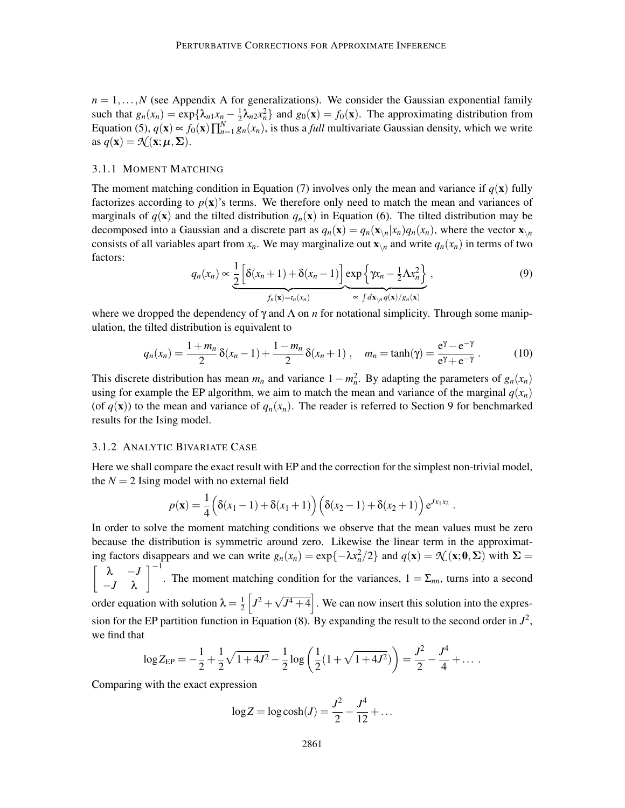$n = 1, \ldots, N$  (see Appendix A for generalizations). We consider the Gaussian exponential family such that  $g_n(x_n) = \exp\{\lambda_{n1}x_n - \frac{1}{2}\}$  $\frac{1}{2}\lambda_{n2}x_n^2$  and  $g_0(\mathbf{x}) = f_0(\mathbf{x})$ . The approximating distribution from Equation (5),  $q(\mathbf{x}) \propto f_0(\mathbf{x}) \prod_{n=1}^{N} g_n(x_n)$ , is thus a *full* multivariate Gaussian density, which we write as  $q(\mathbf{x}) = \mathcal{N}(\mathbf{x}; \boldsymbol{\mu}, \boldsymbol{\Sigma}).$ 

## 3.1.1 MOMENT MATCHING

The moment matching condition in Equation (7) involves only the mean and variance if  $q(\mathbf{x})$  fully factorizes according to  $p(x)$ 's terms. We therefore only need to match the mean and variances of marginals of  $q(\mathbf{x})$  and the tilted distribution  $q_n(\mathbf{x})$  in Equation (6). The tilted distribution may be decomposed into a Gaussian and a discrete part as  $q_n(\mathbf{x}) = q_n(\mathbf{x}_{\setminus n}|x_n)q_n(x_n)$ , where the vector  $\mathbf{x}_{\setminus n}$ consists of all variables apart from  $x_n$ . We may marginalize out  $\mathbf{x}_{\setminus n}$  and write  $q_n(x_n)$  in terms of two factors:

$$
q_n(x_n) \propto \underbrace{\frac{1}{2} \left[ \delta(x_n + 1) + \delta(x_n - 1) \right]}_{f_n(\mathbf{x}) = t_n(x_n)} \underbrace{\exp \left\{ \gamma x_n - \frac{1}{2} \Lambda x_n^2 \right\}}_{\propto \int d\mathbf{x}_{\setminus n} q(\mathbf{x})/g_n(\mathbf{x})}, \qquad (9)
$$

where we dropped the dependency of  $\gamma$  and  $\Lambda$  on *n* for notational simplicity. Through some manipulation, the tilted distribution is equivalent to

$$
q_n(x_n) = \frac{1 + m_n}{2} \delta(x_n - 1) + \frac{1 - m_n}{2} \delta(x_n + 1) , \quad m_n = \tanh(\gamma) = \frac{e^{\gamma} - e^{-\gamma}}{e^{\gamma} + e^{-\gamma}} . \tag{10}
$$

This discrete distribution has mean  $m_n$  and variance  $1 - m_n^2$ . By adapting the parameters of  $g_n(x_n)$ using for example the EP algorithm, we aim to match the mean and variance of the marginal  $q(x_n)$ (of  $q(\mathbf{x})$ ) to the mean and variance of  $q_n(x_n)$ . The reader is referred to Section 9 for benchmarked results for the Ising model.

#### 3.1.2 ANALYTIC BIVARIATE CASE

Here we shall compare the exact result with EP and the correction for the simplest non-trivial model, the  $N = 2$  Ising model with no external field

$$
p(\mathbf{x}) = \frac{1}{4} (\delta(x_1 - 1) + \delta(x_1 + 1)) (\delta(x_2 - 1) + \delta(x_2 + 1)) e^{Jx_1x_2}.
$$

In order to solve the moment matching conditions we observe that the mean values must be zero because the distribution is symmetric around zero. Likewise the linear term in the approximating factors disappears and we can write  $g_n(x_n) = \exp\{-\lambda x_n^2/2\}$  and  $q(\mathbf{x}) = \mathcal{N}(\mathbf{x}; \mathbf{0}, \Sigma)$  with  $\Sigma =$  λ −*J* −*J* λ  $1^{-1}$ . The moment matching condition for the variances,  $1 = \sum_{nn}$ , turns into a second order equation with solution  $\lambda = \frac{1}{2}$  $\frac{1}{2}$   $\left[J^2 + \sqrt{J^4 + 4}\right]$ . We can now insert this solution into the expression for the EP partition function in Equation (8). By expanding the result to the second order in  $J^2$ , we find that

$$
\log Z_{\rm EP} = -\frac{1}{2} + \frac{1}{2}\sqrt{1+4J^2} - \frac{1}{2}\log\left(\frac{1}{2}(1+\sqrt{1+4J^2})\right) = \frac{J^2}{2} - \frac{J^4}{4} + \dots
$$

Comparing with the exact expression

$$
\log Z = \log \cosh(J) = \frac{J^2}{2} - \frac{J^4}{12} + \dots
$$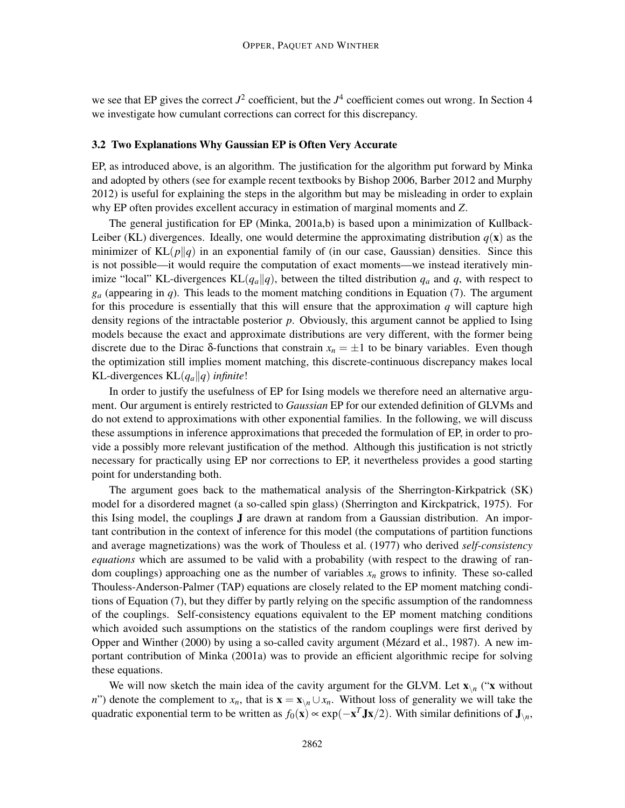we see that EP gives the correct  $J^2$  coefficient, but the  $J^4$  coefficient comes out wrong. In Section 4 we investigate how cumulant corrections can correct for this discrepancy.

## 3.2 Two Explanations Why Gaussian EP is Often Very Accurate

EP, as introduced above, is an algorithm. The justification for the algorithm put forward by Minka and adopted by others (see for example recent textbooks by Bishop 2006, Barber 2012 and Murphy 2012) is useful for explaining the steps in the algorithm but may be misleading in order to explain why EP often provides excellent accuracy in estimation of marginal moments and *Z*.

The general justification for EP (Minka, 2001a,b) is based upon a minimization of Kullback-Leiber (KL) divergences. Ideally, one would determine the approximating distribution  $q(\mathbf{x})$  as the minimizer of  $KL(p||q)$  in an exponential family of (in our case, Gaussian) densities. Since this is not possible—it would require the computation of exact moments—we instead iteratively minimize "local" KL-divergences  $KL(q_a||q)$ , between the tilted distribution  $q_a$  and  $q$ , with respect to  $g_a$  (appearing in *q*). This leads to the moment matching conditions in Equation (7). The argument for this procedure is essentially that this will ensure that the approximation  $q$  will capture high density regions of the intractable posterior *p*. Obviously, this argument cannot be applied to Ising models because the exact and approximate distributions are very different, with the former being discrete due to the Dirac  $\delta$ -functions that constrain  $x_n = \pm 1$  to be binary variables. Even though the optimization still implies moment matching, this discrete-continuous discrepancy makes local KL-divergences  $KL(q_a||q)$  *infinite!* 

In order to justify the usefulness of EP for Ising models we therefore need an alternative argument. Our argument is entirely restricted to *Gaussian* EP for our extended definition of GLVMs and do not extend to approximations with other exponential families. In the following, we will discuss these assumptions in inference approximations that preceded the formulation of EP, in order to provide a possibly more relevant justification of the method. Although this justification is not strictly necessary for practically using EP nor corrections to EP, it nevertheless provides a good starting point for understanding both.

The argument goes back to the mathematical analysis of the Sherrington-Kirkpatrick (SK) model for a disordered magnet (a so-called spin glass) (Sherrington and Kirckpatrick, 1975). For this Ising model, the couplings J are drawn at random from a Gaussian distribution. An important contribution in the context of inference for this model (the computations of partition functions and average magnetizations) was the work of Thouless et al. (1977) who derived *self-consistency equations* which are assumed to be valid with a probability (with respect to the drawing of random couplings) approaching one as the number of variables  $x_n$  grows to infinity. These so-called Thouless-Anderson-Palmer (TAP) equations are closely related to the EP moment matching conditions of Equation (7), but they differ by partly relying on the specific assumption of the randomness of the couplings. Self-consistency equations equivalent to the EP moment matching conditions which avoided such assumptions on the statistics of the random couplings were first derived by Opper and Winther (2000) by using a so-called cavity argument (Mézard et al., 1987). A new important contribution of Minka (2001a) was to provide an efficient algorithmic recipe for solving these equations.

We will now sketch the main idea of the cavity argument for the GLVM. Let  $\mathbf{x}_{\setminus n}$  (" $\mathbf{x}$  without *n*") denote the complement to  $x_n$ , that is  $\mathbf{x} = \mathbf{x}_{\setminus n} \cup x_n$ . Without loss of generality we will take the quadratic exponential term to be written as  $f_0(x) \propto \exp(-x^T J x/2)$ . With similar definitions of  $J_{\setminus n}$ ,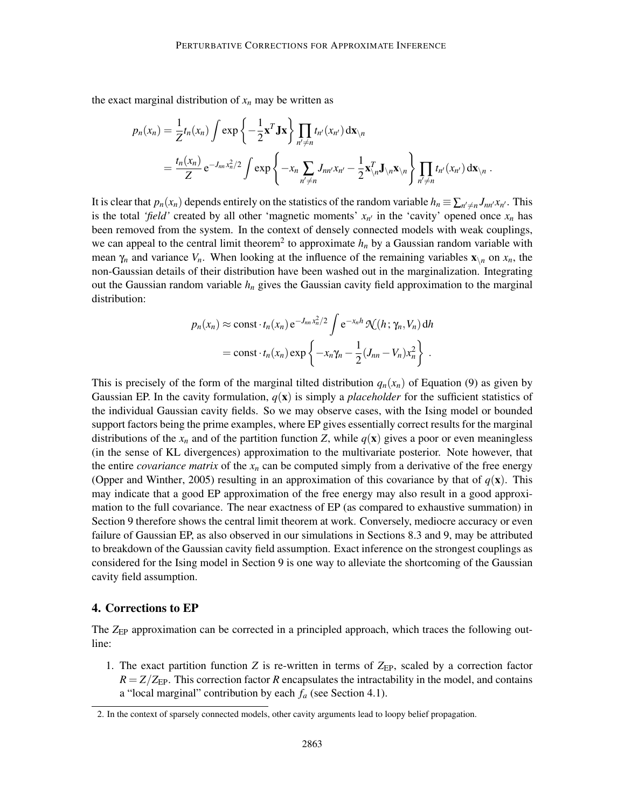the exact marginal distribution of  $x_n$  may be written as

$$
p_n(x_n) = \frac{1}{Z} t_n(x_n) \int \exp\left\{-\frac{1}{2} \mathbf{x}^T \mathbf{J} \mathbf{x}\right\} \prod_{n' \neq n} t_{n'}(x_{n'}) \, \mathrm{d}\mathbf{x}_{\setminus n}
$$
  
=  $\frac{t_n(x_n)}{Z} e^{-J_{nn} x_n^2/2} \int \exp\left\{-x_n \sum_{n' \neq n} J_{nn'} x_{n'} - \frac{1}{2} \mathbf{x}_{\setminus n}^T \mathbf{J}_{\setminus n} \mathbf{x}_{\setminus n}\right\} \prod_{n' \neq n} t_{n'}(x_{n'}) \, \mathrm{d}\mathbf{x}_{\setminus n} .$ 

It is clear that  $p_n(x_n)$  depends entirely on the statistics of the random variable  $h_n \equiv \sum_{n' \neq n} J_{nn'} x_{n'}$ . This is the total *'field'* created by all other 'magnetic moments'  $x_n$  in the 'cavity' opened once  $x_n$  has been removed from the system. In the context of densely connected models with weak couplings, we can appeal to the central limit theorem<sup>2</sup> to approximate  $h_n$  by a Gaussian random variable with mean  $\gamma_n$  and variance  $V_n$ . When looking at the influence of the remaining variables  $\mathbf{x}_{\setminus n}$  on  $x_n$ , the non-Gaussian details of their distribution have been washed out in the marginalization. Integrating out the Gaussian random variable  $h_n$  gives the Gaussian cavity field approximation to the marginal distribution:

$$
p_n(x_n) \approx \text{const} \cdot t_n(x_n) e^{-J_{nn} x_n^2/2} \int e^{-x_n h} \mathcal{N}(h; \gamma_n, V_n) dh
$$
  
= const  $\cdot t_n(x_n) \exp \left\{-x_n \gamma_n - \frac{1}{2} (J_{nn} - V_n) x_n^2\right\}.$ 

This is precisely of the form of the marginal tilted distribution  $q_n(x_n)$  of Equation (9) as given by Gaussian EP. In the cavity formulation,  $q(x)$  is simply a *placeholder* for the sufficient statistics of the individual Gaussian cavity fields. So we may observe cases, with the Ising model or bounded support factors being the prime examples, where EP gives essentially correct results for the marginal distributions of the  $x_n$  and of the partition function *Z*, while  $q(\mathbf{x})$  gives a poor or even meaningless (in the sense of KL divergences) approximation to the multivariate posterior. Note however, that the entire *covariance matrix* of the  $x_n$  can be computed simply from a derivative of the free energy (Opper and Winther, 2005) resulting in an approximation of this covariance by that of  $q(\mathbf{x})$ . This may indicate that a good EP approximation of the free energy may also result in a good approximation to the full covariance. The near exactness of EP (as compared to exhaustive summation) in Section 9 therefore shows the central limit theorem at work. Conversely, mediocre accuracy or even failure of Gaussian EP, as also observed in our simulations in Sections 8.3 and 9, may be attributed to breakdown of the Gaussian cavity field assumption. Exact inference on the strongest couplings as considered for the Ising model in Section 9 is one way to alleviate the shortcoming of the Gaussian cavity field assumption.

## 4. Corrections to EP

The *Z*<sub>EP</sub> approximation can be corrected in a principled approach, which traces the following outline:

1. The exact partition function *Z* is re-written in terms of *Z*<sub>EP</sub>, scaled by a correction factor  $R = Z/Z_{\text{EP}}$ . This correction factor *R* encapsulates the intractability in the model, and contains a "local marginal" contribution by each *f<sup>a</sup>* (see Section 4.1).

<sup>2.</sup> In the context of sparsely connected models, other cavity arguments lead to loopy belief propagation.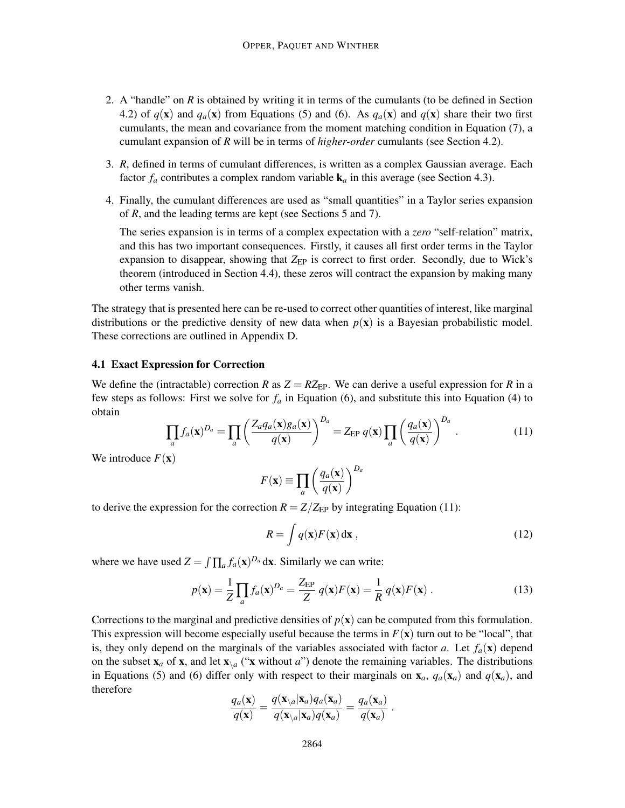- 2. A "handle" on *R* is obtained by writing it in terms of the cumulants (to be defined in Section 4.2) of  $q(\mathbf{x})$  and  $q_a(\mathbf{x})$  from Equations (5) and (6). As  $q_a(\mathbf{x})$  and  $q(\mathbf{x})$  share their two first cumulants, the mean and covariance from the moment matching condition in Equation (7), a cumulant expansion of *R* will be in terms of *higher-order* cumulants (see Section 4.2).
- 3. *R*, defined in terms of cumulant differences, is written as a complex Gaussian average. Each factor  $f_a$  contributes a complex random variable  $\mathbf{k}_a$  in this average (see Section 4.3).
- 4. Finally, the cumulant differences are used as "small quantities" in a Taylor series expansion of *R*, and the leading terms are kept (see Sections 5 and 7).

The series expansion is in terms of a complex expectation with a *zero* "self-relation" matrix, and this has two important consequences. Firstly, it causes all first order terms in the Taylor expansion to disappear, showing that *Z*<sub>EP</sub> is correct to first order. Secondly, due to Wick's theorem (introduced in Section 4.4), these zeros will contract the expansion by making many other terms vanish.

The strategy that is presented here can be re-used to correct other quantities of interest, like marginal distributions or the predictive density of new data when  $p(x)$  is a Bayesian probabilistic model. These corrections are outlined in Appendix D.

## 4.1 Exact Expression for Correction

We define the (intractable) correction *R* as  $Z = RZ_{EP}$ . We can derive a useful expression for *R* in a few steps as follows: First we solve for  $f_a$  in Equation (6), and substitute this into Equation (4) to obtain

$$
\prod_{a} f_a(\mathbf{x})^{D_a} = \prod_{a} \left( \frac{Z_a q_a(\mathbf{x}) g_a(\mathbf{x})}{q(\mathbf{x})} \right)^{D_a} = Z_{\text{EP}} q(\mathbf{x}) \prod_{a} \left( \frac{q_a(\mathbf{x})}{q(\mathbf{x})} \right)^{D_a} . \tag{11}
$$

We introduce  $F(\mathbf{x})$ 

$$
F(\mathbf{x}) \equiv \prod_{a} \left( \frac{q_a(\mathbf{x})}{q(\mathbf{x})} \right)^{D_a}
$$

to derive the expression for the correction  $R = Z/Z_{EP}$  by integrating Equation (11):

$$
R = \int q(\mathbf{x}) F(\mathbf{x}) \, \mathrm{d}\mathbf{x} \,, \tag{12}
$$

where we have used  $Z = \int \prod_a f_a(\mathbf{x})^{D_a} d\mathbf{x}$ . Similarly we can write:

$$
p(\mathbf{x}) = \frac{1}{Z} \prod_a f_a(\mathbf{x})^{D_a} = \frac{Z_{\rm EP}}{Z} q(\mathbf{x}) F(\mathbf{x}) = \frac{1}{R} q(\mathbf{x}) F(\mathbf{x}) . \tag{13}
$$

Corrections to the marginal and predictive densities of  $p(x)$  can be computed from this formulation. This expression will become especially useful because the terms in  $F(x)$  turn out to be "local", that is, they only depend on the marginals of the variables associated with factor *a*. Let  $f_a(\mathbf{x})$  depend on the subset  $\mathbf{x}_a$  of  $\mathbf{x}$ , and let  $\mathbf{x}\setminus a$  (" $\mathbf{x}$  without *a*") denote the remaining variables. The distributions in Equations (5) and (6) differ only with respect to their marginals on  $\mathbf{x}_a$ ,  $q_a(\mathbf{x}_a)$  and  $q(\mathbf{x}_a)$ , and therefore

$$
\frac{q_a(\mathbf{x})}{q(\mathbf{x})} = \frac{q(\mathbf{x}_{\setminus a}|\mathbf{x}_a)q_a(\mathbf{x}_a)}{q(\mathbf{x}_{\setminus a}|\mathbf{x}_a)q(\mathbf{x}_a)} = \frac{q_a(\mathbf{x}_a)}{q(\mathbf{x}_a)}.
$$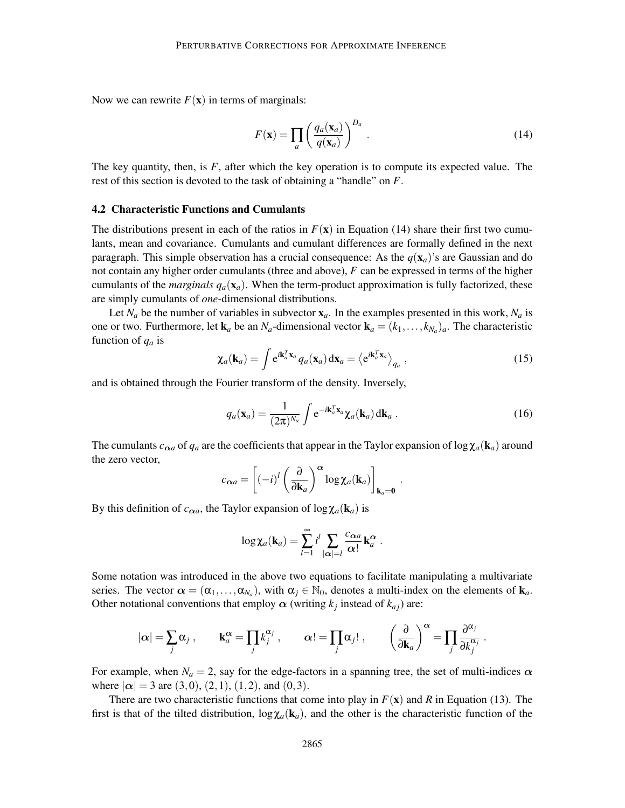Now we can rewrite  $F(\mathbf{x})$  in terms of marginals:

$$
F(\mathbf{x}) = \prod_{a} \left( \frac{q_a(\mathbf{x}_a)}{q(\mathbf{x}_a)} \right)^{D_a} .
$$
 (14)

The key quantity, then, is *F*, after which the key operation is to compute its expected value. The rest of this section is devoted to the task of obtaining a "handle" on *F*.

#### 4.2 Characteristic Functions and Cumulants

The distributions present in each of the ratios in  $F(\mathbf{x})$  in Equation (14) share their first two cumulants, mean and covariance. Cumulants and cumulant differences are formally defined in the next paragraph. This simple observation has a crucial consequence: As the  $q(\mathbf{x}_a)$ 's are Gaussian and do not contain any higher order cumulants (three and above), *F* can be expressed in terms of the higher cumulants of the *marginals*  $q_a(\mathbf{x}_a)$ . When the term-product approximation is fully factorized, these are simply cumulants of *one*-dimensional distributions.

Let  $N_a$  be the number of variables in subvector  $x_a$ . In the examples presented in this work,  $N_a$  is one or two. Furthermore, let  $\mathbf{k}_a$  be an  $N_a$ -dimensional vector  $\mathbf{k}_a = (k_1, \ldots, k_{N_a})_a$ . The characteristic function of *q<sup>a</sup>* is

$$
\chi_a(\mathbf{k}_a) = \int e^{i\mathbf{k}_a^T \mathbf{x}_a} q_a(\mathbf{x}_a) d\mathbf{x}_a = \langle e^{i\mathbf{k}_a^T \mathbf{x}_a} \rangle_{q_a},
$$
\n(15)

and is obtained through the Fourier transform of the density. Inversely,

$$
q_a(\mathbf{x}_a) = \frac{1}{(2\pi)^{N_a}} \int e^{-i\mathbf{k}_a^T \mathbf{x}_a} \chi_a(\mathbf{k}_a) \, \mathrm{d}\mathbf{k}_a \,. \tag{16}
$$

.

The cumulants  $c_{\alpha a}$  of  $q_a$  are the coefficients that appear in the Taylor expansion of log  $\chi_a(\mathbf{k}_a)$  around the zero vector,

$$
c_{\alpha a} = \left[(-i)^l \left(\frac{\partial}{\partial \mathbf{k}_a}\right)^{\alpha} \log \chi_a(\mathbf{k}_a)\right]_{\mathbf{k}_a = \mathbf{0}}
$$

By this definition of  $c_{\alpha a}$ , the Taylor expansion of  $\log \chi_a(\mathbf{k}_a)$  is

$$
\log \chi_a(\mathbf{k}_a) = \sum_{l=1}^{\infty} i^l \sum_{|\alpha|=l} \frac{c_{\alpha a}}{\alpha!} \mathbf{k}_a^{\alpha}.
$$

Some notation was introduced in the above two equations to facilitate manipulating a multivariate series. The vector  $\alpha = (\alpha_1, \dots, \alpha_{N_a})$ , with  $\alpha_j \in \mathbb{N}_0$ , denotes a multi-index on the elements of  $\mathbf{k}_a$ . Other notational conventions that employ  $\alpha$  (writing  $k_j$  instead of  $k_{aj}$ ) are:

$$
|\alpha| = \sum_j \alpha_j
$$
,  $\mathbf{k}_a^{\alpha} = \prod_j k_j^{\alpha_j}$ ,  $\alpha! = \prod_j \alpha_j!$ ,  $(\frac{\partial}{\partial \mathbf{k}_a})^{\alpha} = \prod_j \frac{\partial^{\alpha_j}}{\partial k_j^{\alpha_j}}$ .

For example, when  $N_a = 2$ , say for the edge-factors in a spanning tree, the set of multi-indices  $\alpha$ where  $|\alpha| = 3$  are  $(3,0)$ ,  $(2,1)$ ,  $(1,2)$ , and  $(0,3)$ .

There are two characteristic functions that come into play in  $F(\mathbf{x})$  and  $R$  in Equation (13). The first is that of the tilted distribution,  $\log \chi_a(\mathbf{k}_a)$ , and the other is the characteristic function of the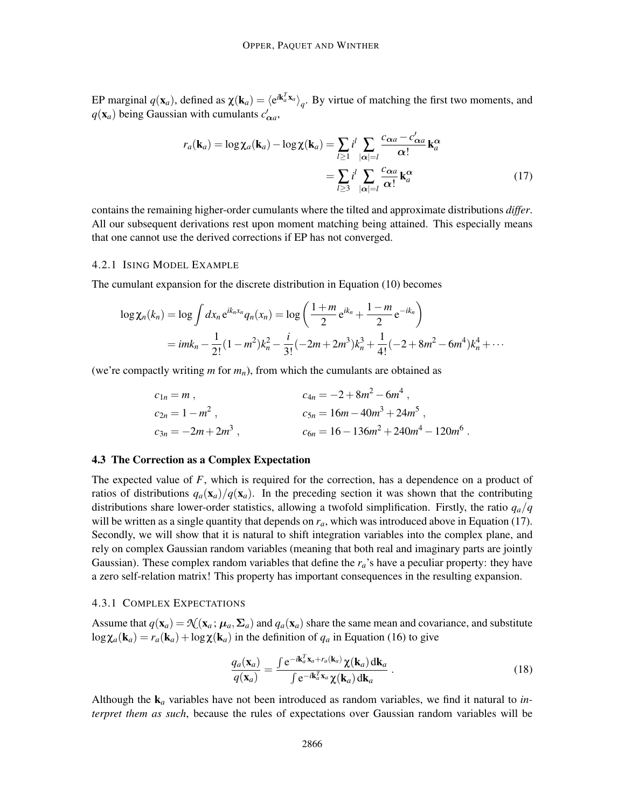EP marginal  $q(\mathbf{x}_a)$ , defined as  $\chi(\mathbf{k}_a) = \langle e^{i\mathbf{k}_a^T \mathbf{x}_a} \rangle_q$ . By virtue of matching the first two moments, and  $q(\mathbf{x}_a)$  being Gaussian with cumulants  $c'_{\alpha a}$ ,

$$
r_a(\mathbf{k}_a) = \log \chi_a(\mathbf{k}_a) - \log \chi(\mathbf{k}_a) = \sum_{l \ge 1} i^l \sum_{|\alpha| = l} \frac{c_{\alpha a} - c'_{\alpha a}}{\alpha!} \mathbf{k}_a^{\alpha}
$$

$$
= \sum_{l \ge 3} i^l \sum_{|\alpha| = l} \frac{c_{\alpha a}}{\alpha!} \mathbf{k}_a^{\alpha} \tag{17}
$$

contains the remaining higher-order cumulants where the tilted and approximate distributions *differ*. All our subsequent derivations rest upon moment matching being attained. This especially means that one cannot use the derived corrections if EP has not converged.

## 4.2.1 ISING MODEL EXAMPLE

The cumulant expansion for the discrete distribution in Equation (10) becomes

$$
\log \chi_n(k_n) = \log \int dx_n e^{ik_n x_n} q_n(x_n) = \log \left( \frac{1+m}{2} e^{ik_n} + \frac{1-m}{2} e^{-ik_n} \right)
$$
  
=  $im k_n - \frac{1}{2!} (1 - m^2) k_n^2 - \frac{i}{3!} (-2m + 2m^3) k_n^3 + \frac{1}{4!} (-2 + 8m^2 - 6m^4) k_n^4 + \cdots$ 

(we're compactly writing *m* for *mn*), from which the cumulants are obtained as

$$
c_{1n} = m , \t c_{2n} = 1 - m^2 , \t c_{3n} = -2m + 2m^3 , \t c_{5n} = 16m - 40m^3 + 24m^5 ,
$$
  
\n
$$
c_{3n} = -2m + 2m^3 , \t c_{6n} = 16 - 136m^2 + 240m^4 - 120m^6 .
$$

## 4.3 The Correction as a Complex Expectation

The expected value of *F*, which is required for the correction, has a dependence on a product of ratios of distributions  $q_a(\mathbf{x}_a)/q(\mathbf{x}_a)$ . In the preceding section it was shown that the contributing distributions share lower-order statistics, allowing a twofold simplification. Firstly, the ratio *qa*/*q* will be written as a single quantity that depends on  $r_a$ , which was introduced above in Equation (17). Secondly, we will show that it is natural to shift integration variables into the complex plane, and rely on complex Gaussian random variables (meaning that both real and imaginary parts are jointly Gaussian). These complex random variables that define the  $r_a$ 's have a peculiar property: they have a zero self-relation matrix! This property has important consequences in the resulting expansion.

#### 4.3.1 COMPLEX EXPECTATIONS

Assume that  $q(\mathbf{x}_a) = \mathcal{N}(\mathbf{x}_a; \mu_a, \Sigma_a)$  and  $q_a(\mathbf{x}_a)$  share the same mean and covariance, and substitute  $\log \chi_a(\mathbf{k}_a) = r_a(\mathbf{k}_a) + \log \chi(\mathbf{k}_a)$  in the definition of  $q_a$  in Equation (16) to give

$$
\frac{q_a(\mathbf{x}_a)}{q(\mathbf{x}_a)} = \frac{\int e^{-i\mathbf{k}_a^T \mathbf{x}_a + r_a(\mathbf{k}_a)} \chi(\mathbf{k}_a) d\mathbf{k}_a}{\int e^{-i\mathbf{k}_a^T \mathbf{x}_a} \chi(\mathbf{k}_a) d\mathbf{k}_a} \,. \tag{18}
$$

Although the  $\mathbf{k}_a$  variables have not been introduced as random variables, we find it natural to *interpret them as such*, because the rules of expectations over Gaussian random variables will be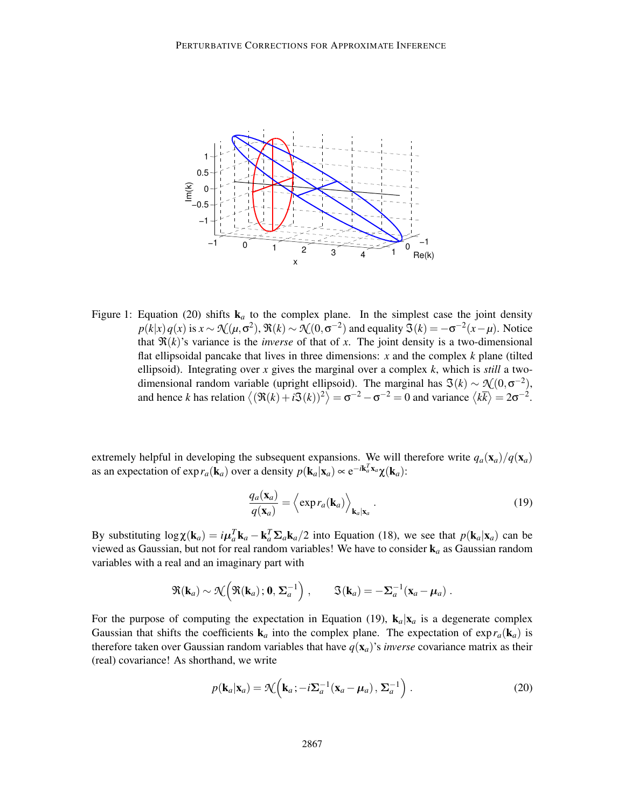

Figure 1: Equation (20) shifts  $k_a$  to the complex plane. In the simplest case the joint density  $p(k|x)q(x)$  is  $x \sim \mathcal{N}(\mu, \sigma^2)$ ,  $\Re(k) \sim \mathcal{N}(0, \sigma^{-2})$  and equality  $\Im(k) = -\sigma^{-2}(x-\mu)$ . Notice that  $\Re(k)$ 's variance is the *inverse* of that of *x*. The joint density is a two-dimensional flat ellipsoidal pancake that lives in three dimensions: *x* and the complex *k* plane (tilted ellipsoid). Integrating over *x* gives the marginal over a complex *k*, which is *still* a twodimensional random variable (upright ellipsoid). The marginal has  $\mathfrak{I}(k) \sim \mathfrak{I}(0, \sigma^{-2})$ , and hence *k* has relation  $\langle (\Re(k) + i\Im(k))^2 \rangle = \sigma^{-2} - \sigma^{-2} = 0$  and variance  $\langle k\bar{k} \rangle = 2\sigma^{-2}$ .

extremely helpful in developing the subsequent expansions. We will therefore write  $q_a(\mathbf{x}_a)/q(\mathbf{x}_a)$ as an expectation of  $\exp r_a(\mathbf{k}_a)$  over a density  $p(\mathbf{k}_a|\mathbf{x}_a) \approx e^{-i\mathbf{k}_a^T\mathbf{x}_a}\chi(\mathbf{k}_a)$ :

$$
\frac{q_a(\mathbf{x}_a)}{q(\mathbf{x}_a)} = \left\langle \exp r_a(\mathbf{k}_a) \right\rangle_{\mathbf{k}_a|\mathbf{x}_a}.
$$
\n(19)

By substituting  $log \chi(\mathbf{k}_a) = i\mu_a^T \mathbf{k}_a - \mathbf{k}_a^T \Sigma_a \mathbf{k}_a/2$  into Equation (18), we see that  $p(\mathbf{k}_a | \mathbf{x}_a)$  can be viewed as Gaussian, but not for real random variables! We have to consider k*<sup>a</sup>* as Gaussian random variables with a real and an imaginary part with

$$
\Re(\mathbf{k}_a) \sim \mathcal{N}\Big(\Re(\mathbf{k}_a); \mathbf{0}, \Sigma_a^{-1}\Big) , \qquad \Im(\mathbf{k}_a) = -\Sigma_a^{-1}(\mathbf{x}_a - \boldsymbol{\mu}_a) .
$$

For the purpose of computing the expectation in Equation (19),  $\mathbf{k}_a|\mathbf{x}_a$  is a degenerate complex Gaussian that shifts the coefficients  $\mathbf{k}_a$  into the complex plane. The expectation of  $\exp r_a(\mathbf{k}_a)$  is therefore taken over Gaussian random variables that have  $q(\mathbf{x}_a)$ 's *inverse* covariance matrix as their (real) covariance! As shorthand, we write

$$
p(\mathbf{k}_a|\mathbf{x}_a) = \mathcal{N}\Big(\mathbf{k}_a; -i\boldsymbol{\Sigma}_a^{-1}(\mathbf{x}_a - \boldsymbol{\mu}_a), \boldsymbol{\Sigma}_a^{-1}\Big) .
$$
 (20)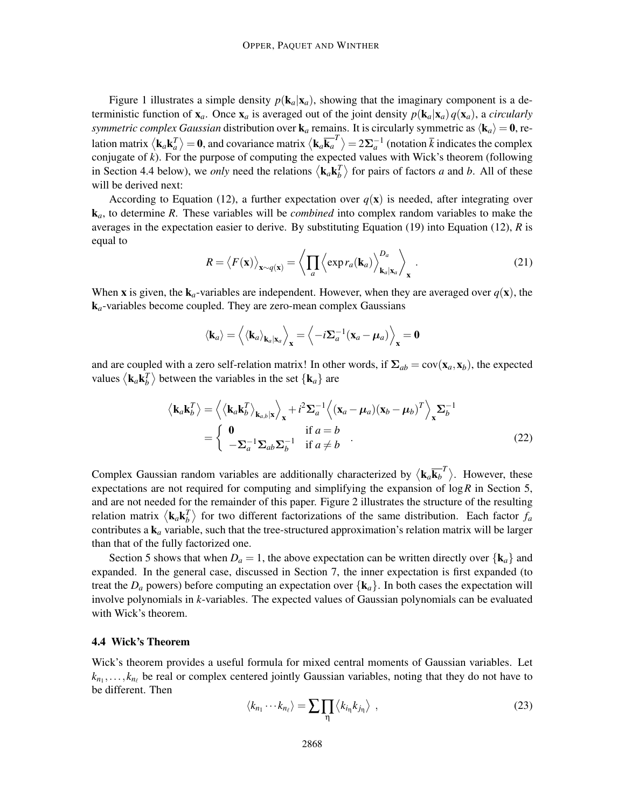Figure 1 illustrates a simple density  $p(\mathbf{k}_a|\mathbf{x}_a)$ , showing that the imaginary component is a deterministic function of  $\mathbf{x}_a$ . Once  $\mathbf{x}_a$  is averaged out of the joint density  $p(\mathbf{k}_a|\mathbf{x}_a)q(\mathbf{x}_a)$ , a *circularly symmetric complex Gaussian* distribution over  $\mathbf{k}_a$  remains. It is circularly symmetric as  $\langle \mathbf{k}_a \rangle = \mathbf{0}$ , relation matrix  $\langle k_a k_a^T\rangle = 0$ , and covariance matrix  $\langle k_a \overline{k_a}^T\rangle = 2\Sigma_a^{-1}$  (notation  $\overline{k}$  indicates the complex conjugate of *k*). For the purpose of computing the expected values with Wick's theorem (following in Section 4.4 below), we *only* need the relations  $\langle \mathbf{k}_a \mathbf{k}_b^T \rangle$  for pairs of factors *a* and *b*. All of these will be derived next:

According to Equation (12), a further expectation over  $q(\mathbf{x})$  is needed, after integrating over k*a*, to determine *R*. These variables will be *combined* into complex random variables to make the averages in the expectation easier to derive. By substituting Equation (19) into Equation (12), *R* is equal to

$$
R = \langle F(\mathbf{x}) \rangle_{\mathbf{x} \sim q(\mathbf{x})} = \left\langle \prod_{a} \left\langle \exp r_a(\mathbf{k}_a) \right\rangle_{\mathbf{k}_a|\mathbf{x}_a}^{\mathbf{D}_a} \right\rangle_{\mathbf{x}} . \tag{21}
$$

When **x** is given, the  $\mathbf{k}_a$ -variables are independent. However, when they are averaged over  $q(\mathbf{x})$ , the k*a*-variables become coupled. They are zero-mean complex Gaussians

$$
\langle \mathbf{k}_a \rangle = \langle \langle \mathbf{k}_a \rangle_{\mathbf{k}_a | \mathbf{x}_a} \rangle_{\mathbf{x}} = \langle -i \Sigma_a^{-1} (\mathbf{x}_a - \boldsymbol{\mu}_a) \rangle_{\mathbf{x}} = \mathbf{0}
$$

and are coupled with a zero self-relation matrix! In other words, if  $\Sigma_{ab} = \text{cov}(\mathbf{x}_a, \mathbf{x}_b)$ , the expected values  $\langle \mathbf{k}_a \mathbf{k}_b^T \rangle$  between the variables in the set  $\{ \mathbf{k}_a \}$  are

$$
\langle \mathbf{k}_a \mathbf{k}_b^T \rangle = \left\langle \langle \mathbf{k}_a \mathbf{k}_b^T \rangle_{\mathbf{k}_{a,b}|\mathbf{x}} \right\rangle_{\mathbf{x}} + i^2 \Sigma_a^{-1} \left\langle (\mathbf{x}_a - \boldsymbol{\mu}_a)(\mathbf{x}_b - \boldsymbol{\mu}_b)^T \right\rangle_{\mathbf{x}} \Sigma_b^{-1}
$$
  
= 
$$
\begin{cases} \mathbf{0} & \text{if } a = b \\ -\Sigma_a^{-1} \Sigma_{ab} \Sigma_b^{-1} & \text{if } a \neq b \end{cases}
$$
 (22)

Complex Gaussian random variables are additionally characterized by  $\langle \mathbf{k}_a \overline{\mathbf{k}_b}^T \rangle$ . However, these expectations are not required for computing and simplifying the expansion of log*R* in Section 5, and are not needed for the remainder of this paper. Figure 2 illustrates the structure of the resulting relation matrix  $\langle \mathbf{k}_a \mathbf{k}_b^T \rangle$  for two different factorizations of the same distribution. Each factor  $f_a$ contributes a k*<sup>a</sup>* variable, such that the tree-structured approximation's relation matrix will be larger than that of the fully factorized one.

Section 5 shows that when  $D_a = 1$ , the above expectation can be written directly over  $\{k_a\}$  and expanded. In the general case, discussed in Section 7, the inner expectation is first expanded (to treat the  $D_a$  powers) before computing an expectation over  $\{k_a\}$ . In both cases the expectation will involve polynomials in *k*-variables. The expected values of Gaussian polynomials can be evaluated with Wick's theorem.

#### 4.4 Wick's Theorem

Wick's theorem provides a useful formula for mixed central moments of Gaussian variables. Let  $k_{n_1}, \ldots, k_{n_\ell}$  be real or complex centered jointly Gaussian variables, noting that they do not have to be different. Then

$$
\langle k_{n_1} \cdots k_{n_\ell} \rangle = \sum_{\eta} \prod_{\eta} \langle k_{i_\eta} k_{j_\eta} \rangle \tag{23}
$$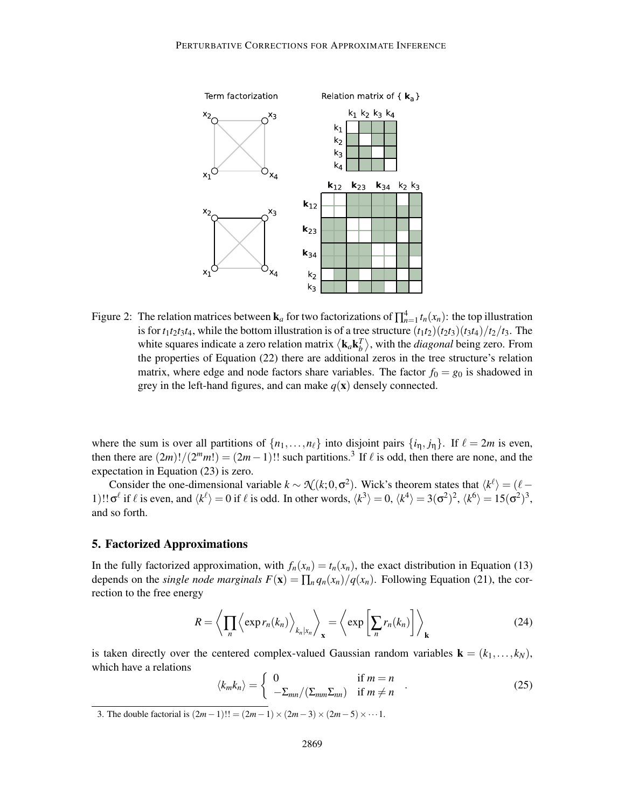

Figure 2: The relation matrices between  $\mathbf{k}_a$  for two factorizations of  $\prod_{n=1}^4 t_n(x_n)$ : the top illustration is for  $t_1t_2t_3t_4$ , while the bottom illustration is of a tree structure  $(t_1t_2)(t_2t_3)(t_3t_4)/t_2/t_3$ . The white squares indicate a zero relation matrix  $\langle \mathbf{k}_a \mathbf{k}_b^T \rangle$ , with the *diagonal* being zero. From the properties of Equation (22) there are additional zeros in the tree structure's relation matrix, where edge and node factors share variables. The factor  $f_0 = g_0$  is shadowed in grey in the left-hand figures, and can make  $q(\mathbf{x})$  densely connected.

where the sum is over all partitions of  $\{n_1, \ldots, n_\ell\}$  into disjoint pairs  $\{i_n, j_n\}$ . If  $\ell = 2m$  is even, then there are  $(2m)!/(2^m m!) = (2m-1)!$  such partitions.<sup>3</sup> If  $\ell$  is odd, then there are none, and the expectation in Equation (23) is zero.

Consider the one-dimensional variable  $k \sim \mathcal{N}(k; 0, \sigma^2)$ . Wick's theorem states that  $\langle k^{\ell} \rangle = (\ell - \sigma^2)$ 1)!!  $\sigma^{\ell}$  if  $\ell$  is even, and  $\langle k^{\ell} \rangle = 0$  if  $\ell$  is odd. In other words,  $\langle k^3 \rangle = 0$ ,  $\langle k^4 \rangle = 3(\sigma^2)^2$ ,  $\langle k^6 \rangle = 15(\sigma^2)^3$ , and so forth.

## 5. Factorized Approximations

In the fully factorized approximation, with  $f_n(x_n) = t_n(x_n)$ , the exact distribution in Equation (13) depends on the *single node marginals*  $F(\mathbf{x}) = \prod_{n} q_n(x_n) / q(x_n)$ . Following Equation (21), the correction to the free energy

$$
R = \left\langle \prod_{n} \left\langle \exp r_{n}(k_{n}) \right\rangle_{k_{n}|x_{n}} \right\rangle_{\mathbf{x}} = \left\langle \exp \left[ \sum_{n} r_{n}(k_{n}) \right] \right\rangle_{\mathbf{k}} \tag{24}
$$

is taken directly over the centered complex-valued Gaussian random variables  $\mathbf{k} = (k_1, \ldots, k_N)$ , which have a relations

$$
\langle k_m k_n \rangle = \begin{cases} 0 & \text{if } m = n \\ -\Sigma_{mn} / (\Sigma_{mm} \Sigma_{nn}) & \text{if } m \neq n \end{cases} . \tag{25}
$$

3. The double factorial is  $(2m-1)!! = (2m-1) \times (2m-3) \times (2m-5) \times \cdots$  1.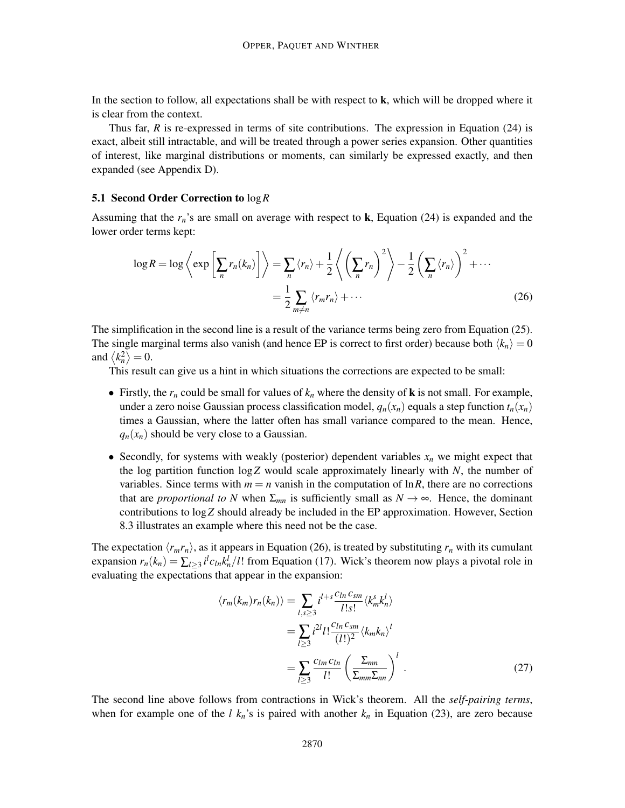In the section to follow, all expectations shall be with respect to  $\bf{k}$ , which will be dropped where it is clear from the context.

Thus far, *R* is re-expressed in terms of site contributions. The expression in Equation (24) is exact, albeit still intractable, and will be treated through a power series expansion. Other quantities of interest, like marginal distributions or moments, can similarly be expressed exactly, and then expanded (see Appendix D).

#### 5.1 Second Order Correction to log*R*

Assuming that the  $r_n$ 's are small on average with respect to  $\bf{k}$ , Equation (24) is expanded and the lower order terms kept:

$$
\log R = \log \left\langle \exp \left[ \sum_{n} r_{n}(k_{n}) \right] \right\rangle = \sum_{n} \left\langle r_{n} \right\rangle + \frac{1}{2} \left\langle \left( \sum_{n} r_{n} \right)^{2} \right\rangle - \frac{1}{2} \left( \sum_{n} \left\langle r_{n} \right\rangle \right)^{2} + \cdots
$$

$$
= \frac{1}{2} \sum_{m \neq n} \left\langle r_{m} r_{n} \right\rangle + \cdots
$$
(26)

The simplification in the second line is a result of the variance terms being zero from Equation (25). The single marginal terms also vanish (and hence EP is correct to first order) because both  $\langle k_n \rangle = 0$ and  $\langle k_n^2 \rangle = 0$ .

This result can give us a hint in which situations the corrections are expected to be small:

- Firstly, the  $r_n$  could be small for values of  $k_n$  where the density of **k** is not small. For example, under a zero noise Gaussian process classification model,  $q_n(x_n)$  equals a step function  $t_n(x_n)$ times a Gaussian, where the latter often has small variance compared to the mean. Hence,  $q_n(x_n)$  should be very close to a Gaussian.
- Secondly, for systems with weakly (posterior) dependent variables  $x_n$  we might expect that the log partition function log*Z* would scale approximately linearly with *N*, the number of variables. Since terms with  $m = n$  vanish in the computation of  $\ln R$ , there are no corrections that are *proportional to* N when  $\Sigma_{mn}$  is sufficiently small as  $N \rightarrow \infty$ . Hence, the dominant contributions to log*Z* should already be included in the EP approximation. However, Section 8.3 illustrates an example where this need not be the case.

The expectation  $\langle r_m r_n \rangle$ , as it appears in Equation (26), is treated by substituting  $r_n$  with its cumulant expansion  $r_n(k_n) = \sum_{l \ge 3} i^l c_{ln} k_n^l / l!$  from Equation (17). Wick's theorem now plays a pivotal role in evaluating the expectations that appear in the expansion:

$$
\langle r_m(k_m)r_n(k_n)\rangle = \sum_{l,s\geq 3} i^{l+s} \frac{c_{ln}c_{sm}}{l!s!} \langle k_m^s k_n^l \rangle
$$
  
= 
$$
\sum_{l\geq 3} i^{2l} l! \frac{c_{ln}c_{sm}}{(l!)^2} \langle k_m k_n \rangle^l
$$
  
= 
$$
\sum_{l\geq 3} \frac{c_{lm}c_{ln}}{l!} \left(\frac{\Sigma_{mn}}{\Sigma_{mm}\Sigma_{nn}}\right)^l.
$$
 (27)

The second line above follows from contractions in Wick's theorem. All the *self-pairing terms*, when for example one of the *l*  $k_n$ 's is paired with another  $k_n$  in Equation (23), are zero because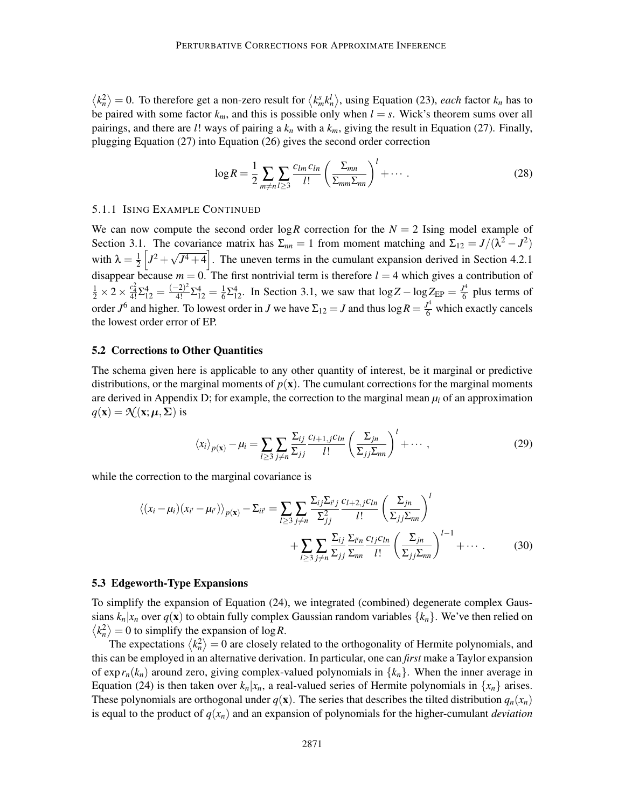$\langle k_n^2 \rangle = 0$ . To therefore get a non-zero result for  $\langle k_m^s k_n^l \rangle$ , using Equation (23), *each* factor  $k_n$  has to be paired with some factor  $k_m$ , and this is possible only when  $l = s$ . Wick's theorem sums over all pairings, and there are *l*! ways of pairing a *k<sup>n</sup>* with a *km*, giving the result in Equation (27). Finally, plugging Equation (27) into Equation (26) gives the second order correction

$$
\log R = \frac{1}{2} \sum_{m \neq n} \sum_{l \geq 3} \frac{c_{lm} c_{ln}}{l!} \left( \frac{\Sigma_{mn}}{\Sigma_{mm} \Sigma_{nn}} \right)^l + \cdots \,. \tag{28}
$$

#### 5.1.1 ISING EXAMPLE CONTINUED

We can now compute the second order  $\log R$  correction for the  $N = 2$  Ising model example of Section 3.1. The covariance matrix has  $\Sigma_{nn} = 1$  from moment matching and  $\Sigma_{12} = J/(\lambda^2 - J^2)$ with  $\lambda = \frac{1}{2}$  $\frac{1}{2}$   $\left[J^2 + \sqrt{J^4 + 4}\right]$ . The uneven terms in the cumulant expansion derived in Section 4.2.1 disappear because  $m = 0$ . The first nontrivial term is therefore  $l = 4$  which gives a contribution of  $\frac{1}{2} \times 2 \times \frac{c_4^2}{4!} \Sigma_{12}^4 = \frac{(-2)^2}{4!} \Sigma_{12}^4 = \frac{1}{6}$  $\frac{1}{6}\Sigma_{12}^4$ . In Section 3.1, we saw that  $\log Z - \log Z_{EP} = \frac{J^4}{6}$  $\frac{1}{6}$  plus terms of order  $J^6$  and higher. To lowest order in *J* we have  $\Sigma_{12} = J$  and thus  $\log R = \frac{J^4}{6}$  which exactly cancels the lowest order error of EP.

#### 5.2 Corrections to Other Quantities

The schema given here is applicable to any other quantity of interest, be it marginal or predictive distributions, or the marginal moments of  $p(x)$ . The cumulant corrections for the marginal moments are derived in Appendix D; for example, the correction to the marginal mean  $\mu_i$  of an approximation  $q(\mathbf{x}) = \mathcal{N}(\mathbf{x}; \boldsymbol{\mu}, \boldsymbol{\Sigma})$  is

$$
\langle x_i \rangle_{p(\mathbf{x})} - \mu_i = \sum_{l \ge 3} \sum_{j \ne n} \frac{\Sigma_{ij}}{\Sigma_{jj}} \frac{c_{l+1,j} c_{ln}}{l!} \left( \frac{\Sigma_{jn}}{\Sigma_{jj} \Sigma_{nn}} \right)^l + \cdots , \qquad (29)
$$

while the correction to the marginal covariance is

$$
\langle (x_i - \mu_i)(x_{i'} - \mu_{i'}) \rangle_{p(\mathbf{x})} - \Sigma_{ii'} = \sum_{l \ge 3} \sum_{j \ne n} \frac{\Sigma_{ij} \Sigma_{i'j}}{\Sigma_{jj}^2} \frac{c_{l+2,j} c_{ln}}{l!} \left( \frac{\Sigma_{jn}}{\Sigma_{jj} \Sigma_{nn}} \right)^l
$$

$$
+ \sum_{l \ge 3} \sum_{j \ne n} \frac{\Sigma_{ij}}{\Sigma_{jj}} \frac{\Sigma_{i'n}}{\Sigma_{nn}} \frac{c_{lj} c_{ln}}{l!} \left( \frac{\Sigma_{jn}}{\Sigma_{jj} \Sigma_{nn}} \right)^{l-1} + \cdots \qquad (30)
$$

#### 5.3 Edgeworth-Type Expansions

To simplify the expansion of Equation (24), we integrated (combined) degenerate complex Gaussians  $k_n|x_n$  over  $q(\mathbf{x})$  to obtain fully complex Gaussian random variables  $\{k_n\}$ . We've then relied on  $\langle k_n^2 \rangle = 0$  to simplify the expansion of log *R*.

The expectations  $\langle k_n^2 \rangle = 0$  are closely related to the orthogonality of Hermite polynomials, and this can be employed in an alternative derivation. In particular, one can *first* make a Taylor expansion of  $\exp(r_n(k_n))$  around zero, giving complex-valued polynomials in  $\{k_n\}$ . When the inner average in Equation (24) is then taken over  $k_n|x_n$ , a real-valued series of Hermite polynomials in  $\{x_n\}$  arises. These polynomials are orthogonal under  $q(\mathbf{x})$ . The series that describes the tilted distribution  $q_n(x_n)$ is equal to the product of  $q(x_n)$  and an expansion of polynomials for the higher-cumulant *deviation*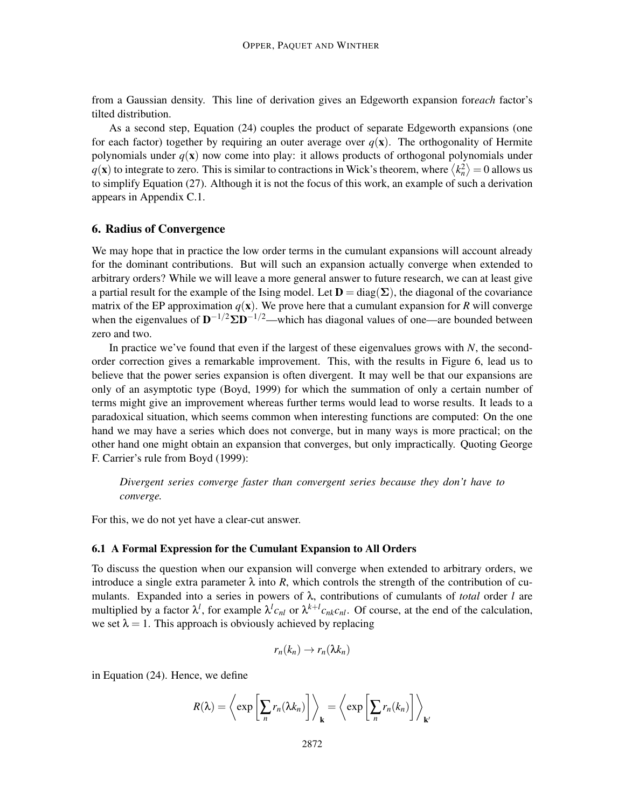from a Gaussian density. This line of derivation gives an Edgeworth expansion for*each* factor's tilted distribution.

As a second step, Equation (24) couples the product of separate Edgeworth expansions (one for each factor) together by requiring an outer average over  $q(x)$ . The orthogonality of Hermite polynomials under *q*(x) now come into play: it allows products of orthogonal polynomials under  $q(\mathbf{x})$  to integrate to zero. This is similar to contractions in Wick's theorem, where  $\langle k_n^2 \rangle = 0$  allows us to simplify Equation (27). Although it is not the focus of this work, an example of such a derivation appears in Appendix C.1.

## 6. Radius of Convergence

We may hope that in practice the low order terms in the cumulant expansions will account already for the dominant contributions. But will such an expansion actually converge when extended to arbitrary orders? While we will leave a more general answer to future research, we can at least give a partial result for the example of the Ising model. Let  $D = diag(\Sigma)$ , the diagonal of the covariance matrix of the EP approximation  $q(x)$ . We prove here that a cumulant expansion for *R* will converge when the eigenvalues of  $D^{-1/2} \Sigma D^{-1/2}$ —which has diagonal values of one—are bounded between zero and two.

In practice we've found that even if the largest of these eigenvalues grows with *N*, the secondorder correction gives a remarkable improvement. This, with the results in Figure 6, lead us to believe that the power series expansion is often divergent. It may well be that our expansions are only of an asymptotic type (Boyd, 1999) for which the summation of only a certain number of terms might give an improvement whereas further terms would lead to worse results. It leads to a paradoxical situation, which seems common when interesting functions are computed: On the one hand we may have a series which does not converge, but in many ways is more practical; on the other hand one might obtain an expansion that converges, but only impractically. Quoting George F. Carrier's rule from Boyd (1999):

*Divergent series converge faster than convergent series because they don't have to converge.*

For this, we do not yet have a clear-cut answer.

## 6.1 A Formal Expression for the Cumulant Expansion to All Orders

To discuss the question when our expansion will converge when extended to arbitrary orders, we introduce a single extra parameter  $\lambda$  into *R*, which controls the strength of the contribution of cumulants. Expanded into a series in powers of λ, contributions of cumulants of *total* order *l* are multiplied by a factor  $\lambda^l$ , for example  $\lambda^l c_{nl}$  or  $\lambda^{k+l} c_{nk} c_{nl}$ . Of course, at the end of the calculation, we set  $\lambda = 1$ . This approach is obviously achieved by replacing

$$
r_n(k_n)\to r_n(\lambda k_n)
$$

in Equation (24). Hence, we define

$$
R(\lambda) = \left\langle \exp \left[ \sum_n r_n(\lambda k_n) \right] \right\rangle_{\mathbf{k}} = \left\langle \exp \left[ \sum_n r_n(k_n) \right] \right\rangle_{\mathbf{k}'}
$$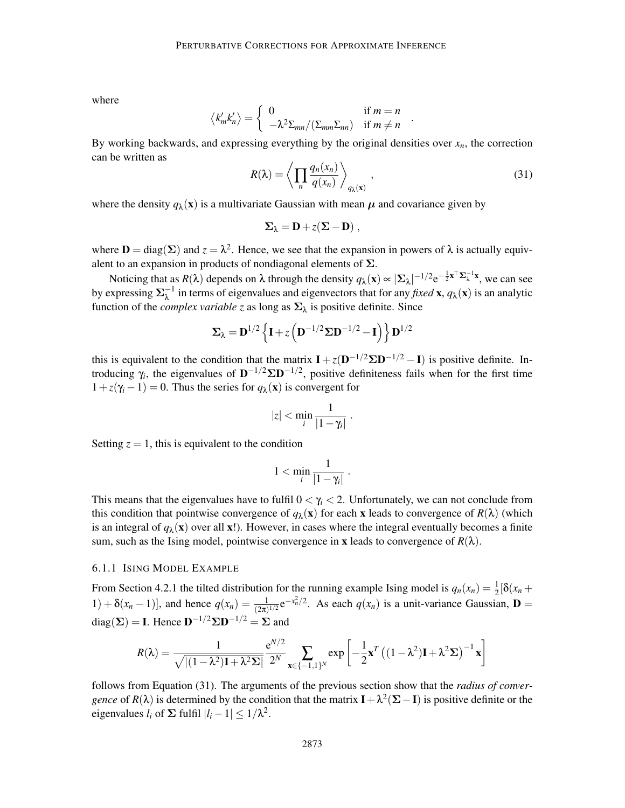where

$$
\langle k'_m k'_n \rangle = \begin{cases} 0 & \text{if } m = n \\ -\lambda^2 \Sigma_{mn} / (\Sigma_{mn} \Sigma_{nn}) & \text{if } m \neq n \end{cases}
$$

By working backwards, and expressing everything by the original densities over  $x_n$ , the correction can be written as

$$
R(\lambda) = \left\langle \prod_{n} \frac{q_n(x_n)}{q(x_n)} \right\rangle_{q_\lambda(\mathbf{x})},\tag{31}
$$

.

where the density  $q_{\lambda}(\mathbf{x})$  is a multivariate Gaussian with mean  $\mu$  and covariance given by

$$
\Sigma_\lambda = D + z (\Sigma - D) \; ,
$$

where  $\mathbf{D} = \text{diag}(\Sigma)$  and  $z = \lambda^2$ . Hence, we see that the expansion in powers of  $\lambda$  is actually equivalent to an expansion in products of nondiagonal elements of  $\Sigma$ .

Noticing that as  $R(\lambda)$  depends on  $\lambda$  through the density  $q_{\lambda}(\mathbf{x}) \propto |\Sigma_{\lambda}|^{-1/2} e^{-\frac{1}{2}\mathbf{x}^{\top} \Sigma_{\lambda}^{-1} \mathbf{x}}$ , we can see by expressing  $\Sigma_{\lambda}^{-1}$  in terms of eigenvalues and eigenvectors that for any *fixed* **x**,  $q_{\lambda}$ (**x**) is an analytic function of the *complex variable z* as long as  $\Sigma_{\lambda}$  is positive definite. Since

$$
\Sigma_{\lambda} = \mathbf{D}^{1/2} \left\{ \mathbf{I} + z \left( \mathbf{D}^{-1/2} \Sigma \mathbf{D}^{-1/2} - \mathbf{I} \right) \right\} \mathbf{D}^{1/2}
$$

this is equivalent to the condition that the matrix  $\mathbf{I} + z(\mathbf{D}^{-1/2}\Sigma \mathbf{D}^{-1/2} - \mathbf{I})$  is positive definite. Introducing  $\gamma_i$ , the eigenvalues of  $D^{-1/2} \Sigma D^{-1/2}$ , positive definiteness fails when for the first time  $1+z(\gamma_i-1)=0$ . Thus the series for  $q_\lambda(\mathbf{x})$  is convergent for

$$
|z| < \min_i \frac{1}{|1 - \gamma_i|} \; .
$$

Setting  $z = 1$ , this is equivalent to the condition

$$
1<\min_i\frac{1}{|1-\gamma_i|}.
$$

This means that the eigenvalues have to fulfil  $0 < \gamma_i < 2$ . Unfortunately, we can not conclude from this condition that pointwise convergence of  $q_\lambda(\mathbf{x})$  for each x leads to convergence of  $R(\lambda)$  (which is an integral of  $q_\lambda(x)$  over all x!). However, in cases where the integral eventually becomes a finite sum, such as the Ising model, pointwise convergence in **x** leads to convergence of  $R(\lambda)$ .

#### 6.1.1 ISING MODEL EXAMPLE

From Section 4.2.1 the tilted distribution for the running example Ising model is  $q_n(x_n) = \frac{1}{2} [\delta(x_n +$ 1) +  $\delta(x_n - 1)$ , and hence  $q(x_n) = \frac{1}{(2\pi)^{1/2}} e^{-x_n^2/2}$ . As each  $q(x_n)$  is a unit-variance Gaussian, **D** = diag( $\Sigma$ ) = **I**. Hence  $D^{-1/2} \Sigma D^{-1/2} = \Sigma$  and

$$
R(\lambda) = \frac{1}{\sqrt{|(1-\lambda^2)\mathbf{I} + \lambda^2 \Sigma|}} \frac{e^{N/2}}{2^N} \sum_{\mathbf{x} \in \{-1,1\}^N} \exp\left[-\frac{1}{2}\mathbf{x}^T \left((1-\lambda^2)\mathbf{I} + \lambda^2 \Sigma\right)^{-1} \mathbf{x}\right]
$$

follows from Equation (31). The arguments of the previous section show that the *radius of convergence* of  $R(\lambda)$  is determined by the condition that the matrix  $\mathbf{I} + \lambda^2(\Sigma - \mathbf{I})$  is positive definite or the eigenvalues  $l_i$  of  $\Sigma$  fulfil  $|l_i - 1| \leq 1/\lambda^2$ .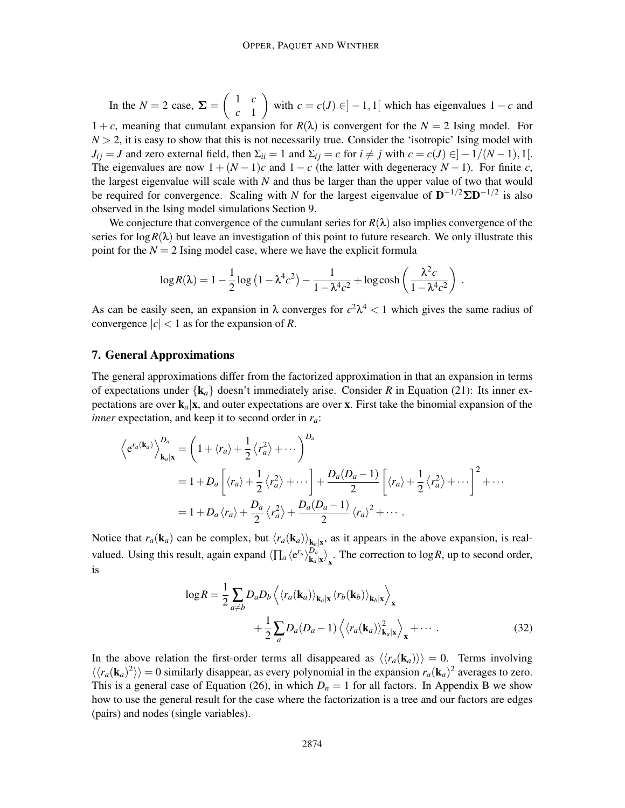In the  $N = 2$  case,  $\Sigma = \begin{pmatrix} 1 & c \\ 1 & 1 \end{pmatrix}$ *c* 1  $\setminus$ with  $c = c(J) \in ]-1,1[$  which has eigenvalues  $1 - c$  and 1+*c*, meaning that cumulant expansion for  $R(\lambda)$  is convergent for the  $N = 2$  Ising model. For  $N > 2$ , it is easy to show that this is not necessarily true. Consider the 'isotropic' Ising model with  $J_{ij} = J$  and zero external field, then  $\Sigma_{ii} = 1$  and  $\Sigma_{ij} = c$  for  $i \neq j$  with  $c = c(J) \in ]-1/(N-1),1[$ . The eigenvalues are now  $1 + (N - 1)c$  and  $1 - c$  (the latter with degeneracy  $N - 1$ ). For finite *c*, the largest eigenvalue will scale with *N* and thus be larger than the upper value of two that would be required for convergence. Scaling with *N* for the largest eigenvalue of  $D^{-1/2} \Sigma D^{-1/2}$  is also observed in the Ising model simulations Section 9.

We conjecture that convergence of the cumulant series for  $R(\lambda)$  also implies convergence of the series for  $\log R(\lambda)$  but leave an investigation of this point to future research. We only illustrate this point for the  $N = 2$  Ising model case, where we have the explicit formula

$$
\log R(\lambda) = 1 - \frac{1}{2} \log \left( 1 - \lambda^4 c^2 \right) - \frac{1}{1 - \lambda^4 c^2} + \log \cosh \left( \frac{\lambda^2 c}{1 - \lambda^4 c^2} \right).
$$

As can be easily seen, an expansion in  $\lambda$  converges for  $c^2\lambda^4 < 1$  which gives the same radius of convergence  $|c| < 1$  as for the expansion of *R*.

## 7. General Approximations

The general approximations differ from the factorized approximation in that an expansion in terms of expectations under  $\{k_a\}$  doesn't immediately arise. Consider *R* in Equation (21): Its inner expectations are over  $\mathbf{k}_a|\mathbf{x}$ , and outer expectations are over x. First take the binomial expansion of the *inner* expectation, and keep it to second order in *ra*:

$$
\left\langle e^{r_a(\mathbf{k}_a)} \right\rangle_{\mathbf{k}_a|\mathbf{x}}^{D_a} = \left( 1 + \langle r_a \rangle + \frac{1}{2} \langle r_a^2 \rangle + \cdots \right)^{D_a}
$$
  
=  $1 + D_a \left[ \langle r_a \rangle + \frac{1}{2} \langle r_a^2 \rangle + \cdots \right] + \frac{D_a(D_a - 1)}{2} \left[ \langle r_a \rangle + \frac{1}{2} \langle r_a^2 \rangle + \cdots \right]^2 + \cdots$   
=  $1 + D_a \langle r_a \rangle + \frac{D_a}{2} \langle r_a^2 \rangle + \frac{D_a(D_a - 1)}{2} \langle r_a \rangle^2 + \cdots$ 

Notice that  $r_a(\mathbf{k}_a)$  can be complex, but  $\langle r_a(\mathbf{k}_a) \rangle_{\mathbf{k}_a|\mathbf{x}}$ , as it appears in the above expansion, is realvalued. Using this result, again expand  $\langle \prod_a \langle e^{r_a} \rangle_{\mathbf{k}_a}^{D_a}$  $\left. \frac{D_a}{k_a | x} \right|_X$ . The correction to log *R*, up to second order, is

$$
\log R = \frac{1}{2} \sum_{a \neq b} D_a D_b \left\langle \langle r_a(\mathbf{k}_a) \rangle_{\mathbf{k}_a|\mathbf{x}} \langle r_b(\mathbf{k}_b) \rangle_{\mathbf{k}_b|\mathbf{x}} \right\rangle_{\mathbf{x}} + \frac{1}{2} \sum_a D_a (D_a - 1) \left\langle \langle r_a(\mathbf{k}_a) \rangle_{\mathbf{k}_a|\mathbf{x}}^2 \right\rangle_{\mathbf{x}} + \cdots
$$
 (32)

In the above relation the first-order terms all disappeared as  $\langle\langle r_a(\mathbf{k}_a)\rangle\rangle = 0$ . Terms involving  $\langle \langle r_a(\mathbf{k}_a)^2 \rangle \rangle = 0$  similarly disappear, as every polynomial in the expansion  $r_a(\mathbf{k}_a)^2$  averages to zero. This is a general case of Equation (26), in which  $D_n = 1$  for all factors. In Appendix B we show how to use the general result for the case where the factorization is a tree and our factors are edges (pairs) and nodes (single variables).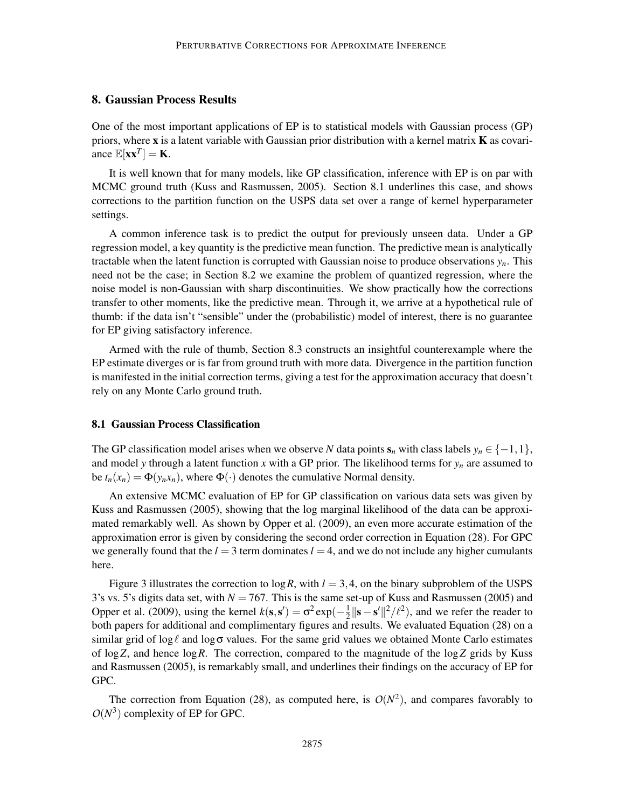## 8. Gaussian Process Results

One of the most important applications of EP is to statistical models with Gaussian process (GP) priors, where  $x$  is a latent variable with Gaussian prior distribution with a kernel matrix  $K$  as covariance  $\mathbb{E}[\mathbf{x}\mathbf{x}^T] = \mathbf{K}$ .

It is well known that for many models, like GP classification, inference with EP is on par with MCMC ground truth (Kuss and Rasmussen, 2005). Section 8.1 underlines this case, and shows corrections to the partition function on the USPS data set over a range of kernel hyperparameter settings.

A common inference task is to predict the output for previously unseen data. Under a GP regression model, a key quantity is the predictive mean function. The predictive mean is analytically tractable when the latent function is corrupted with Gaussian noise to produce observations  $y_n$ . This need not be the case; in Section 8.2 we examine the problem of quantized regression, where the noise model is non-Gaussian with sharp discontinuities. We show practically how the corrections transfer to other moments, like the predictive mean. Through it, we arrive at a hypothetical rule of thumb: if the data isn't "sensible" under the (probabilistic) model of interest, there is no guarantee for EP giving satisfactory inference.

Armed with the rule of thumb, Section 8.3 constructs an insightful counterexample where the EP estimate diverges or is far from ground truth with more data. Divergence in the partition function is manifested in the initial correction terms, giving a test for the approximation accuracy that doesn't rely on any Monte Carlo ground truth.

## 8.1 Gaussian Process Classification

The GP classification model arises when we observe *N* data points  $s_n$  with class labels  $y_n \in \{-1,1\}$ , and model *y* through a latent function *x* with a GP prior. The likelihood terms for *y<sup>n</sup>* are assumed to be  $t_n(x_n) = \Phi(y_n x_n)$ , where  $\Phi(\cdot)$  denotes the cumulative Normal density.

An extensive MCMC evaluation of EP for GP classification on various data sets was given by Kuss and Rasmussen (2005), showing that the log marginal likelihood of the data can be approximated remarkably well. As shown by Opper et al. (2009), an even more accurate estimation of the approximation error is given by considering the second order correction in Equation (28). For GPC we generally found that the  $l = 3$  term dominates  $l = 4$ , and we do not include any higher cumulants here.

Figure 3 illustrates the correction to  $\log R$ , with  $l = 3, 4$ , on the binary subproblem of the USPS 3's vs. 5's digits data set, with  $N = 767$ . This is the same set-up of Kuss and Rasmussen (2005) and Opper et al. (2009), using the kernel  $k(s, s') = \sigma^2 \exp(-\frac{1}{2})$  $\frac{1}{2} \|\mathbf{s} - \mathbf{s}'\|^2 / \ell^2$ , and we refer the reader to both papers for additional and complimentary figures and results. We evaluated Equation (28) on a similar grid of log  $\ell$  and log  $\sigma$  values. For the same grid values we obtained Monte Carlo estimates of log*Z*, and hence log*R*. The correction, compared to the magnitude of the log*Z* grids by Kuss and Rasmussen (2005), is remarkably small, and underlines their findings on the accuracy of EP for GPC.

The correction from Equation (28), as computed here, is  $O(N^2)$ , and compares favorably to  $O(N^3)$  complexity of EP for GPC.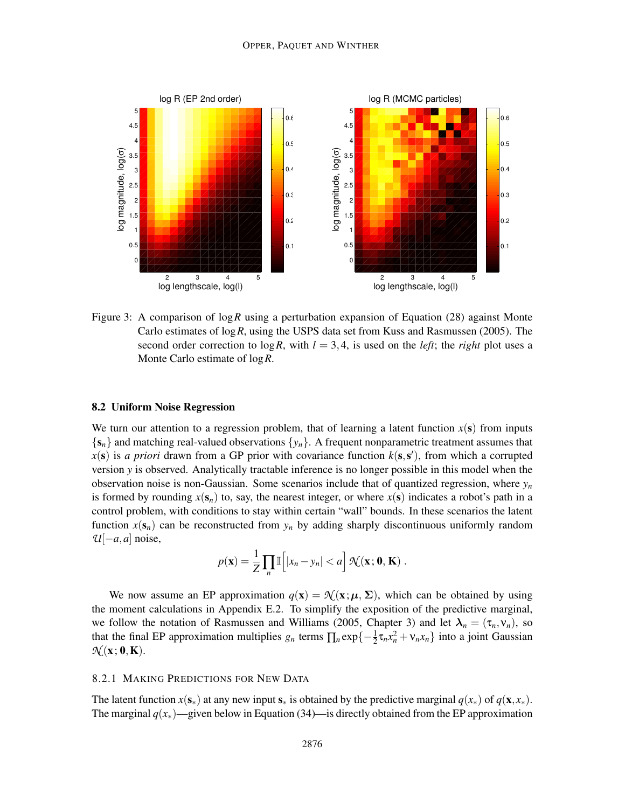

Figure 3: A comparison of log*R* using a perturbation expansion of Equation (28) against Monte Carlo estimates of log*R*, using the USPS data set from Kuss and Rasmussen (2005). The second order correction to  $\log R$ , with  $l = 3, 4$ , is used on the *left*; the *right* plot uses a Monte Carlo estimate of log*R*.

## 8.2 Uniform Noise Regression

We turn our attention to a regression problem, that of learning a latent function  $x(s)$  from inputs  ${s_n}$  and matching real-valued observations  ${y_n}$ . A frequent nonparametric treatment assumes that  $x(s)$  is *a priori* drawn from a GP prior with covariance function  $k(s, s')$ , from which a corrupted version *y* is observed. Analytically tractable inference is no longer possible in this model when the observation noise is non-Gaussian. Some scenarios include that of quantized regression, where *y<sup>n</sup>* is formed by rounding  $x(s_n)$  to, say, the nearest integer, or where  $x(s)$  indicates a robot's path in a control problem, with conditions to stay within certain "wall" bounds. In these scenarios the latent function  $x(s_n)$  can be reconstructed from  $y_n$  by adding sharply discontinuous uniformly random  $U[-a,a]$  noise,

$$
p(\mathbf{x}) = \frac{1}{Z} \prod_{n} \mathbb{I}\left[|x_n - y_n| < a\right] \mathcal{N}(\mathbf{x}; \mathbf{0}, \mathbf{K}) \; .
$$

We now assume an EP approximation  $q(\mathbf{x}) = \mathcal{N}(\mathbf{x}; \boldsymbol{\mu}, \boldsymbol{\Sigma})$ , which can be obtained by using the moment calculations in Appendix E.2. To simplify the exposition of the predictive marginal, we follow the notation of Rasmussen and Williams (2005, Chapter 3) and let  $\lambda_n = (\tau_n, v_n)$ , so that the final EP approximation multiplies  $g_n$  terms  $\prod_n \exp\{-\frac{1}{2}\tau_n x_n^2 + v_n x_n\}$  into a joint Gaussian  $\mathcal{N}(\mathbf{x};\mathbf{0},\mathbf{K}).$ 

## 8.2.1 MAKING PREDICTIONS FOR NEW DATA

The latent function  $x(\mathbf{s}_*)$  at any new input  $\mathbf{s}_*$  is obtained by the predictive marginal  $q(x_*)$  of  $q(\mathbf{x}, x_*)$ . The marginal  $q(x_*)$ —given below in Equation (34)—is directly obtained from the EP approximation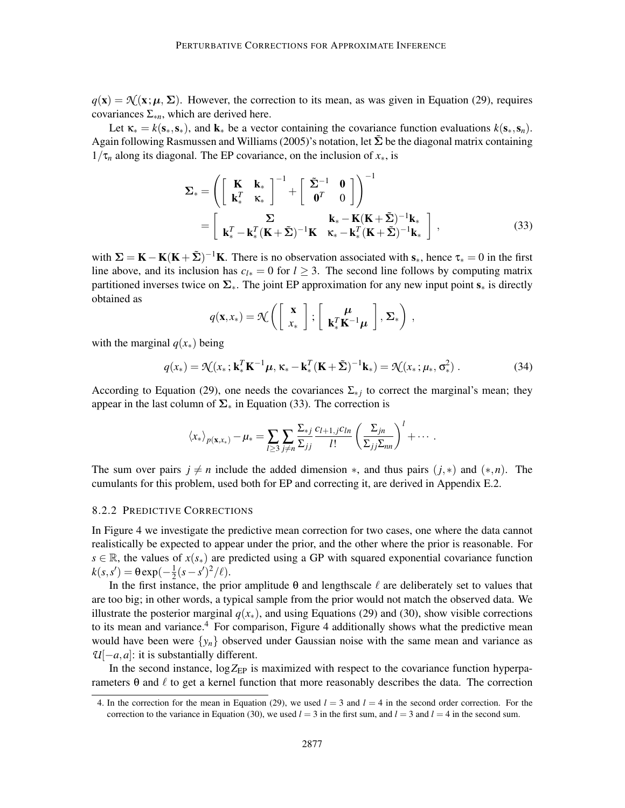$q(\mathbf{x}) = \mathcal{N}(\mathbf{x}; \boldsymbol{\mu}, \boldsymbol{\Sigma})$ . However, the correction to its mean, as was given in Equation (29), requires covariances  $\Sigma_{*n}$ , which are derived here.

Let  $\kappa_* = k(\mathbf{s}_*, \mathbf{s}_*)$ , and  $\mathbf{k}_*$  be a vector containing the covariance function evaluations  $k(\mathbf{s}_*, \mathbf{s}_n)$ . Again following Rasmussen and Williams (2005)'s notation, let  $\tilde{\Sigma}$  be the diagonal matrix containing  $1/\tau_n$  along its diagonal. The EP covariance, on the inclusion of  $x_*,$  is

$$
\Sigma_* = \left( \begin{bmatrix} \mathbf{K} & \mathbf{k}_* \\ \mathbf{k}_*^T & \mathbf{k}_* \end{bmatrix}^{-1} + \begin{bmatrix} \tilde{\Sigma}^{-1} & \mathbf{0} \\ \mathbf{0}^T & 0 \end{bmatrix} \right)^{-1}
$$

$$
= \begin{bmatrix} \Sigma & \mathbf{k}_* - \mathbf{K}(\mathbf{K} + \tilde{\Sigma})^{-1} \mathbf{k}_* \\ \mathbf{k}_*^T - \mathbf{k}_*^T(\mathbf{K} + \tilde{\Sigma})^{-1} \mathbf{K} & \mathbf{k}_* - \mathbf{k}_*^T(\mathbf{K} + \tilde{\Sigma})^{-1} \mathbf{k}_* \end{bmatrix},
$$
(33)

with  $\Sigma = K - K(K + \tilde{\Sigma})^{-1}K$ . There is no observation associated with  $s_*$ , hence  $\tau_* = 0$  in the first line above, and its inclusion has  $c_{l*} = 0$  for  $l > 3$ . The second line follows by computing matrix partitioned inverses twice on  $\Sigma_{*}$ . The joint EP approximation for any new input point  $s_{*}$  is directly obtained as

$$
q(\mathbf{x},x_*) = \mathcal{K}\left(\left[\begin{array}{c} \mathbf{x} \\ x_* \end{array}\right]; \left[\begin{array}{c} \boldsymbol{\mu} \\ \mathbf{k}_*^T \mathbf{K}^{-1} \boldsymbol{\mu} \end{array}\right], \boldsymbol{\Sigma}_*\right),
$$

with the marginal  $q(x_*)$  being

$$
q(x_*) = \mathcal{N}(x_*; \mathbf{k}_*^T \mathbf{K}^{-1} \boldsymbol{\mu}, \kappa_* - \mathbf{k}_*^T (\mathbf{K} + \tilde{\boldsymbol{\Sigma}})^{-1} \mathbf{k}_*) = \mathcal{N}(x_*; \boldsymbol{\mu}_*, \sigma^2_*)
$$
 (34)

According to Equation (29), one needs the covariances  $\Sigma_{*j}$  to correct the marginal's mean; they appear in the last column of  $\Sigma_*$  in Equation (33). The correction is

$$
\langle x_* \rangle_{p(\mathbf{x},x_*)} - \mu_* = \sum_{l \geq 3} \sum_{j \neq n} \frac{\sum_{*j} c_{l+1,j} c_{ln}}{\sum_{jj} \sum_{l}} \left( \frac{\sum_{jn}}{\sum_{jj} \sum_{nn}} \right)^l + \cdots
$$

The sum over pairs  $j \neq n$  include the added dimension  $*$ , and thus pairs  $(j,*)$  and  $(*,n)$ . The cumulants for this problem, used both for EP and correcting it, are derived in Appendix E.2.

## 8.2.2 PREDICTIVE CORRECTIONS

In Figure 4 we investigate the predictive mean correction for two cases, one where the data cannot realistically be expected to appear under the prior, and the other where the prior is reasonable. For  $s \in \mathbb{R}$ , the values of  $x(s_*)$  are predicted using a GP with squared exponential covariance function  $k(s, s') = \theta \exp(-\frac{1}{2})$  $\frac{1}{2}(s-s')^2/\ell$ .

In the first instance, the prior amplitude  $\theta$  and lengthscale  $\ell$  are deliberately set to values that are too big; in other words, a typical sample from the prior would not match the observed data. We illustrate the posterior marginal  $q(x_*)$ , and using Equations (29) and (30), show visible corrections to its mean and variance.<sup>4</sup> For comparison, Figure 4 additionally shows what the predictive mean would have been were  $\{y_n\}$  observed under Gaussian noise with the same mean and variance as *U*[−*a*,*a*]: it is substantially different.

In the second instance,  $\log Z_{EP}$  is maximized with respect to the covariance function hyperparameters θ and  $\ell$  to get a kernel function that more reasonably describes the data. The correction

<sup>4.</sup> In the correction for the mean in Equation (29), we used  $l = 3$  and  $l = 4$  in the second order correction. For the correction to the variance in Equation (30), we used  $l = 3$  in the first sum, and  $l = 3$  and  $l = 4$  in the second sum.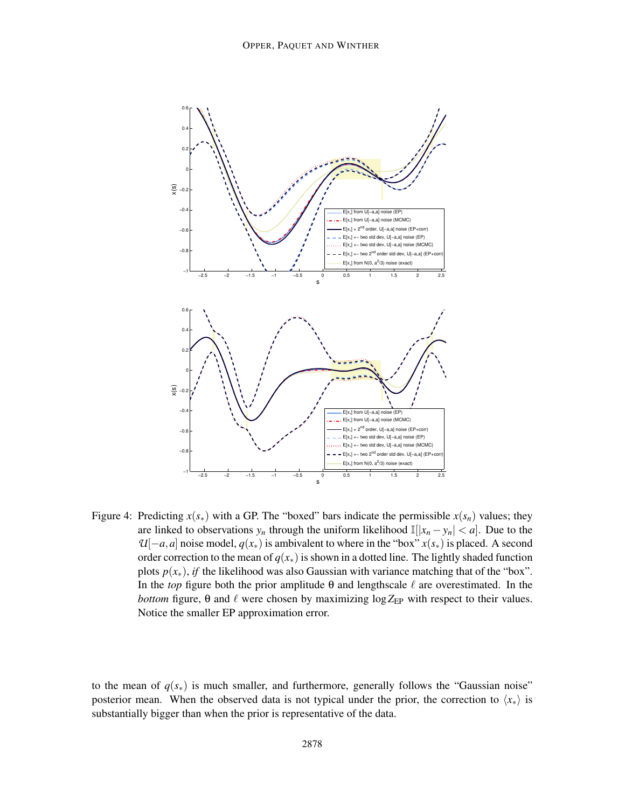

Figure 4: Predicting  $x(s_*)$  with a GP. The "boxed" bars indicate the permissible  $x(s_n)$  values; they are linked to observations  $y_n$  through the uniform likelihood  $\mathbb{I}[[x_n - y_n] < a]$ . Due to the  $U[-a,a]$  noise model,  $q(x_*)$  is ambivalent to where in the "box"  $x(s_*)$  is placed. A second order correction to the mean of  $q(x<sub>*</sub>)$  is shown in a dotted line. The lightly shaded function plots  $p(x_*)$ , *if* the likelihood was also Gaussian with variance matching that of the "box". In the *top* figure both the prior amplitude  $\theta$  and lengthscale  $\ell$  are overestimated. In the *bottom* figure,  $\theta$  and  $\ell$  were chosen by maximizing  $\log Z_{EP}$  with respect to their values. Notice the smaller EP approximation error.

to the mean of  $q(s<sub>*</sub>)$  is much smaller, and furthermore, generally follows the "Gaussian noise" posterior mean. When the observed data is not typical under the prior, the correction to  $\langle x_* \rangle$  is substantially bigger than when the prior is representative of the data.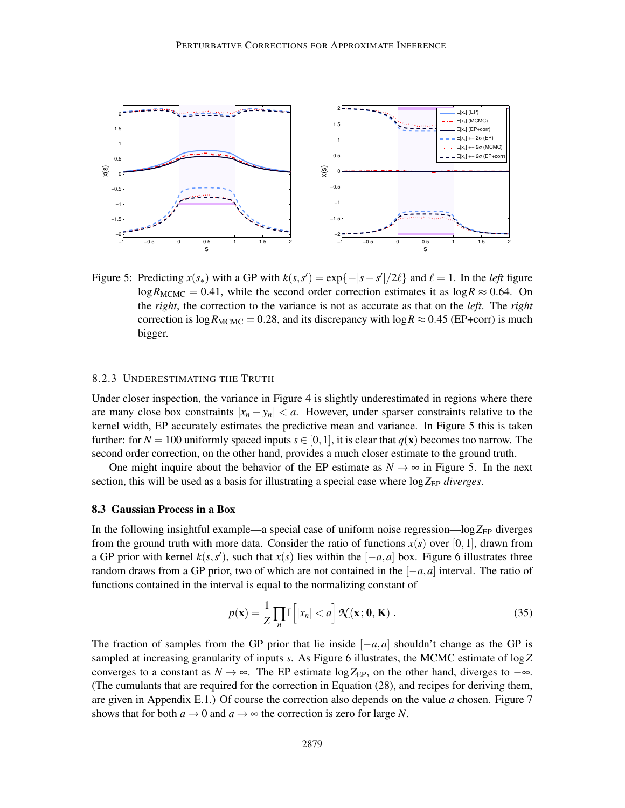

Figure 5: Predicting  $x(s_*)$  with a GP with  $k(s, s') = \exp\{-|s - s'|/2\ell\}$  and  $\ell = 1$ . In the *left* figure  $\log R_{\text{MCMC}} = 0.41$ , while the second order correction estimates it as  $\log R \approx 0.64$ . On the *right*, the correction to the variance is not as accurate as that on the *left*. The *right* correction is  $\log R_{\text{MCMC}} = 0.28$ , and its discrepancy with  $\log R \approx 0.45$  (EP+corr) is much bigger.

## 8.2.3 UNDERESTIMATING THE TRUTH

Under closer inspection, the variance in Figure 4 is slightly underestimated in regions where there are many close box constraints  $|x_n - y_n| < a$ . However, under sparser constraints relative to the kernel width, EP accurately estimates the predictive mean and variance. In Figure 5 this is taken further: for  $N = 100$  uniformly spaced inputs  $s \in [0,1]$ , it is clear that  $q(\mathbf{x})$  becomes too narrow. The second order correction, on the other hand, provides a much closer estimate to the ground truth.

One might inquire about the behavior of the EP estimate as  $N \to \infty$  in Figure 5. In the next section, this will be used as a basis for illustrating a special case where  $\log Z_{EP}$  *diverges*.

## 8.3 Gaussian Process in a Box

In the following insightful example—a special case of uniform noise regression—log $Z_{EP}$  diverges from the ground truth with more data. Consider the ratio of functions  $x(s)$  over [0,1], drawn from a GP prior with kernel  $k(s, s')$ , such that  $x(s)$  lies within the  $[-a, a]$  box. Figure 6 illustrates three random draws from a GP prior, two of which are not contained in the [−*a*,*a*] interval. The ratio of functions contained in the interval is equal to the normalizing constant of

$$
p(\mathbf{x}) = \frac{1}{Z} \prod_{n} \mathbb{I}\left[|x_n| < a\right] \mathcal{N}(\mathbf{x}; \mathbf{0}, \mathbf{K}) \,. \tag{35}
$$

The fraction of samples from the GP prior that lie inside  $[-a, a]$  shouldn't change as the GP is sampled at increasing granularity of inputs *s*. As Figure 6 illustrates, the MCMC estimate of log*Z* converges to a constant as  $N \to \infty$ . The EP estimate log Z<sub>EP</sub>, on the other hand, diverges to  $-\infty$ . (The cumulants that are required for the correction in Equation (28), and recipes for deriving them, are given in Appendix E.1.) Of course the correction also depends on the value *a* chosen. Figure 7 shows that for both  $a \to 0$  and  $a \to \infty$  the correction is zero for large N.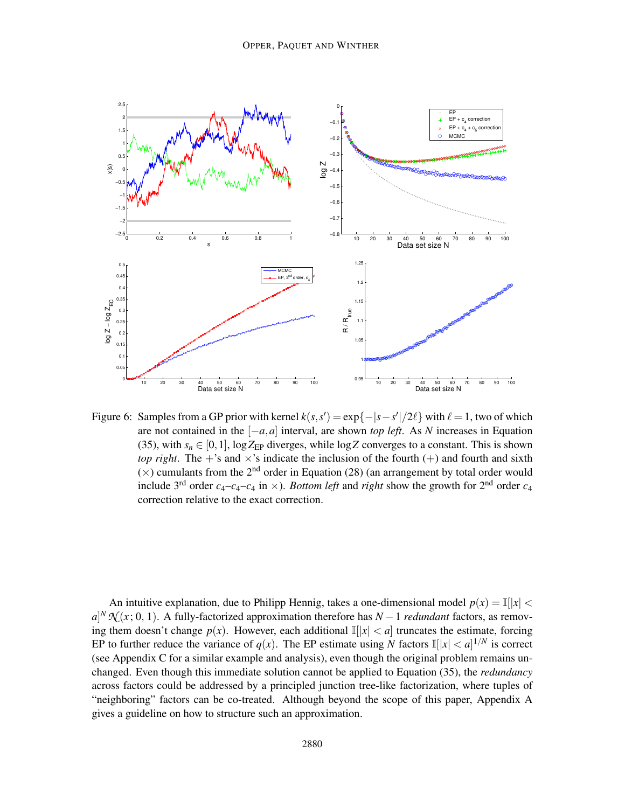

Figure 6: Samples from a GP prior with kernel  $k(s, s') = \exp\{-|s - s'|/2\ell\}$  with  $\ell = 1$ , two of which are not contained in the [−*a*,*a*] interval, are shown *top left*. As *N* increases in Equation (35), with  $s_n \in [0,1]$ ,  $\log Z_{EP}$  diverges, while  $\log Z$  converges to a constant. This is shown *top right*. The  $+$ 's and  $\times$ 's indicate the inclusion of the fourth  $(+)$  and fourth and sixth  $(\times)$  cumulants from the 2<sup>nd</sup> order in Equation (28) (an arrangement by total order would include 3<sup>rd</sup> order  $c_4 - c_4 - c_4$  in  $\times$ ). *Bottom left* and *right* show the growth for 2<sup>nd</sup> order  $c_4$ correction relative to the exact correction.

An intuitive explanation, due to Philipp Hennig, takes a one-dimensional model  $p(x) = \mathbb{I}(|x| <$  $a^N N(x; 0, 1)$ . A fully-factorized approximation therefore has *N* − 1 *redundant* factors, as removing them doesn't change  $p(x)$ . However, each additional  $\mathbb{I}(|x| < a$  truncates the estimate, forcing EP to further reduce the variance of  $q(x)$ . The EP estimate using *N* factors  $\mathbb{I}[[x] < a]^{1/N}$  is correct (see Appendix C for a similar example and analysis), even though the original problem remains unchanged. Even though this immediate solution cannot be applied to Equation (35), the *redundancy* across factors could be addressed by a principled junction tree-like factorization, where tuples of "neighboring" factors can be co-treated. Although beyond the scope of this paper, Appendix A gives a guideline on how to structure such an approximation.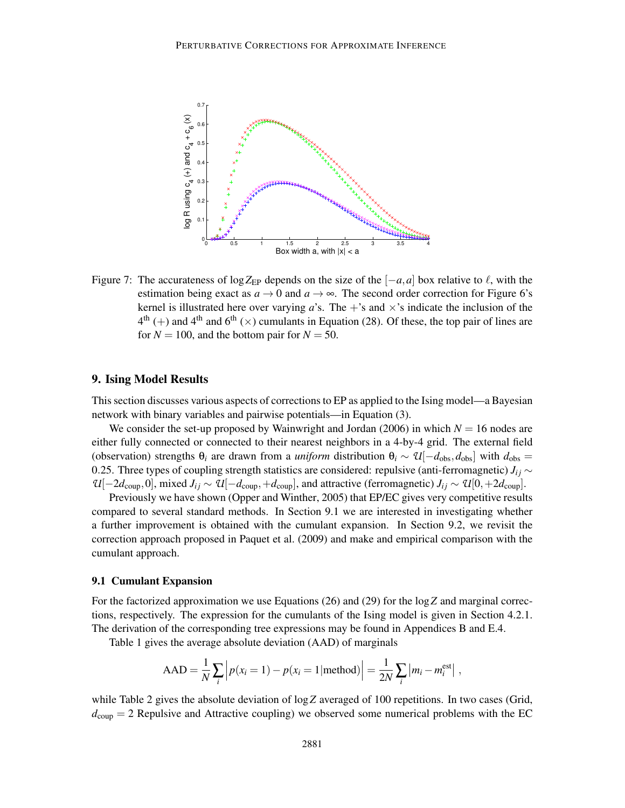

Figure 7: The accurateness of log Z<sub>EP</sub> depends on the size of the  $[-a, a]$  box relative to  $\ell$ , with the estimation being exact as  $a \to 0$  and  $a \to \infty$ . The second order correction for Figure 6's kernel is illustrated here over varying  $a$ 's. The +'s and  $\times$ 's indicate the inclusion of the  $4<sup>th</sup> (+)$  and  $4<sup>th</sup>$  and  $6<sup>th</sup> ( $\times$ )$  cumulants in Equation (28). Of these, the top pair of lines are for  $N = 100$ , and the bottom pair for  $N = 50$ .

## 9. Ising Model Results

This section discusses various aspects of corrections to EP as applied to the Ising model—a Bayesian network with binary variables and pairwise potentials—in Equation (3).

We consider the set-up proposed by Wainwright and Jordan (2006) in which  $N = 16$  nodes are either fully connected or connected to their nearest neighbors in a 4-by-4 grid. The external field (observation) strengths  $\theta_i$  are drawn from a *uniform* distribution  $\theta_i \sim \mathcal{U}[-d_{obs}, d_{obs}]$  with  $d_{obs} =$ 0.25. Three types of coupling strength statistics are considered: repulsive (anti-ferromagnetic)  $J_{ij} \sim$  $U[-2d_{\text{coup}},0]$ , mixed  $J_{ij} \sim U[-d_{\text{coup}},+d_{\text{coup}}]$ , and attractive (ferromagnetic)  $J_{ij} \sim U[0,+2d_{\text{coup}}]$ .

Previously we have shown (Opper and Winther, 2005) that EP/EC gives very competitive results compared to several standard methods. In Section 9.1 we are interested in investigating whether a further improvement is obtained with the cumulant expansion. In Section 9.2, we revisit the correction approach proposed in Paquet et al. (2009) and make and empirical comparison with the cumulant approach.

#### 9.1 Cumulant Expansion

For the factorized approximation we use Equations (26) and (29) for the log*Z* and marginal corrections, respectively. The expression for the cumulants of the Ising model is given in Section 4.2.1. The derivation of the corresponding tree expressions may be found in Appendices B and E.4.

Table 1 gives the average absolute deviation (AAD) of marginals

$$
AAD = \frac{1}{N} \sum_{i} \left| p(x_i = 1) - p(x_i = 1 | \text{method}) \right| = \frac{1}{2N} \sum_{i} \left| m_i - m_i^{\text{est}} \right|,
$$

while Table 2 gives the absolute deviation of  $\log Z$  averaged of 100 repetitions. In two cases (Grid,  $d_{\text{coup}} = 2$  Repulsive and Attractive coupling) we observed some numerical problems with the EC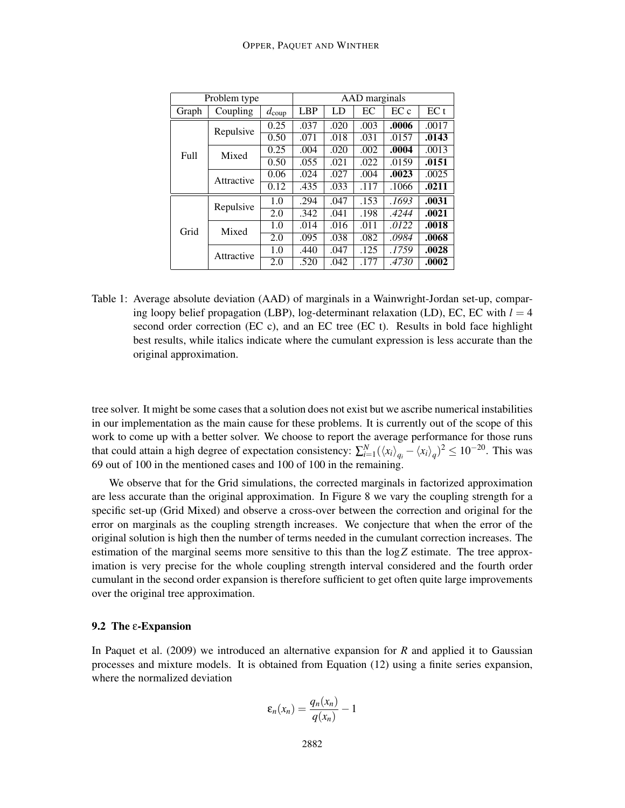| Problem type |            |                   | AAD marginals |      |      |       |       |  |
|--------------|------------|-------------------|---------------|------|------|-------|-------|--|
| Graph        | Coupling   | $d_{\text{coup}}$ | <b>LBP</b>    | LD   | EС   | ECc   | EC t  |  |
| Full         | Repulsive  | 0.25              | .037          | .020 | .003 | .0006 | .0017 |  |
|              |            | 0.50              | .071          | .018 | .031 | .0157 | .0143 |  |
|              | Mixed      | 0.25              | .004          | .020 | .002 | .0004 | .0013 |  |
|              |            | 0.50              | .055          | .021 | .022 | .0159 | .0151 |  |
|              | Attractive | 0.06              | .024          | .027 | .004 | .0023 | .0025 |  |
|              |            | 0.12              | .435          | .033 | .117 | .1066 | .0211 |  |
| Grid         | Repulsive  | 1.0               | .294          | .047 | .153 | .1693 | .0031 |  |
|              |            | 2.0               | .342          | .041 | .198 | .4244 | .0021 |  |
|              | Mixed      | 1.0               | .014          | .016 | .011 | .0122 | .0018 |  |
|              |            | 2.0               | .095          | .038 | .082 | .0984 | .0068 |  |
|              | Attractive | 1.0               | .440          | .047 | .125 | .1759 | .0028 |  |
|              |            | 2.0               | .520          | .042 | .177 | .4730 | .0002 |  |

Table 1: Average absolute deviation (AAD) of marginals in a Wainwright-Jordan set-up, comparing loopy belief propagation (LBP), log-determinant relaxation (LD), EC, EC with  $l = 4$ second order correction (EC c), and an EC tree (EC t). Results in bold face highlight best results, while italics indicate where the cumulant expression is less accurate than the original approximation.

tree solver. It might be some cases that a solution does not exist but we ascribe numerical instabilities in our implementation as the main cause for these problems. It is currently out of the scope of this work to come up with a better solver. We choose to report the average performance for those runs that could attain a high degree of expectation consistency:  $\sum_{i=1}^{N} (\langle x_i \rangle_{q_i} - \langle x_i \rangle_q)^2 \le 10^{-20}$ . This was 69 out of 100 in the mentioned cases and 100 of 100 in the remaining.

We observe that for the Grid simulations, the corrected marginals in factorized approximation are less accurate than the original approximation. In Figure 8 we vary the coupling strength for a specific set-up (Grid Mixed) and observe a cross-over between the correction and original for the error on marginals as the coupling strength increases. We conjecture that when the error of the original solution is high then the number of terms needed in the cumulant correction increases. The estimation of the marginal seems more sensitive to this than the log*Z* estimate. The tree approximation is very precise for the whole coupling strength interval considered and the fourth order cumulant in the second order expansion is therefore sufficient to get often quite large improvements over the original tree approximation.

#### 9.2 The ε-Expansion

In Paquet et al. (2009) we introduced an alternative expansion for *R* and applied it to Gaussian processes and mixture models. It is obtained from Equation (12) using a finite series expansion, where the normalized deviation

$$
\varepsilon_n(x_n) = \frac{q_n(x_n)}{q(x_n)} - 1
$$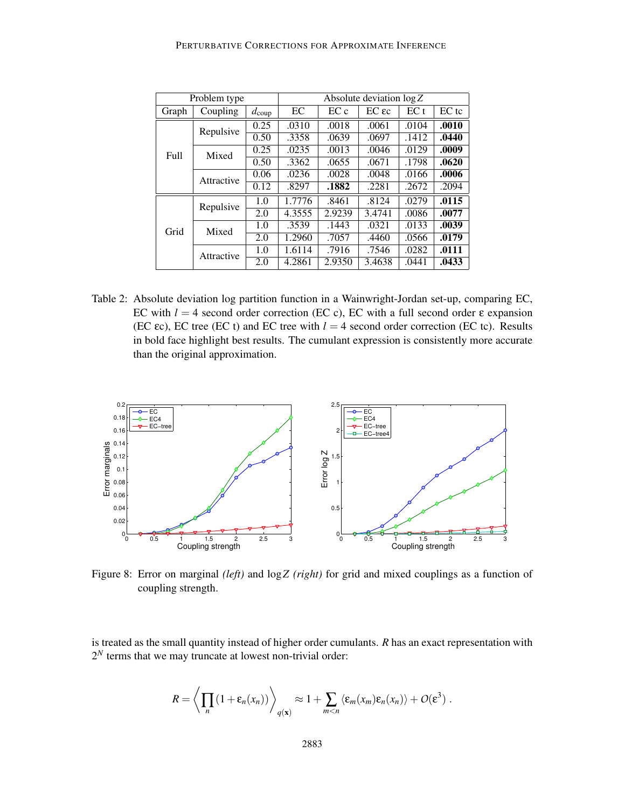| Problem type |            |                   | Absolute deviation $\log Z$ |        |                     |       |         |  |  |
|--------------|------------|-------------------|-----------------------------|--------|---------------------|-------|---------|--|--|
| Graph        | Coupling   | $d_{\text{coup}}$ | EC                          | EC c   | $EC$ $\epsilon$ $c$ | EC t  | $EC$ tc |  |  |
| Full         | Repulsive  | 0.25              | .0310                       | .0018  | .0061               | .0104 | .0010   |  |  |
|              |            | 0.50              | .3358                       | .0639  | .0697               | .1412 | .0440   |  |  |
|              | Mixed      | 0.25              | .0235                       | .0013  | .0046               | .0129 | .0009   |  |  |
|              |            | 0.50              | .3362                       | .0655  | .0671               | .1798 | .0620   |  |  |
|              | Attractive | 0.06              | .0236                       | .0028  | .0048               | .0166 | .0006   |  |  |
|              |            | 0.12              | .8297                       | .1882  | .2281               | .2672 | .2094   |  |  |
| Grid         | Repulsive  | 1.0               | 1.7776                      | .8461  | .8124               | .0279 | .0115   |  |  |
|              |            | 2.0               | 4.3555                      | 2.9239 | 3.4741              | .0086 | .0077   |  |  |
|              | Mixed      | 1.0               | .3539                       | .1443  | .0321               | .0133 | .0039   |  |  |
|              |            | 2.0               | 1.2960                      | .7057  | .4460               | .0566 | .0179   |  |  |
|              | Attractive | 1.0               | 1.6114                      | .7916  | .7546               | .0282 | .0111   |  |  |
|              |            | 2.0               | 4.2861                      | 2.9350 | 3.4638              | .0441 | .0433   |  |  |

Table 2: Absolute deviation log partition function in a Wainwright-Jordan set-up, comparing EC, EC with  $l = 4$  second order correction (EC c), EC with a full second order  $\varepsilon$  expansion (EC  $\epsilon$ c), EC tree (EC t) and EC tree with  $l = 4$  second order correction (EC tc). Results in bold face highlight best results. The cumulant expression is consistently more accurate than the original approximation.



Figure 8: Error on marginal *(left)* and log*Z (right)* for grid and mixed couplings as a function of coupling strength.

is treated as the small quantity instead of higher order cumulants. *R* has an exact representation with  $2<sup>N</sup>$  terms that we may truncate at lowest non-trivial order:

$$
R = \left\langle \prod_n (1 + \varepsilon_n(x_n)) \right\rangle_{q(\mathbf{x})} \approx 1 + \sum_{m < n} \left\langle \varepsilon_m(x_m) \varepsilon_n(x_n) \right\rangle + O(\varepsilon^3) \; .
$$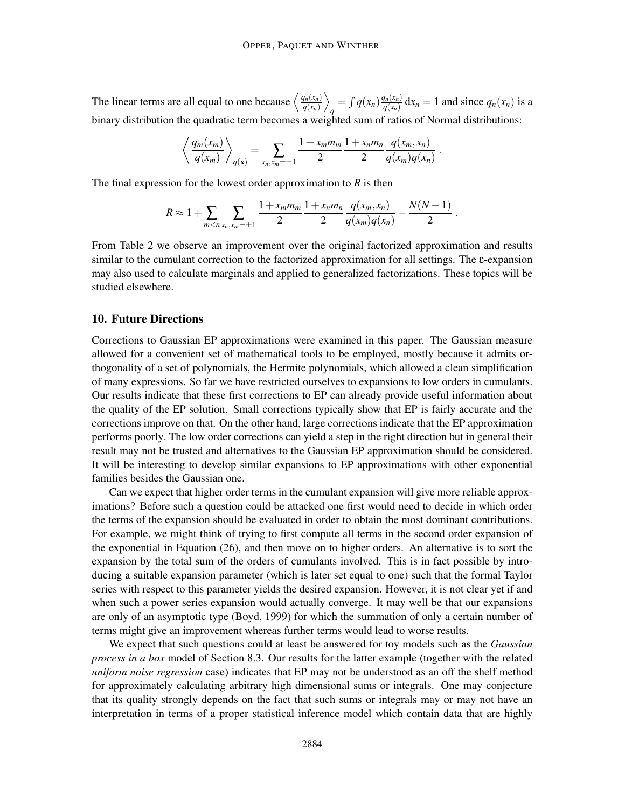The linear terms are all equal to one because  $\left\langle \frac{q_n(x_n)}{q(x_n)} \right\rangle$ *q*(*xn*)  $\setminus$  $q = \int q(x_n) \frac{q_n(x_n)}{q(x_n)}$  $\frac{d_n(x_n)}{q(x_n)} dx_n = 1$  and since  $q_n(x_n)$  is a binary distribution the quadratic term becomes a weighted sum of ratios of Normal distributions:

$$
\left\langle \frac{q_m(x_m)}{q(x_m)} \right\rangle_{q(\mathbf{x})} = \sum_{x_n, x_m = \pm 1} \frac{1 + x_m m_m}{2} \frac{1 + x_n m_n}{2} \frac{q(x_m, x_n)}{q(x_m) q(x_n)}.
$$

The final expression for the lowest order approximation to *R* is then

$$
R \approx 1 + \sum_{m < n} \sum_{x_n, x_m = \pm 1} \frac{1 + x_m m_m}{2} \frac{1 + x_n m_n}{2} \frac{q(x_m, x_n)}{q(x_m) q(x_n)} - \frac{N(N-1)}{2}.
$$

From Table 2 we observe an improvement over the original factorized approximation and results similar to the cumulant correction to the factorized approximation for all settings. The ε-expansion may also used to calculate marginals and applied to generalized factorizations. These topics will be studied elsewhere.

## 10. Future Directions

Corrections to Gaussian EP approximations were examined in this paper. The Gaussian measure allowed for a convenient set of mathematical tools to be employed, mostly because it admits orthogonality of a set of polynomials, the Hermite polynomials, which allowed a clean simplification of many expressions. So far we have restricted ourselves to expansions to low orders in cumulants. Our results indicate that these first corrections to EP can already provide useful information about the quality of the EP solution. Small corrections typically show that EP is fairly accurate and the corrections improve on that. On the other hand, large corrections indicate that the EP approximation performs poorly. The low order corrections can yield a step in the right direction but in general their result may not be trusted and alternatives to the Gaussian EP approximation should be considered. It will be interesting to develop similar expansions to EP approximations with other exponential families besides the Gaussian one.

Can we expect that higher order terms in the cumulant expansion will give more reliable approximations? Before such a question could be attacked one first would need to decide in which order the terms of the expansion should be evaluated in order to obtain the most dominant contributions. For example, we might think of trying to first compute all terms in the second order expansion of the exponential in Equation (26), and then move on to higher orders. An alternative is to sort the expansion by the total sum of the orders of cumulants involved. This is in fact possible by introducing a suitable expansion parameter (which is later set equal to one) such that the formal Taylor series with respect to this parameter yields the desired expansion. However, it is not clear yet if and when such a power series expansion would actually converge. It may well be that our expansions are only of an asymptotic type (Boyd, 1999) for which the summation of only a certain number of terms might give an improvement whereas further terms would lead to worse results.

We expect that such questions could at least be answered for toy models such as the *Gaussian process in a box* model of Section 8.3. Our results for the latter example (together with the related *uniform noise regression* case) indicates that EP may not be understood as an off the shelf method for approximately calculating arbitrary high dimensional sums or integrals. One may conjecture that its quality strongly depends on the fact that such sums or integrals may or may not have an interpretation in terms of a proper statistical inference model which contain data that are highly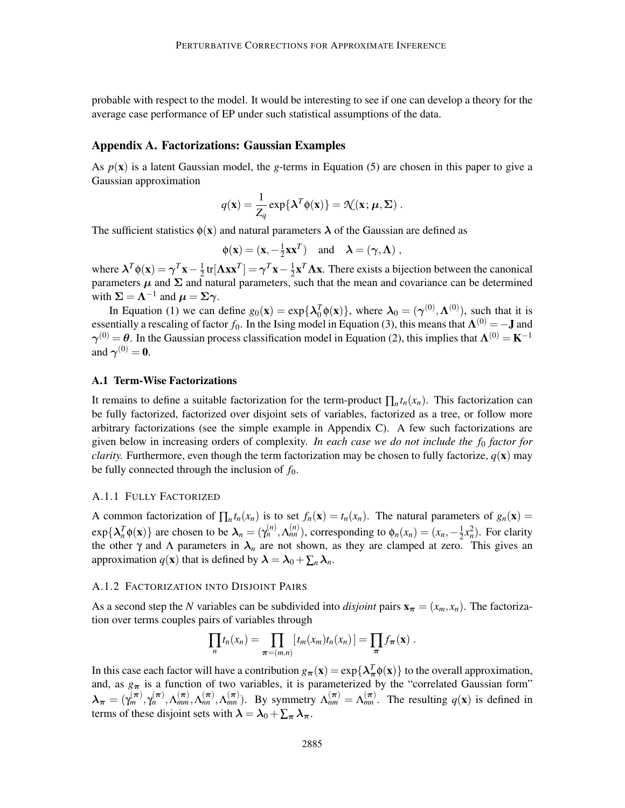probable with respect to the model. It would be interesting to see if one can develop a theory for the average case performance of EP under such statistical assumptions of the data.

## Appendix A. Factorizations: Gaussian Examples

As  $p(x)$  is a latent Gaussian model, the *g*-terms in Equation (5) are chosen in this paper to give a Gaussian approximation

$$
q(\mathbf{x}) = \frac{1}{Z_q} \exp\{\boldsymbol{\lambda}^T \phi(\mathbf{x})\} = \mathcal{N}(\mathbf{x}; \boldsymbol{\mu}, \boldsymbol{\Sigma})
$$

The sufficient statistics  $\phi(\mathbf{x})$  and natural parameters  $\lambda$  of the Gaussian are defined as

$$
\phi(\mathbf{x}) = (\mathbf{x}, -\frac{1}{2}\mathbf{x}\mathbf{x}^T)
$$
 and  $\lambda = (\gamma, \Lambda)$ ,

where  $\mathbf{\lambda}^T \phi(\mathbf{x}) = \boldsymbol{\gamma}^T \mathbf{x} - \frac{1}{2}$  $\frac{1}{2}$ tr[ $\Lambda$ **xx**<sup>*T*</sup>] =  $\gamma$ <sup>*T*</sup>**x** -  $\frac{1}{2}$  $\frac{1}{2} \mathbf{x}^T \mathbf{\Lambda} \mathbf{x}$ . There exists a bijection between the canonical parameters  $\mu$  and  $\Sigma$  and natural parameters, such that the mean and covariance can be determined with  $\Sigma = \Lambda^{-1}$  and  $\mu = \Sigma \gamma$ .

In Equation (1) we can define  $g_0(\mathbf{x}) = \exp\{\lambda_0^T \phi(\mathbf{x})\}$ , where  $\lambda_0 = (\gamma^{(0)}, \Lambda^{(0)})$ , such that it is In Equation (1) we can define  $g_0(x) = \exp{\lambda_0 \phi(x)} f$ , where  $\lambda_0 = (\gamma \sqrt{\lambda_0}, \Lambda \sqrt{\lambda_0})$ , such that R is<br>essentially a rescaling of factor *f*<sub>0</sub>. In the Ising model in Equation (3), this means that  $\Lambda^{(0)} = -J$  and  $\gamma^{(0)} = \theta$ . In the Gaussian process classification model in Equation (2), this implies that  $\Lambda^{(0)} = K^{-1}$ and  $\gamma^{(0)} = 0$ .

## A.1 Term-Wise Factorizations

It remains to define a suitable factorization for the term-product  $\prod_n t_n(x_n)$ . This factorization can be fully factorized, factorized over disjoint sets of variables, factorized as a tree, or follow more arbitrary factorizations (see the simple example in Appendix C). A few such factorizations are given below in increasing orders of complexity. *In each case we do not include the f*<sup>0</sup> *factor for clarity.* Furthermore, even though the term factorization may be chosen to fully factorize,  $q(\mathbf{x})$  may be fully connected through the inclusion of  $f_0$ .

#### A.1.1 FULLY FACTORIZED

A common factorization of  $\prod_n t_n(x_n)$  is to set  $f_n(\mathbf{x}) = t_n(x_n)$ . The natural parameters of  $g_n(\mathbf{x}) =$  $\exp{\{\lambda_n^T \phi(\mathbf{x})\}}$  are chosen to be  $\lambda_n = (\gamma_n^{(n)}, \Lambda_m^{(n)})$ , corresponding to  $\phi_n(x_n) = (x_n, -\frac{1}{2})$  $\frac{1}{2}x_n^2$ ). For clarity the other  $\gamma$  and  $\Lambda$  parameters in  $\lambda_n$  are not shown, as they are clamped at zero. This gives an approximation  $q(\mathbf{x})$  that is defined by  $\boldsymbol{\lambda} = \boldsymbol{\lambda}_0 + \sum_n \boldsymbol{\lambda}_n$ .

#### A.1.2 FACTORIZATION INTO DISJOINT PAIRS

As a second step the *N* variables can be subdivided into *disjoint* pairs  $\mathbf{x}_{\pi} = (x_m, x_n)$ . The factorization over terms couples pairs of variables through

$$
\prod_n t_n(x_n) = \prod_{\pi=(m,n)} [t_m(x_m)t_n(x_n)] = \prod_{\pi} f_{\pi}(\mathbf{x}).
$$

In this case each factor will have a contribution  $g_{\pi}(x) = \exp\{\lambda_{\pi}^T \phi(x)\}$  to the overall approximation, and, as  $g_{\pi}$  is a function of two variables, it is parameterized by the "correlated Gaussian form"  $\lambda_{\pi} = (\gamma_m^{(\pi)}, \gamma_n^{(\pi)}, \Lambda_{mm}^{(\pi)}, \Lambda_{mn}^{(\pi)}, \Lambda_{mm}^{(\pi)})$ . By symmetry  $\Lambda_{nm}^{(\pi)} = \Lambda_{mn}^{(\pi)}$ . The resulting  $q(\mathbf{x})$  is defined in terms of these disjoint sets with  $\lambda = \lambda_0 + \sum_{\pi} \lambda_{\pi}$ .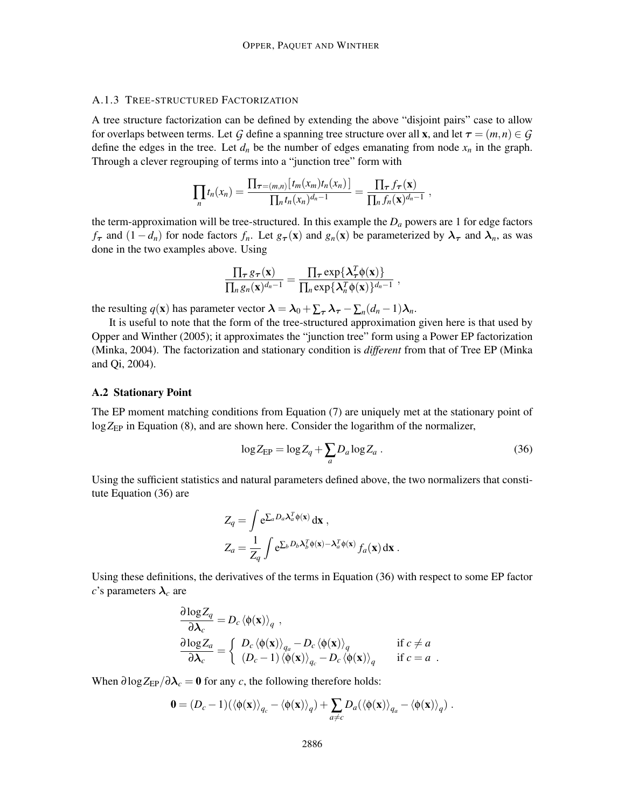## A.1.3 TREE-STRUCTURED FACTORIZATION

A tree structure factorization can be defined by extending the above "disjoint pairs" case to allow for overlaps between terms. Let *G* define a spanning tree structure over all **x**, and let  $\tau = (m, n) \in G$ define the edges in the tree. Let  $d_n$  be the number of edges emanating from node  $x_n$  in the graph. Through a clever regrouping of terms into a "junction tree" form with

$$
\prod_n t_n(x_n)=\frac{\prod_{\tau=(m,n)}[t_m(x_m)t_n(x_n)]}{\prod_n t_n(x_n)^{d_n-1}}=\frac{\prod_{\tau}f_{\tau}(\mathbf{x})}{\prod_n f_n(\mathbf{x})^{d_n-1}}\;,
$$

the term-approximation will be tree-structured. In this example the  $D_a$  powers are 1 for edge factors *f*<sub>τ</sub> and  $(1 - d_n)$  for node factors  $f_n$ . Let  $g_{\tau}(x)$  and  $g_n(x)$  be parameterized by  $\lambda_{\tau}$  and  $\lambda_n$ , as was done in the two examples above. Using

$$
\frac{\prod_{\tau} g_{\tau}(\mathbf{x})}{\prod_{n} g_{n}(\mathbf{x})^{d_n-1}} = \frac{\prod_{\tau} \exp\{\lambda_{\tau}^T \phi(\mathbf{x})\}}{\prod_{n} \exp\{\lambda_{n}^T \phi(\mathbf{x})\}^{d_n-1}},
$$

the resulting  $q(\mathbf{x})$  has parameter vector  $\boldsymbol{\lambda} = \boldsymbol{\lambda}_0 + \sum_{\tau} \boldsymbol{\lambda}_{\tau} - \sum_{n} (d_n - 1) \boldsymbol{\lambda}_n$ .

It is useful to note that the form of the tree-structured approximation given here is that used by Opper and Winther (2005); it approximates the "junction tree" form using a Power EP factorization (Minka, 2004). The factorization and stationary condition is *different* from that of Tree EP (Minka and Qi, 2004).

## A.2 Stationary Point

The EP moment matching conditions from Equation (7) are uniquely met at the stationary point of log Z<sub>EP</sub> in Equation (8), and are shown here. Consider the logarithm of the normalizer,

$$
\log Z_{\rm EP} = \log Z_q + \sum_a D_a \log Z_a \,. \tag{36}
$$

Using the sufficient statistics and natural parameters defined above, the two normalizers that constitute Equation (36) are

$$
Z_q = \int e^{\sum_a D_a \lambda_a^T \phi(\mathbf{x})} d\mathbf{x} ,
$$
  
\n
$$
Z_a = \frac{1}{Z_q} \int e^{\sum_b D_b \lambda_b^T \phi(\mathbf{x}) - \lambda_a^T \phi(\mathbf{x})} f_a(\mathbf{x}) d\mathbf{x} .
$$

Using these definitions, the derivatives of the terms in Equation (36) with respect to some EP factor *c*'s parameters  $\lambda_c$  are

$$
\frac{\partial \log Z_q}{\partial \lambda_c} = D_c \langle \phi(\mathbf{x}) \rangle_q ,
$$
  
\n
$$
\frac{\partial \log Z_q}{\partial \lambda_c} = \begin{cases} D_c \langle \phi(\mathbf{x}) \rangle_{q_a} - D_c \langle \phi(\mathbf{x}) \rangle_q & \text{if } c \neq a \\ (D_c - 1) \langle \phi(\mathbf{x}) \rangle_{q_c} - D_c \langle \phi(\mathbf{x}) \rangle_q & \text{if } c = a \end{cases}.
$$

When  $\partial \log Z_{\rm EP}/\partial \lambda_c = 0$  for any *c*, the following therefore holds:

$$
\mathbf{0} = (D_c - 1) (\langle \phi(\mathbf{x}) \rangle_{q_c} - \langle \phi(\mathbf{x}) \rangle_q) + \sum_{a \neq c} D_a (\langle \phi(\mathbf{x}) \rangle_{q_a} - \langle \phi(\mathbf{x}) \rangle_q) .
$$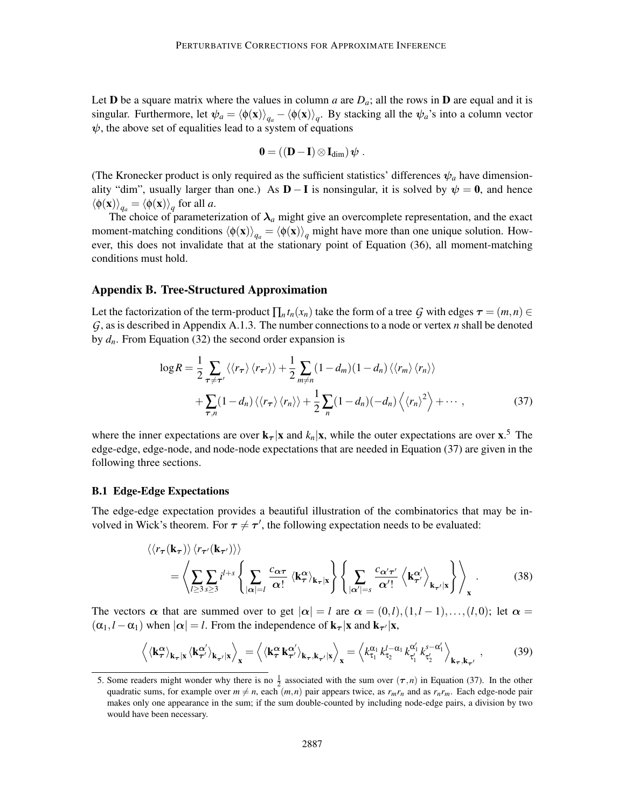Let **D** be a square matrix where the values in column *a* are  $D_a$ ; all the rows in **D** are equal and it is singular. Furthermore, let  $\psi_a = \langle \phi(\mathbf{x}) \rangle_{q_a} - \langle \phi(\mathbf{x}) \rangle_q$ . By stacking all the  $\psi_a$ 's into a column vector  $\psi$ , the above set of equalities lead to a system of equations

$$
0 = ((D - I) \otimes I_{\dim}) \psi.
$$

(The Kronecker product is only required as the sufficient statistics' differences  $\psi_a$  have dimensionality "dim", usually larger than one.) As  $D - I$  is nonsingular, it is solved by  $\psi = 0$ , and hence  $\langle \phi(\mathbf{x}) \rangle_{q_a} = \langle \phi(\mathbf{x}) \rangle_q$  for all *a*.

The choice of parameterization of  $\lambda_a$  might give an overcomplete representation, and the exact moment-matching conditions  $\langle \phi(\mathbf{x}) \rangle_{q_a} = \langle \phi(\mathbf{x}) \rangle_q$  might have more than one unique solution. However, this does not invalidate that at the stationary point of Equation (36), all moment-matching conditions must hold.

#### Appendix B. Tree-Structured Approximation

Let the factorization of the term-product  $\prod_n t_n(x_n)$  take the form of a tree *G* with edges  $\tau = (m, n) \in$ *G*, as is described in Appendix A.1.3. The number connections to a node or vertex *n* shall be denoted by  $d_n$ . From Equation (32) the second order expansion is

$$
\log R = \frac{1}{2} \sum_{\tau \neq \tau'} \langle \langle r_{\tau} \rangle \langle r_{\tau'} \rangle \rangle + \frac{1}{2} \sum_{m \neq n} (1 - d_m) (1 - d_n) \langle \langle r_m \rangle \langle r_n \rangle \rangle
$$
  
+ 
$$
\sum_{\tau,n} (1 - d_n) \langle \langle r_{\tau} \rangle \langle r_n \rangle \rangle + \frac{1}{2} \sum_{n} (1 - d_n) (-d_n) \langle \langle r_n \rangle^2 \rangle + \cdots , \qquad (37)
$$

where the inner expectations are over  $\mathbf{k}_{\tau}|\mathbf{x}$  and  $k_n|\mathbf{x}$ , while the outer expectations are over  $\mathbf{x}$ .<sup>5</sup> The edge-edge, edge-node, and node-node expectations that are needed in Equation (37) are given in the following three sections.

#### B.1 Edge-Edge Expectations

The edge-edge expectation provides a beautiful illustration of the combinatorics that may be involved in Wick's theorem. For  $\tau \neq \tau'$ , the following expectation needs to be evaluated:

$$
\langle\langle r_{\tau}(\mathbf{k}_{\tau})\rangle\langle r_{\tau'}(\mathbf{k}_{\tau'})\rangle\rangle = \left\langle \sum_{l\geq3}\sum_{s\geq3}i^{l+s}\left\{\sum_{|\alpha|=l}\frac{c_{\alpha\tau}}{\alpha!}\left\langle\mathbf{k}_{\tau}^{\alpha}\right\rangle_{\mathbf{k}_{\tau}|\mathbf{x}}\right\}\left\{\sum_{|\alpha'|=s}\frac{c_{\alpha'\tau'}}{\alpha'!}\left\langle\mathbf{k}_{\tau'}^{\alpha'}\right\rangle_{\mathbf{k}_{\tau'}|\mathbf{x}}\right\}\right\rangle_{\mathbf{x}}.
$$
 (38)

The vectors  $\alpha$  that are summed over to get  $|\alpha| = l$  are  $\alpha = (0, l), (1, l - 1), \ldots, (l, 0)$ ; let  $\alpha =$  $(\alpha_1, l - \alpha_1)$  when  $|\alpha| = l$ . From the independence of  $\mathbf{k}_{\tau} | \mathbf{x}$  and  $\mathbf{k}_{\tau'} | \mathbf{x}$ ,

$$
\left\langle \left\langle \mathbf{k}_{\tau}^{\alpha} \right\rangle_{\mathbf{k}_{\tau}|\mathbf{x}} \left\langle \mathbf{k}_{\tau'}^{\alpha'} \right\rangle_{\mathbf{k}_{\tau'}|\mathbf{x}} \right\rangle_{\mathbf{x}} = \left\langle \left\langle \mathbf{k}_{\tau}^{\alpha} \mathbf{k}_{\tau'}^{\alpha'} \right\rangle_{\mathbf{k}_{\tau},\mathbf{k}_{\tau'}|\mathbf{x}} \right\rangle_{\mathbf{x}} = \left\langle k_{\tau_1}^{\alpha_1} k_{\tau_2}^{l - \alpha_1} k_{\tau'_1}^{\alpha'_1} k_{\tau'_2}^{s - \alpha'_1} \right\rangle_{\mathbf{k}_{\tau},\mathbf{k}_{\tau'}},\tag{39}
$$

<sup>5.</sup> Some readers might wonder why there is no  $\frac{1}{2}$  associated with the sum over  $(\tau, n)$  in Equation (37). In the other quadratic sums, for example over  $m \neq n$ , each  $(m, n)$  pair appears twice, as  $r_m r_n$  and as  $r_n r_m$ . Each edge-node pair makes only one appearance in the sum; if the sum double-counted by including node-edge pairs, a division by two would have been necessary.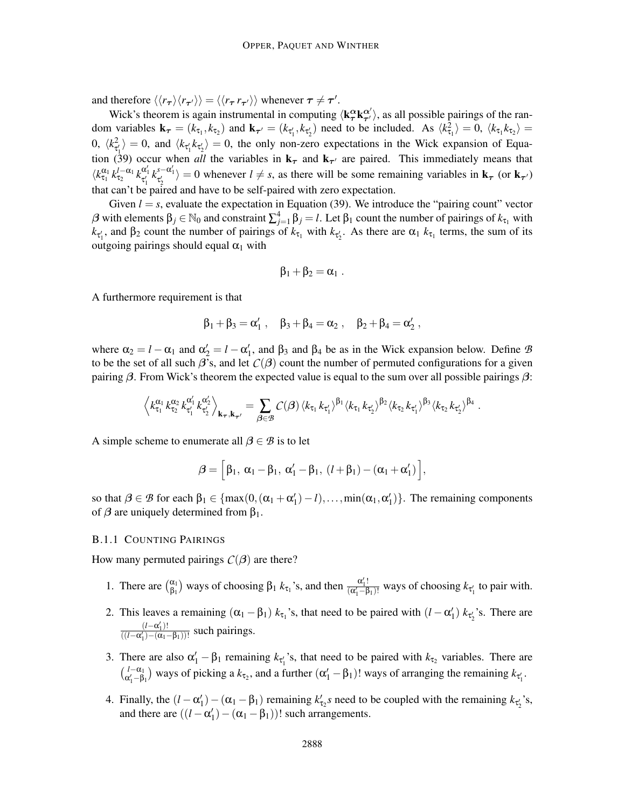and therefore  $\langle\langle r_{\tau}\rangle\langle r_{\tau'}\rangle\rangle = \langle\langle r_{\tau} r_{\tau'}\rangle\rangle$  whenever  $\tau \neq \tau'.$ 

Wick's theorem is again instrumental in computing  $\langle k^\alpha_\tau k^{\alpha'}_\tau \rangle$ , as all possible pairings of the random variables  $\mathbf{k}_{\tau} = (k_{\tau_1}, k_{\tau_2})$  and  $\mathbf{k}_{\tau'} = (k_{\tau'_1}, k_{\tau'_2})$  need to be included. As  $\langle k_{\tau_1}^2 \rangle = 0$ ,  $\langle k_{\tau_1} k_{\tau_2} \rangle = 0$ 0,  $\langle k_{\tau'_1}^2 \rangle = 0$ , and  $\langle k_{\tau'_1} k_{\tau'_2} \rangle = 0$ , the only non-zero expectations in the Wick expansion of Equation (39) occur when *all* the variables in  $\mathbf{k}_{\tau}$  and  $\mathbf{k}_{\tau'}$  are paired. This immediately means that  $\langle k_{\tau_1}^{\alpha_1} k_{\tau_2}^{l-\alpha_1} k_{\tau'_1}^{\alpha'_1} k_{\tau'_2}^{s-\alpha'_1} \rangle = 0$  whenever  $l \neq s$ , as there will be some remaining variables in  $\mathbf{k}_{\tau}$  (or  $\mathbf{k}_{\tau'}$ ) that can't be paired and have to be self-paired with zero expectation.

Given  $l = s$ , evaluate the expectation in Equation (39). We introduce the "pairing count" vector β with elements  $β_j ∈ ℕ_0$  and constraint  $\sum_{j=1}^4 β_j = l$ . Let  $β_1$  count the number of pairings of  $k_{τ_1}$  with  $k_{\tau_1}$ , and  $\beta_2$  count the number of pairings of  $k_{\tau_1}$  with  $k_{\tau_2}$ . As there are  $\alpha_1$   $k_{\tau_1}$  terms, the sum of its outgoing pairings should equal  $\alpha_1$  with

$$
\beta_1+\beta_2=\alpha_1.
$$

A furthermore requirement is that

$$
\beta_1 + \beta_3 = \alpha'_1 \; , \quad \beta_3 + \beta_4 = \alpha_2 \; , \quad \beta_2 + \beta_4 = \alpha'_2 \; ,
$$

where  $\alpha_2 = l - \alpha_1$  and  $\alpha_2' = l - \alpha_1'$ , and  $\beta_3$  and  $\beta_4$  be as in the Wick expansion below. Define *B* to be the set of all such  $\beta$ 's, and let  $C(\beta)$  count the number of permuted configurations for a given pairing  $\beta$ . From Wick's theorem the expected value is equal to the sum over all possible pairings  $\beta$ :

$$
\left\langle k_{\tau_1}^{\alpha_1} k_{\tau_2}^{\alpha_2} k_{\tau'_1}^{\alpha'_1} k_{\tau'_2}^{\alpha'_2} \right\rangle_{\mathbf{k}_{\tau},\mathbf{k}_{\tau'}} = \sum_{\beta \in \mathcal{B}} C(\beta) \left\langle k_{\tau_1} k_{\tau'_1} \right\rangle^{\beta_1} \left\langle k_{\tau_1} k_{\tau'_2} \right\rangle^{\beta_2} \left\langle k_{\tau_2} k_{\tau'_1} \right\rangle^{\beta_3} \left\langle k_{\tau_2} k_{\tau'_2} \right\rangle^{\beta_4}.
$$

A simple scheme to enumerate all  $\beta \in \mathcal{B}$  is to let

$$
\boldsymbol{\beta} = \left[\beta_1, \ \alpha_1 - \beta_1, \ \alpha'_1 - \beta_1, \ (l + \beta_1) - (\alpha_1 + \alpha'_1) \right],
$$

so that  $\beta \in \mathcal{B}$  for each  $\beta_1 \in \{\max(0, (\alpha_1 + \alpha'_1) - l), \dots, \min(\alpha_1, \alpha'_1)\}\.$  The remaining components of  $\beta$  are uniquely determined from  $\beta_1$ .

## B.1.1 COUNTING PAIRINGS

How many permuted pairings  $C(\beta)$  are there?

- 1. There are  $\begin{pmatrix} \alpha_1 \\ \beta_2 \end{pmatrix}$  $\frac{\alpha_1}{\beta_1}$ ) ways of choosing  $\beta_1$  *k*<sub>τ1</sub>'s, and then  $\frac{\alpha'_1!}{(\alpha'_1 - \beta)}$  $\frac{a_1!}{(\alpha'_1 - \beta_1)!}$  ways of choosing  $k_{\tau'_1}$  to pair with.
- 2. This leaves a remaining  $(\alpha_1 \beta_1) k_{\tau_1}$ 's, that need to be paired with  $(l \alpha'_1) k_{\tau'_2}$ 's. There are  $\frac{(l - \alpha'_1)!}{\alpha'_1}$  $\frac{(l-\alpha_1)!}{((l-\alpha'_1)-(\alpha_1-\beta_1))!}$  such pairings.
- 3. There are also  $\alpha'_1 \beta_1$  remaining  $k_{\tau'_1}$ 's, that need to be paired with  $k_{\tau_2}$  variables. There are  $\binom{l-\alpha_1}{\alpha'_1-\beta_1}$  ways of picking a  $k_{\tau_2}$ , and a further  $(\alpha'_1 - \beta_1)!$  ways of arranging the remaining  $k_{\tau'_1}$ .
- 4. Finally, the  $(l \alpha'_1) (\alpha_1 \beta_1)$  remaining  $k'_{\tau_2}$ s need to be coupled with the remaining  $k_{\tau'_2}$ 's, and there are  $((l - \alpha'_1) - (\alpha_1 - \beta_1))!$  such arrangements.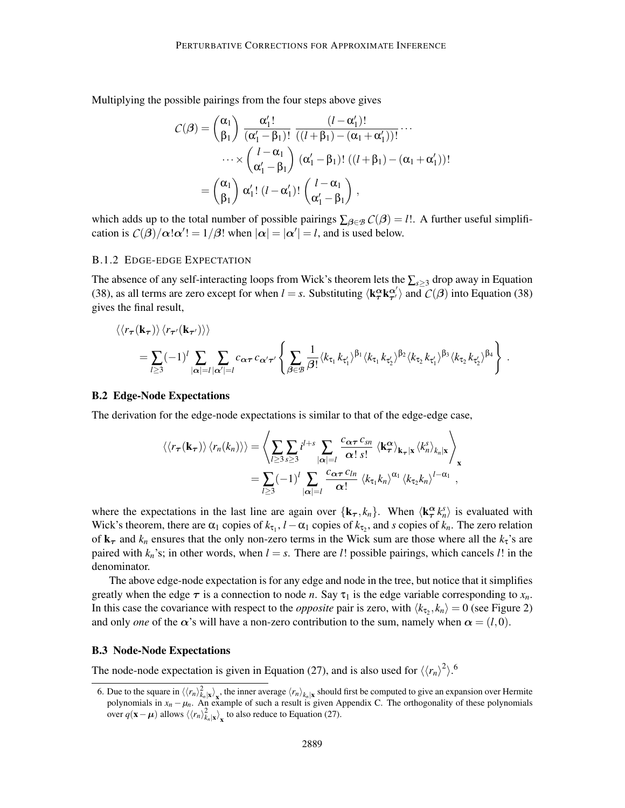Multiplying the possible pairings from the four steps above gives

$$
C(\beta) = {\alpha_1 \choose \beta_1} \frac{\alpha'_1!}{(\alpha'_1 - \beta_1)!} \frac{(l - \alpha'_1)!}{((l + \beta_1) - (\alpha_1 + \alpha'_1))!} \cdots
$$
  

$$
\cdots \times {\binom{l - \alpha_1}{\alpha'_1 - \beta_1}} (\alpha'_1 - \beta_1)! ((l + \beta_1) - (\alpha_1 + \alpha'_1))!
$$
  

$$
= {\binom{\alpha_1}{\beta_1}} \alpha'_1! (l - \alpha'_1)! {\binom{l - \alpha_1}{\alpha'_1 - \beta_1}},
$$

which adds up to the total number of possible pairings  $\sum_{\beta \in \mathcal{B}} C(\beta) = l!$ . A further useful simplification is  $C(\beta)/\alpha! \alpha'$ ! = 1/ $\beta$ ! when  $|\alpha| = |\alpha'| = l$ , and is used below.

#### B.1.2 EDGE-EDGE EXPECTATION

The absence of any self-interacting loops from Wick's theorem lets the ∑*s*≥<sup>3</sup> drop away in Equation (38), as all terms are zero except for when  $l = s$ . Substituting  $\langle k_T^{\alpha} k_{\tau}^{\alpha'} \rangle$  and  $C(\beta)$  into Equation (38) gives the final result,

$$
\langle\langle r_{\tau}(\mathbf{k}_{\tau})\rangle\langle r_{\tau'}(\mathbf{k}_{\tau'})\rangle\rangle
$$
  
=  $\sum_{l\ge3}(-1)^l\sum_{|\alpha|=l}\sum_{|\alpha'|=l}c_{\alpha\tau}c_{\alpha'\tau'}\left\{\sum_{\beta\in\mathcal{B}}\frac{1}{\beta!}\langle k_{\tau_1}k_{\tau_1'}\rangle^{\beta_1}\langle k_{\tau_1}k_{\tau_2'}\rangle^{\beta_2}\langle k_{\tau_2}k_{\tau_1'}\rangle^{\beta_3}\langle k_{\tau_2}k_{\tau_2'}\rangle^{\beta_4}\right\}.$ 

#### B.2 Edge-Node Expectations

The derivation for the edge-node expectations is similar to that of the edge-edge case,

$$
\langle\langle r_{\boldsymbol{\tau}}(\mathbf{k}_{\boldsymbol{\tau}})\rangle\rangle\langle r_{n}(k_{n})\rangle\rangle = \left\langle \sum_{l\geq3}\sum_{s\geq3}i^{l+s}\sum_{|\boldsymbol{\alpha}|=l}\frac{c_{\boldsymbol{\alpha}\boldsymbol{\tau}}c_{sn}}{\boldsymbol{\alpha}!s!}\langle \mathbf{k}_{\boldsymbol{\tau}}^{\boldsymbol{\alpha}}\rangle_{\mathbf{k}_{\boldsymbol{\tau}}|\mathbf{x}}\langle k_{n}^{s}\rangle_{k_{n}|\mathbf{x}}\right\rangle_{\mathbf{x}} =\sum_{l\geq3}(-1)^{l}\sum_{|\boldsymbol{\alpha}|=l}\frac{c_{\boldsymbol{\alpha}\boldsymbol{\tau}}c_{ln}}{\boldsymbol{\alpha}!}\langle k_{\tau_{1}}k_{n}\rangle^{\alpha_{1}}\langle k_{\tau_{2}}k_{n}\rangle^{l-\alpha_{1}},
$$

where the expectations in the last line are again over  $\{k_{\tau}, k_n\}$ . When  $\langle k_{\tau}^{\alpha} k_n^s \rangle$  is evaluated with Wick's theorem, there are  $\alpha_1$  copies of  $k_{\tau_1}$ ,  $l - \alpha_1$  copies of  $k_{\tau_2}$ , and *s* copies of  $k_n$ . The zero relation of  $\mathbf{k}_{\tau}$  and  $k_n$  ensures that the only non-zero terms in the Wick sum are those where all the  $k_{\tau}$ 's are paired with  $k_n$ 's; in other words, when  $l = s$ . There are *l*! possible pairings, which cancels *l*! in the denominator.

The above edge-node expectation is for any edge and node in the tree, but notice that it simplifies greatly when the edge  $\tau$  is a connection to node *n*. Say  $\tau_1$  is the edge variable corresponding to  $x_n$ . In this case the covariance with respect to the *opposite* pair is zero, with  $\langle k_{\tau_2}, k_n \rangle = 0$  (see Figure 2) and only *one* of the  $\alpha$ 's will have a non-zero contribution to the sum, namely when  $\alpha = (l,0)$ .

#### B.3 Node-Node Expectations

The node-node expectation is given in Equation (27), and is also used for  $\langle\langle r_n\rangle^2\rangle$ .<sup>6</sup>

<sup>6.</sup> Due to the square in  $\langle\langle r_n\rangle_{k_n}^2|\mathbf{x}\rangle_{\mathbf{x}}$ , the inner average  $\langle r_n\rangle_{k_n}|\mathbf{x}$  should first be computed to give an expansion over Hermite polynomials in  $x_n - \mu_n$ . An example of such a result is given Appendix C. The orthogonality of these polynomials over  $q(\mathbf{x} - \boldsymbol{\mu})$  allows  $\langle\langle r_n \rangle_{k_n}^2 \rangle_{\mathbf{x}}$  to also reduce to Equation (27).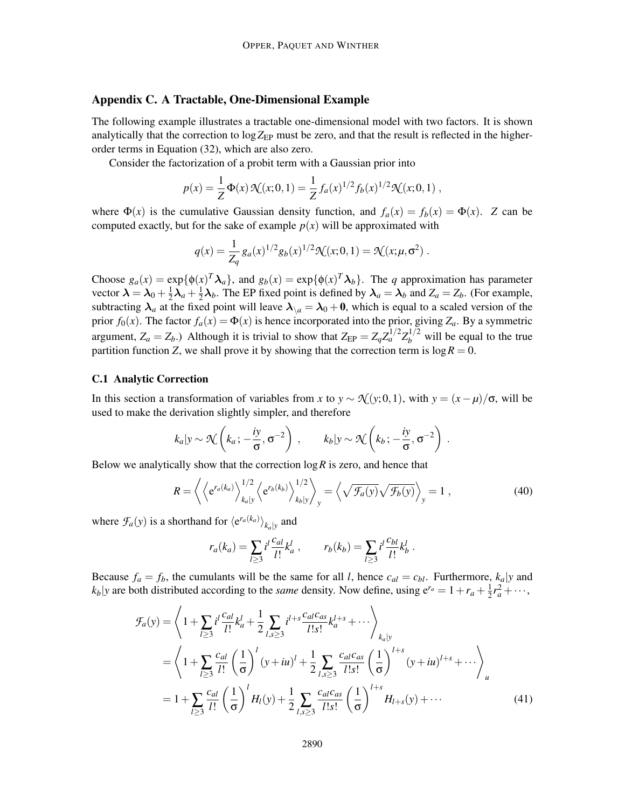## Appendix C. A Tractable, One-Dimensional Example

The following example illustrates a tractable one-dimensional model with two factors. It is shown analytically that the correction to  $log Z_{EP}$  must be zero, and that the result is reflected in the higherorder terms in Equation (32), which are also zero.

Consider the factorization of a probit term with a Gaussian prior into

$$
p(x) = \frac{1}{Z} \Phi(x) \mathcal{N}(x; 0, 1) = \frac{1}{Z} f_a(x)^{1/2} f_b(x)^{1/2} \mathcal{N}(x; 0, 1) ,
$$

where  $\Phi(x)$  is the cumulative Gaussian density function, and  $f_a(x) = f_b(x) = \Phi(x)$ . *Z* can be computed exactly, but for the sake of example  $p(x)$  will be approximated with

$$
q(x) = \frac{1}{Z_q} g_a(x)^{1/2} g_b(x)^{1/2} \mathcal{K}(x; 0, 1) = \mathcal{K}(x; \mu, \sigma^2) .
$$

Choose  $g_a(x) = \exp{\{\phi(x)^T \lambda_a\}}$ , and  $g_b(x) = \exp{\{\phi(x)^T \lambda_b\}}$ . The *q* approximation has parameter vector  $\boldsymbol{\lambda} = \boldsymbol{\lambda}_0 + \frac{1}{2}$  $\frac{1}{2}\lambda_a + \frac{1}{2}$  $\frac{1}{2}\lambda_b$ . The EP fixed point is defined by  $\lambda_a = \lambda_b$  and  $Z_a = Z_b$ . (For example, subtracting  $\lambda_a$  at the fixed point will leave  $\lambda_{\lambda} = \lambda_0 + 0$ , which is equal to a scaled version of the prior  $f_0(x)$ . The factor  $f_a(x) = \Phi(x)$  is hence incorporated into the prior, giving  $Z_a$ . By a symmetric argument,  $Z_a = Z_b$ .) Although it is trivial to show that  $Z_{EP} = Z_q Z_a^{1/2} Z_b^{1/2}$  will be equal to the true partition function *Z*, we shall prove it by showing that the correction term is  $\log R = 0$ .

### C.1 Analytic Correction

In this section a transformation of variables from *x* to *y* ~  $\mathcal{N}(y; 0, 1)$ , with  $y = (x - \mu)/\sigma$ , will be used to make the derivation slightly simpler, and therefore

$$
k_a|y \sim \mathcal{N}\left(k_a; -\frac{iy}{\sigma}, \sigma^{-2}\right)
$$
,  $k_b|y \sim \mathcal{N}\left(k_b; -\frac{iy}{\sigma}, \sigma^{-2}\right)$ .

Below we analytically show that the correction  $\log R$  is zero, and hence that

$$
R = \left\langle \left\langle e^{r_a(k_a)} \right\rangle_{k_a|y}^{1/2} \left\langle e^{r_b(k_b)} \right\rangle_{k_b|y}^{1/2} \right\rangle_y = \left\langle \sqrt{\mathcal{F}_a(y)} \sqrt{\mathcal{F}_b(y)} \right\rangle_y = 1 , \tag{40}
$$

where  $\mathcal{F}_a(y)$  is a shorthand for  $\langle e^{r_a(k_a)} \rangle_{k_a|y}$  and

$$
r_a(k_a) = \sum_{l \ge 3} i^l \frac{c_{al}}{l!} k_a^l , \qquad r_b(k_b) = \sum_{l \ge 3} i^l \frac{c_{bl}}{l!} k_b^l .
$$

Because  $f_a = f_b$ , the cumulants will be the same for all *l*, hence  $c_{al} = c_{bl}$ . Furthermore,  $k_a|y$  and  $k_b$  *y* are both distributed according to the *same* density. Now define, using  $e^{r_a} = 1 + r_a + \frac{1}{2}$  $\frac{1}{2}r_a^2 + \cdots$ ,

$$
\mathcal{F}_a(y) = \left\langle 1 + \sum_{l \ge 3} i^l \frac{c_{al}}{l!} k_a^l + \frac{1}{2} \sum_{l,s \ge 3} i^{l+s} \frac{c_{al}c_{as}}{l!s!} k_a^{l+s} + \cdots \right\rangle_{k_a|y}
$$
  
\n
$$
= \left\langle 1 + \sum_{l \ge 3} \frac{c_{al}}{l!} \left(\frac{1}{\sigma}\right)^l (y + iu)^l + \frac{1}{2} \sum_{l,s \ge 3} \frac{c_{al}c_{as}}{l!s!} \left(\frac{1}{\sigma}\right)^{l+s} (y + iu)^{l+s} + \cdots \right\rangle_u
$$
  
\n
$$
= 1 + \sum_{l \ge 3} \frac{c_{al}}{l!} \left(\frac{1}{\sigma}\right)^l H_l(y) + \frac{1}{2} \sum_{l,s \ge 3} \frac{c_{al}c_{as}}{l!s!} \left(\frac{1}{\sigma}\right)^{l+s} H_{l+s}(y) + \cdots
$$
(41)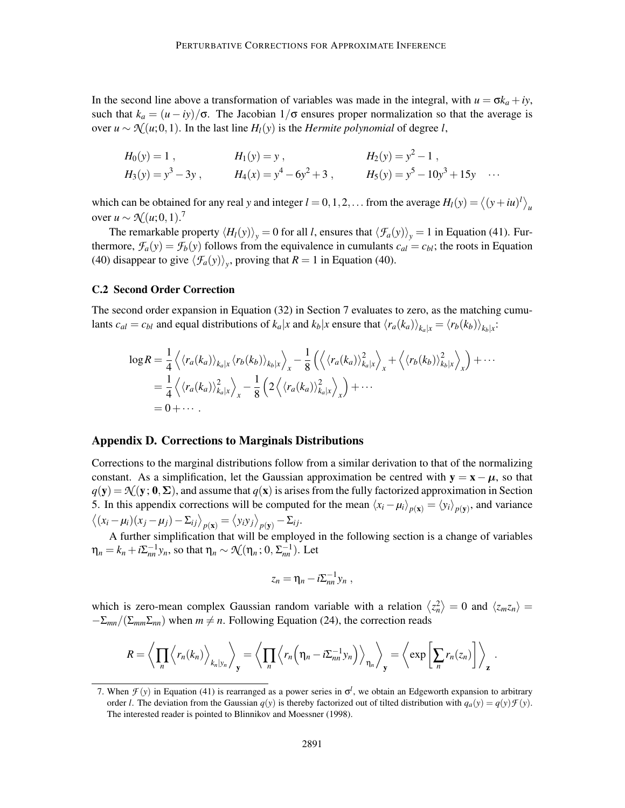In the second line above a transformation of variables was made in the integral, with  $u = \sigma k_a + iy$ , such that  $k_a = (u - iy)/\sigma$ . The Jacobian  $1/\sigma$  ensures proper normalization so that the average is over *u* ∼  $\mathcal{N}(u; 0, 1)$ . In the last line  $H_l(y)$  is the *Hermite polynomial* of degree *l*,

$$
H_0(y) = 1
$$
,  $H_1(y) = y$ ,  $H_2(y) = y^2 - 1$ ,  
\n $H_3(y) = y^3 - 3y$ ,  $H_4(x) = y^4 - 6y^2 + 3$ ,  $H_5(y) = y^5 - 10y^3 + 15y$  ...

which can be obtained for any real *y* and integer  $l = 0, 1, 2, \ldots$  from the average  $H_l(y) = \langle (y + iu)^l \rangle_u$ over  $u \sim \mathcal{N}(u; 0, 1).$ <sup>7</sup>

The remarkable property  $\langle H_l(y)\rangle$ <sub>*y*</sub> = 0 for all *l*, ensures that  $\langle \mathcal{F}_a(y)\rangle$ <sub>*y*</sub> = 1 in Equation (41). Furthermore,  $\mathcal{F}_a(y) = \mathcal{F}_b(y)$  follows from the equivalence in cumulants  $c_{al} = c_{bl}$ ; the roots in Equation (40) disappear to give  $\langle \mathcal{F}_a(y) \rangle$ , proving that  $R = 1$  in Equation (40).

## C.2 Second Order Correction

The second order expansion in Equation (32) in Section 7 evaluates to zero, as the matching cumulants  $c_{al} = c_{bl}$  and equal distributions of  $k_a|x$  and  $k_b|x$  ensure that  $\langle r_a(k_a) \rangle_{k_a|x} = \langle r_b(k_b) \rangle_{k_b|x}$ :

$$
\log R = \frac{1}{4} \left\langle \langle r_a(k_a) \rangle_{k_a|x} \langle r_b(k_b) \rangle_{k_b|x} \right\rangle_{x} - \frac{1}{8} \left( \left\langle \langle r_a(k_a) \rangle_{k_a|x}^2 \rangle_{x} + \left\langle \langle r_b(k_b) \rangle_{k_b|x}^2 \rangle_{x} \right\rangle + \cdots \n= \frac{1}{4} \left\langle \langle r_a(k_a) \rangle_{k_a|x}^2 \rangle_{x} - \frac{1}{8} \left( 2 \left\langle \langle r_a(k_a) \rangle_{k_a|x}^2 \rangle_{x} \right\rangle + \cdots \n= 0 + \cdots
$$

#### Appendix D. Corrections to Marginals Distributions

Corrections to the marginal distributions follow from a similar derivation to that of the normalizing constant. As a simplification, let the Gaussian approximation be centred with  $y = x - \mu$ , so that  $q(y) = \mathcal{N}(y; 0, \Sigma)$ , and assume that  $q(x)$  is arises from the fully factorized approximation in Section 5. In this appendix corrections will be computed for the mean  $\langle x_i - \mu_i \rangle_{p(\mathbf{x})} = \langle y_i \rangle_{p(\mathbf{y})}$ , and variance  $\langle (x_i - \mu_i)(x_j - \mu_j) - \Sigma_{ij} \rangle_{p(\mathbf{x})} = \langle y_i y_j \rangle_{p(\mathbf{y})} - \Sigma_{ij}.$ 

A further simplification that will be employed in the following section is a change of variables  $\eta_n = k_n + i\Sigma_{nn}^{-1}y_n$ , so that  $\eta_n \sim \mathcal{N}(\eta_n; 0, \Sigma_{nn}^{-1})$ . Let

$$
z_n=\eta_n-i\Sigma_{nn}^{-1}y_n,
$$

which is zero-mean complex Gaussian random variable with a relation  $\langle z_n^2 \rangle = 0$  and  $\langle z_m z_n \rangle = 0$  $-\Sigma_{mn}/(\Sigma_{mn}\Sigma_{nn})$  when  $m \neq n$ . Following Equation (24), the correction reads

$$
R = \left\langle \prod_n \left\langle r_n(k_n) \right\rangle_{k_n|y_n} \right\rangle_{\mathbf{y}} = \left\langle \prod_n \left\langle r_n\left(\eta_n - i \Sigma_{nn}^{-1} y_n\right) \right\rangle_{\eta_n} \right\rangle_{\mathbf{y}} = \left\langle \exp\left[\sum_n r_n(z_n)\right] \right\rangle_{\mathbf{z}}.
$$

<sup>7.</sup> When  $\mathcal{F}(y)$  in Equation (41) is rearranged as a power series in  $\sigma^l$ , we obtain an Edgeworth expansion to arbitrary order *l*. The deviation from the Gaussian  $q(y)$  is thereby factorized out of tilted distribution with  $q_a(y) = q(y) \mathcal{F}(y)$ . The interested reader is pointed to Blinnikov and Moessner (1998).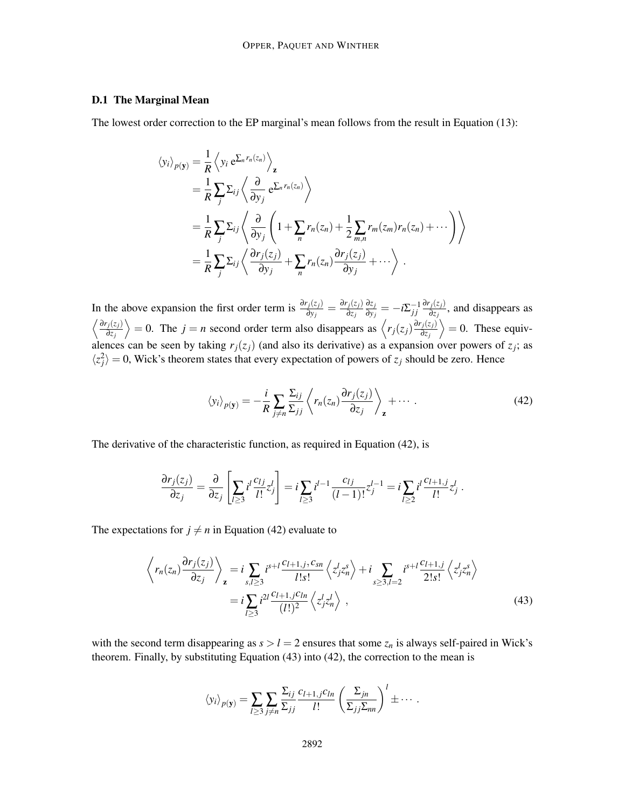## D.1 The Marginal Mean

The lowest order correction to the EP marginal's mean follows from the result in Equation (13):

$$
\langle y_i \rangle_{p(\mathbf{y})} = \frac{1}{R} \langle y_i e^{\sum_n r_n(z_n)} \rangle_{\mathbf{z}}
$$
  
=  $\frac{1}{R} \sum_j \sum_{ij} \langle \frac{\partial}{\partial y_j} e^{\sum_n r_n(z_n)} \rangle$   
=  $\frac{1}{R} \sum_j \sum_{ij} \langle \frac{\partial}{\partial y_j} \left( 1 + \sum_n r_n(z_n) + \frac{1}{2} \sum_{m,n} r_m(z_m) r_n(z_n) + \cdots \right) \rangle$   
=  $\frac{1}{R} \sum_j \sum_{ij} \langle \frac{\partial r_j(z_j)}{\partial y_j} + \sum_n r_n(z_n) \frac{\partial r_j(z_j)}{\partial y_j} + \cdots \rangle$ .

In the above expansion the first order term is  $\frac{\partial r_j(z_j)}{\partial y_j} = \frac{\partial r_j(z_j)}{\partial z_j}$ ∂*z<sup>j</sup>* ∂*z<sup>j</sup>*  $\frac{\partial z_j}{\partial y_j} = -i \Sigma^{-1}_{jj}$ ∂*rj*(*zj*)  $\frac{j(z_j)}{\partial z_j}$ , and disappears as  $\frac{\partial r_j(z_j)}{\partial z_j}$ ∂*z<sup>j</sup>*  $\left\langle \frac{\partial r_j(z_j)}{\partial z_j} \right\rangle$  = *n* second order term also disappears as  $\left\langle r_j(z_j) \frac{\partial r_j(z_j)}{\partial z_j} \right\rangle$ ∂*z<sup>j</sup>*  $\rangle = 0$ . These equivalences can be seen by taking  $r_j(z_j)$  (and also its derivative) as a expansion over powers of  $z_j$ ; as  $\langle z_j^2 \rangle = 0$ , Wick's theorem states that every expectation of powers of *z<sub>j</sub>* should be zero. Hence

$$
\langle y_i \rangle_{p(\mathbf{y})} = -\frac{i}{R} \sum_{j \neq n} \frac{\Sigma_{ij}}{\Sigma_{jj}} \left\langle r_n(z_n) \frac{\partial r_j(z_j)}{\partial z_j} \right\rangle_{\mathbf{z}} + \cdots \tag{42}
$$

The derivative of the characteristic function, as required in Equation (42), is

$$
\frac{\partial r_j(z_j)}{\partial z_j} = \frac{\partial}{\partial z_j} \left[ \sum_{l \ge 3} i^l \frac{c_{lj}}{l!} z_j^l \right] = i \sum_{l \ge 3} i^{l-1} \frac{c_{lj}}{(l-1)!} z_j^{l-1} = i \sum_{l \ge 2} i^l \frac{c_{l+1,j}}{l!} z_j^l.
$$

The expectations for  $j \neq n$  in Equation (42) evaluate to

$$
\left\langle r_n(z_n) \frac{\partial r_j(z_j)}{\partial z_j} \right\rangle_{\mathbf{z}} = i \sum_{s,l \ge 3} i^{s+l} \frac{c_{l+1,j}, c_{sn}}{l!s!} \left\langle z_j^l z_n^s \right\rangle + i \sum_{s \ge 3, l=2} i^{s+l} \frac{c_{l+1,j}}{2!s!} \left\langle z_j^l z_n^s \right\rangle
$$
  
=  $i \sum_{l \ge 3} i^{2l} \frac{c_{l+1,j}c_{ln}}{(l!)^2} \left\langle z_j^l z_n^l \right\rangle$ , (43)

with the second term disappearing as  $s > l = 2$  ensures that some  $z_n$  is always self-paired in Wick's theorem. Finally, by substituting Equation (43) into (42), the correction to the mean is

$$
\langle y_i \rangle_{p(\mathbf{y})} = \sum_{l \geq 3} \sum_{j \neq n} \frac{\Sigma_{ij}}{\Sigma_{jj}} \frac{c_{l+1,j} c_{ln}}{l!} \left( \frac{\Sigma_{jn}}{\Sigma_{jj} \Sigma_{nn}} \right)^l \pm \cdots
$$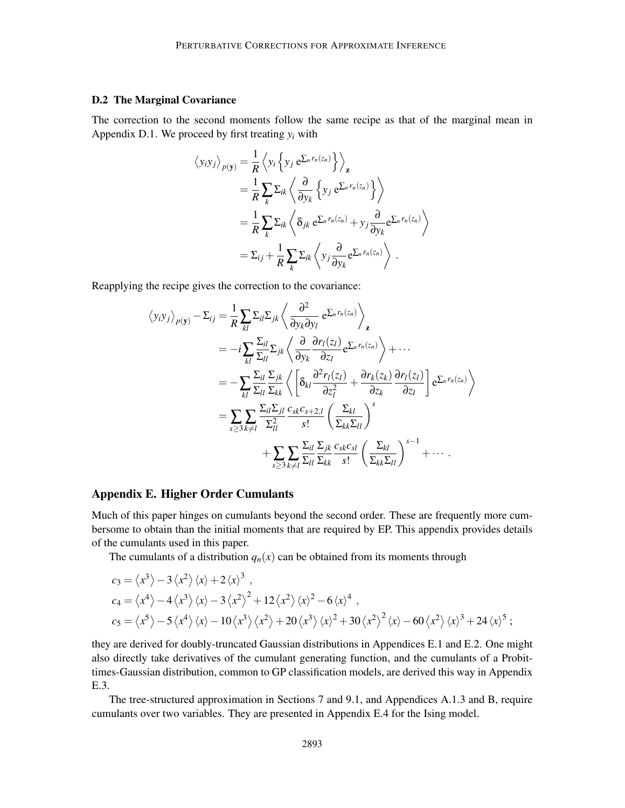## D.2 The Marginal Covariance

The correction to the second moments follow the same recipe as that of the marginal mean in Appendix D.1. We proceed by first treating  $y_i$  with

$$
\langle y_i y_j \rangle_{p(\mathbf{y})} = \frac{1}{R} \langle y_i \{ y_j e^{\sum_n r_n(z_n)} \} \rangle_{\mathbf{z}} \n= \frac{1}{R} \sum_k \sum_{ik} \left\langle \frac{\partial}{\partial y_k} \{ y_j e^{\sum_n r_n(z_n)} \} \right\rangle \n= \frac{1}{R} \sum_k \sum_{ik} \left\langle \delta_{jk} e^{\sum_n r_n(z_n)} + y_j \frac{\partial}{\partial y_k} e^{\sum_n r_n(z_n)} \right\rangle \n= \sum_{ij} + \frac{1}{R} \sum_k \sum_{ik} \left\langle y_j \frac{\partial}{\partial y_k} e^{\sum_n r_n(z_n)} \right\rangle.
$$

Reapplying the recipe gives the correction to the covariance:

$$
\langle y_i y_j \rangle_{p(\mathbf{y})} - \Sigma_{ij} = \frac{1}{R} \sum_{kl} \Sigma_{il} \Sigma_{jk} \left\langle \frac{\partial^2}{\partial y_k \partial y_l} e^{\Sigma_n r_n(z_n)} \right\rangle_{\mathbf{z}}
$$
  
\n
$$
= -i \sum_{kl} \frac{\Sigma_{il}}{\Sigma_{ll}} \Sigma_{jk} \left\langle \frac{\partial}{\partial y_k} \frac{\partial r_l(z_l)}{\partial z_l} e^{\Sigma_n r_n(z_n)} \right\rangle + \cdots
$$
  
\n
$$
= -\sum_{kl} \frac{\Sigma_{il}}{\Sigma_{ll}} \frac{\Sigma_{jk}}{\Sigma_{kl}} \left\langle \left[ \delta_{kl} \frac{\partial^2 r_l(z_l)}{\partial z_l^2} + \frac{\partial r_k(z_k)}{\partial z_k} \frac{\partial r_l(z_l)}{\partial z_l} \right] e^{\Sigma_n r_n(z_n)} \right\rangle
$$
  
\n
$$
= \sum_{s \ge 3} \sum_{k \ne l} \frac{\Sigma_{il} \Sigma_{jl}}{\Sigma_{il}} \frac{c_{sk} c_{s+2,l}}{s!} \left( \frac{\Sigma_{kl}}{\Sigma_{kk} \Sigma_{ll}} \right)^s
$$
  
\n
$$
+ \sum_{s \ge 3} \sum_{k \ne l} \frac{\Sigma_{il}}{\Sigma_{ll}} \frac{\Sigma_{jk}}{\Sigma_{kl}} \frac{c_{sk} c_{sl}}{s!} \left( \frac{\Sigma_{kl}}{\Sigma_{kk} \Sigma_{ll}} \right)^{s-1} + \cdots
$$

## Appendix E. Higher Order Cumulants

Much of this paper hinges on cumulants beyond the second order. These are frequently more cumbersome to obtain than the initial moments that are required by EP. This appendix provides details of the cumulants used in this paper.

The cumulants of a distribution  $q_n(x)$  can be obtained from its moments through

$$
c_3 = \langle x^3 \rangle - 3 \langle x^2 \rangle \langle x \rangle + 2 \langle x \rangle^3 ,
$$
  
\n
$$
c_4 = \langle x^4 \rangle - 4 \langle x^3 \rangle \langle x \rangle - 3 \langle x^2 \rangle^2 + 12 \langle x^2 \rangle \langle x \rangle^2 - 6 \langle x \rangle^4 ,
$$
  
\n
$$
c_5 = \langle x^5 \rangle - 5 \langle x^4 \rangle \langle x \rangle - 10 \langle x^3 \rangle \langle x^2 \rangle + 20 \langle x^3 \rangle \langle x \rangle^2 + 30 \langle x^2 \rangle^2 \langle x \rangle - 60 \langle x^2 \rangle \langle x \rangle^3 + 24 \langle x \rangle^5 ;
$$

they are derived for doubly-truncated Gaussian distributions in Appendices E.1 and E.2. One might also directly take derivatives of the cumulant generating function, and the cumulants of a Probittimes-Gaussian distribution, common to GP classification models, are derived this way in Appendix E.3.

The tree-structured approximation in Sections 7 and 9.1, and Appendices A.1.3 and B, require cumulants over two variables. They are presented in Appendix E.4 for the Ising model.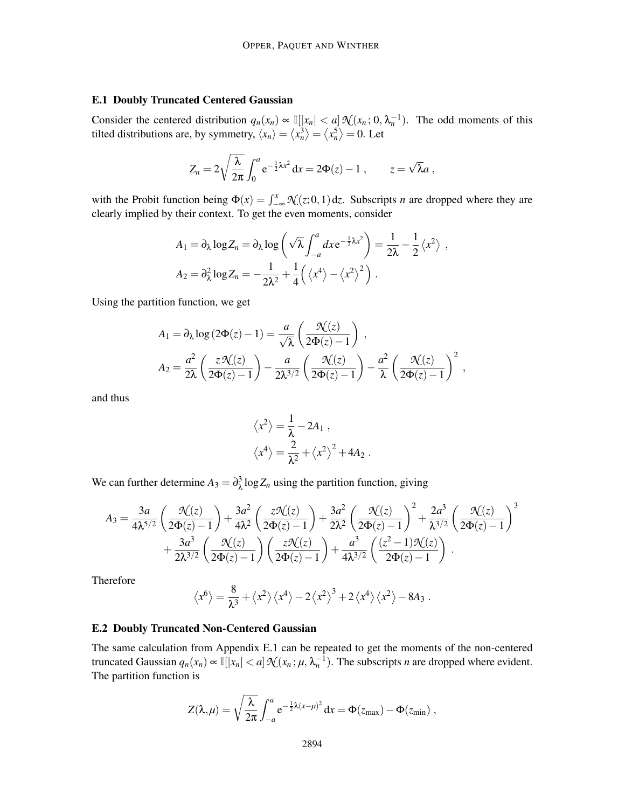## E.1 Doubly Truncated Centered Gaussian

Consider the centered distribution  $q_n(x_n) \propto \mathbb{I}(|x_n| < a] \mathcal{N}(x_n; 0, \lambda_n^{-1})$ . The odd moments of this tilted distributions are, by symmetry,  $\langle x_n \rangle = \langle x_n^3 \rangle = \langle x_n^5 \rangle = 0$ . Let

$$
Z_n = 2\sqrt{\frac{\lambda}{2\pi}} \int_0^a e^{-\frac{1}{2}\lambda x^2} dx = 2\Phi(z) - 1 , \qquad z = \sqrt{\lambda} a ,
$$

with the Probit function being  $\Phi(x) = \int_{-\infty}^{x} \mathcal{N}(z; 0, 1) dz$ . Subscripts *n* are dropped where they are clearly implied by their context. To get the even moments, consider

$$
A_1 = \partial_{\lambda} \log Z_n = \partial_{\lambda} \log \left( \sqrt{\lambda} \int_{-a}^{a} dx e^{-\frac{1}{2}\lambda x^2} \right) = \frac{1}{2\lambda} - \frac{1}{2} \langle x^2 \rangle ,
$$
  

$$
A_2 = \partial_{\lambda}^2 \log Z_n = -\frac{1}{2\lambda^2} + \frac{1}{4} \left( \langle x^4 \rangle - \langle x^2 \rangle^2 \right) .
$$

Using the partition function, we get

$$
A_1 = \partial_{\lambda} \log (2\Phi(z) - 1) = \frac{a}{\sqrt{\lambda}} \left( \frac{\mathcal{N}(z)}{2\Phi(z) - 1} \right),
$$
  
\n
$$
A_2 = \frac{a^2}{2\lambda} \left( \frac{z\mathcal{N}(z)}{2\Phi(z) - 1} \right) - \frac{a}{2\lambda^{3/2}} \left( \frac{\mathcal{N}(z)}{2\Phi(z) - 1} \right) - \frac{a^2}{\lambda} \left( \frac{\mathcal{N}(z)}{2\Phi(z) - 1} \right)^2,
$$

and thus

$$
\langle x^2 \rangle = \frac{1}{\lambda} - 2A_1 ,
$$
  

$$
\langle x^4 \rangle = \frac{2}{\lambda^2} + \langle x^2 \rangle^2 + 4A_2 .
$$

We can further determine  $A_3 = \partial_{\lambda}^3 \log Z_n$  using the partition function, giving

$$
A_3 = \frac{3a}{4\lambda^{5/2}} \left( \frac{\mathcal{N}(z)}{2\Phi(z) - 1} \right) + \frac{3a^2}{4\lambda^2} \left( \frac{z\mathcal{N}(z)}{2\Phi(z) - 1} \right) + \frac{3a^2}{2\lambda^2} \left( \frac{\mathcal{N}(z)}{2\Phi(z) - 1} \right)^2 + \frac{2a^3}{\lambda^{3/2}} \left( \frac{\mathcal{N}(z)}{2\Phi(z) - 1} \right)^3 + \frac{3a^3}{2\lambda^{3/2}} \left( \frac{\mathcal{N}(z)}{2\Phi(z) - 1} \right) \left( \frac{z\mathcal{N}(z)}{2\Phi(z) - 1} \right) + \frac{a^3}{4\lambda^{3/2}} \left( \frac{(z^2 - 1)\mathcal{N}(z)}{2\Phi(z) - 1} \right).
$$

Therefore

$$
\langle x^6 \rangle = \frac{8}{\lambda^3} + \langle x^2 \rangle \langle x^4 \rangle - 2 \langle x^2 \rangle^3 + 2 \langle x^4 \rangle \langle x^2 \rangle - 8A_3.
$$

## E.2 Doubly Truncated Non-Centered Gaussian

The same calculation from Appendix E.1 can be repeated to get the moments of the non-centered truncated Gaussian  $q_n(x_n) \propto \mathbb{I}[|x_n| < a] \mathcal{N}(x_n; \mu, \lambda_n^{-1})$ . The subscripts *n* are dropped where evident. The partition function is

$$
Z(\lambda,\mu) = \sqrt{\frac{\lambda}{2\pi}} \int_{-a}^{a} e^{-\frac{1}{2}\lambda(x-\mu)^2} dx = \Phi(z_{\text{max}}) - \Phi(z_{\text{min}}) ,
$$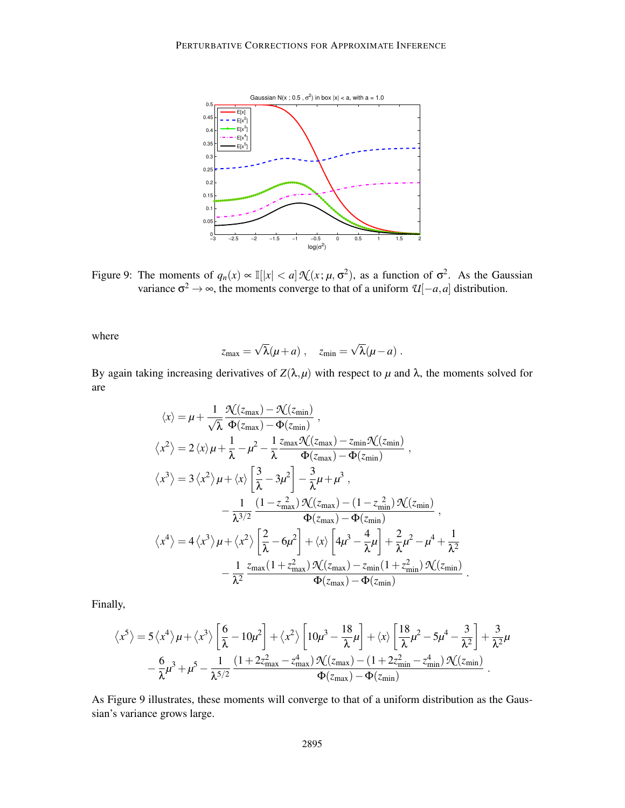

Figure 9: The moments of  $q_n(x) \propto \mathbb{I}(|x| < a] \mathcal{N}(x; \mu, \sigma^2)$ , as a function of  $\sigma^2$ . As the Gaussian variance  $\sigma^2 \to \infty$ , the moments converge to that of a uniform  $\mathcal{U}[-a,a]$  distribution.

where

$$
z_{\max} = \sqrt{\lambda}(\mu + a) , \quad z_{\min} = \sqrt{\lambda}(\mu - a) .
$$

By again taking increasing derivatives of  $Z(\lambda, \mu)$  with respect to  $\mu$  and  $\lambda$ , the moments solved for are

$$
\langle x \rangle = \mu + \frac{1}{\sqrt{\lambda}} \frac{\mathcal{N}(z_{\text{max}}) - \mathcal{N}(z_{\text{min}})}{\Phi(z_{\text{max}}) - \Phi(z_{\text{min}})},
$$
  
\n
$$
\langle x^2 \rangle = 2 \langle x \rangle \mu + \frac{1}{\lambda} - \mu^2 - \frac{1}{\lambda} \frac{z_{\text{max}} \mathcal{N}(z_{\text{max}}) - z_{\text{min}} \mathcal{N}(z_{\text{min}})}{\Phi(z_{\text{max}}) - \Phi(z_{\text{min}})},
$$
  
\n
$$
\langle x^3 \rangle = 3 \langle x^2 \rangle \mu + \langle x \rangle \left[ \frac{3}{\lambda} - 3\mu^2 \right] - \frac{3}{\lambda} \mu + \mu^3,
$$
  
\n
$$
- \frac{1}{\lambda^{3/2}} \frac{(1 - z_{\text{max}}^2) \mathcal{N}(z_{\text{max}}) - (1 - z_{\text{min}}^2) \mathcal{N}(z_{\text{min}})}{\Phi(z_{\text{max}}) - \Phi(z_{\text{min}})},
$$
  
\n
$$
\langle x^4 \rangle = 4 \langle x^3 \rangle \mu + \langle x^2 \rangle \left[ \frac{2}{\lambda} - 6\mu^2 \right] + \langle x \rangle \left[ 4\mu^3 - \frac{4}{\lambda} \mu \right] + \frac{2}{\lambda} \mu^2 - \mu^4 + \frac{1}{\lambda^2} - \frac{1}{\lambda^2} \frac{z_{\text{max}}(1 + z_{\text{max}}^2) \mathcal{N}(z_{\text{max}}) - z_{\text{min}}(1 + z_{\text{min}}^2) \mathcal{N}(z_{\text{min}})}{\Phi(z_{\text{max}}) - \Phi(z_{\text{min}})}
$$

Finally,

$$
\left\langle x^{5}\right\rangle =5\left\langle x^{4}\right\rangle \mu+\left\langle x^{3}\right\rangle \left[\frac{6}{\lambda}-10\mu^{2}\right]+\left\langle x^{2}\right\rangle \left[10\mu^{3}-\frac{18}{\lambda}\mu\right]+\left\langle x\right\rangle \left[\frac{18}{\lambda}\mu^{2}-5\mu^{4}-\frac{3}{\lambda^{2}}\right]+\frac{3}{\lambda^{2}}\mu\\-\frac{6}{\lambda}\mu^{3}+\mu^{5}-\frac{1}{\lambda^{5/2}}\frac{(1+2z_{max}^{2}-z_{max}^{4})\,\mathcal{N}(z_{max})-(1+2z_{min}^{2}-z_{min}^{4})\,\mathcal{N}(z_{min})}{\Phi(z_{max})-\Phi(z_{min})}\,.
$$

.

As Figure 9 illustrates, these moments will converge to that of a uniform distribution as the Gaussian's variance grows large.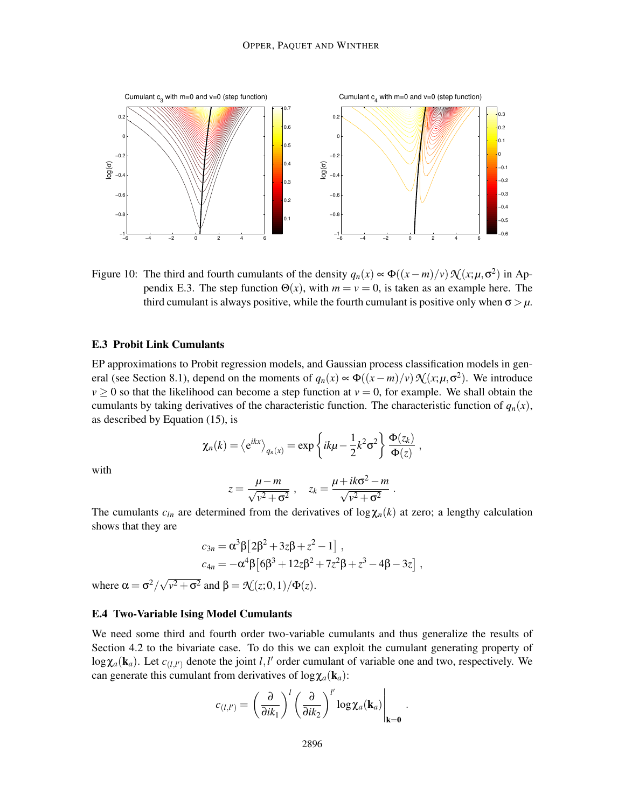

Figure 10: The third and fourth cumulants of the density  $q_n(x) \propto \Phi((x-m)/v) \mathcal{N}(x;\mu,\sigma^2)$  in Appendix E.3. The step function  $\Theta(x)$ , with  $m = v = 0$ , is taken as an example here. The third cumulant is always positive, while the fourth cumulant is positive only when  $\sigma > \mu$ .

## E.3 Probit Link Cumulants

EP approximations to Probit regression models, and Gaussian process classification models in general (see Section 8.1), depend on the moments of  $q_n(x) \propto \Phi((x-m)/v) \mathcal{N}(x;\mu,\sigma^2)$ . We introduce  $v \ge 0$  so that the likelihood can become a step function at  $v = 0$ , for example. We shall obtain the cumulants by taking derivatives of the characteristic function. The characteristic function of  $q_n(x)$ , as described by Equation (15), is

$$
\chi_n(k) = \langle e^{ikx} \rangle_{q_n(x)} = \exp\left\{ik\mu - \frac{1}{2}k^2\sigma^2\right\}\frac{\Phi(z_k)}{\Phi(z)},
$$

with

$$
z = \frac{\mu - m}{\sqrt{v^2 + \sigma^2}} , \quad z_k = \frac{\mu + ik\sigma^2 - m}{\sqrt{v^2 + \sigma^2}} .
$$

The cumulants  $c_{ln}$  are determined from the derivatives of  $\log \chi_n(k)$  at zero; a lengthy calculation shows that they are

$$
c_{3n} = \alpha^3 \beta \left[ 2\beta^2 + 3z\beta + z^2 - 1 \right],
$$
  
\n
$$
c_{4n} = -\alpha^4 \beta \left[ 6\beta^3 + 12z\beta^2 + 7z^2\beta + z^3 - 4\beta - 3z \right],
$$

where  $\alpha = \sigma^2/\sqrt{v^2 + \sigma^2}$  and  $\beta = \mathcal{N}(z; 0, 1)/\Phi(z)$ .

## E.4 Two-Variable Ising Model Cumulants

We need some third and fourth order two-variable cumulants and thus generalize the results of Section 4.2 to the bivariate case. To do this we can exploit the cumulant generating property of  $\log \chi_a(\mathbf{k}_a)$ . Let  $c_{(l,l')}$  denote the joint *l*,*l'* order cumulant of variable one and two, respectively. We can generate this cumulant from derivatives of  $log \chi_a(\mathbf{k}_a)$ :

$$
c_{(l,l')} = \left(\frac{\partial}{\partial i k_1}\right)^l \left(\frac{\partial}{\partial i k_2}\right)^l \log \chi_a(\mathbf{k}_a)\Bigg|_{\mathbf{k}=\mathbf{0}}.
$$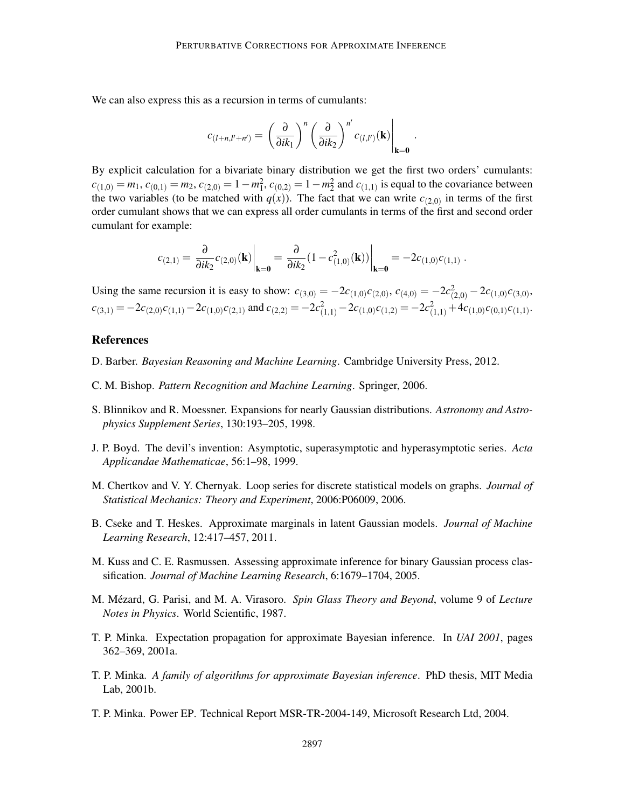We can also express this as a recursion in terms of cumulants:

$$
c_{(l+n,l'+n')} = \left(\frac{\partial}{\partial i k_1}\right)^n \left(\frac{\partial}{\partial i k_2}\right)^{n'} c_{(l,l')}(\mathbf{k})\Big|_{\mathbf{k}=\mathbf{0}}.
$$

By explicit calculation for a bivariate binary distribution we get the first two orders' cumulants:  $c_{(1,0)} = m_1$ ,  $c_{(0,1)} = m_2$ ,  $c_{(2,0)} = 1 - m_1^2$ ,  $c_{(0,2)} = 1 - m_2^2$  and  $c_{(1,1)}$  is equal to the covariance between the two variables (to be matched with  $q(x)$ ). The fact that we can write  $c_{(2,0)}$  in terms of the first order cumulant shows that we can express all order cumulants in terms of the first and second order cumulant for example:

$$
c_{(2,1)} = \frac{\partial}{\partial i k_2} c_{(2,0)}(\mathbf{k})\Big|_{\mathbf{k}=\mathbf{0}} = \frac{\partial}{\partial i k_2} (1 - c_{(1,0)}^2(\mathbf{k}))\Big|_{\mathbf{k}=\mathbf{0}} = -2c_{(1,0)}c_{(1,1)}.
$$

Using the same recursion it is easy to show:  $c_{(3,0)} = -2c_{(1,0)}c_{(2,0)}$ ,  $c_{(4,0)} = -2c_{(2,0)}^2 - 2c_{(1,0)}c_{(3,0)}$ ,  $c_{(3,1)} = -2c_{(2,0)}c_{(1,1)} - 2c_{(1,0)}c_{(2,1)}$  and  $c_{(2,2)} = -2c_{(1,1)}^2 - 2c_{(1,0)}c_{(1,2)} = -2c_{(1,1)}^2 + 4c_{(1,0)}c_{(0,1)}c_{(1,1)}$ .

## References

- D. Barber. *Bayesian Reasoning and Machine Learning*. Cambridge University Press, 2012.
- C. M. Bishop. *Pattern Recognition and Machine Learning*. Springer, 2006.
- S. Blinnikov and R. Moessner. Expansions for nearly Gaussian distributions. *Astronomy and Astrophysics Supplement Series*, 130:193–205, 1998.
- J. P. Boyd. The devil's invention: Asymptotic, superasymptotic and hyperasymptotic series. *Acta Applicandae Mathematicae*, 56:1–98, 1999.
- M. Chertkov and V. Y. Chernyak. Loop series for discrete statistical models on graphs. *Journal of Statistical Mechanics: Theory and Experiment*, 2006:P06009, 2006.
- B. Cseke and T. Heskes. Approximate marginals in latent Gaussian models. *Journal of Machine Learning Research*, 12:417–457, 2011.
- M. Kuss and C. E. Rasmussen. Assessing approximate inference for binary Gaussian process classification. *Journal of Machine Learning Research*, 6:1679–1704, 2005.
- M. Mézard, G. Parisi, and M. A. Virasoro. Spin Glass Theory and Beyond, volume 9 of Lecture *Notes in Physics*. World Scientific, 1987.
- T. P. Minka. Expectation propagation for approximate Bayesian inference. In *UAI 2001*, pages 362–369, 2001a.
- T. P. Minka. *A family of algorithms for approximate Bayesian inference*. PhD thesis, MIT Media Lab, 2001b.
- T. P. Minka. Power EP. Technical Report MSR-TR-2004-149, Microsoft Research Ltd, 2004.